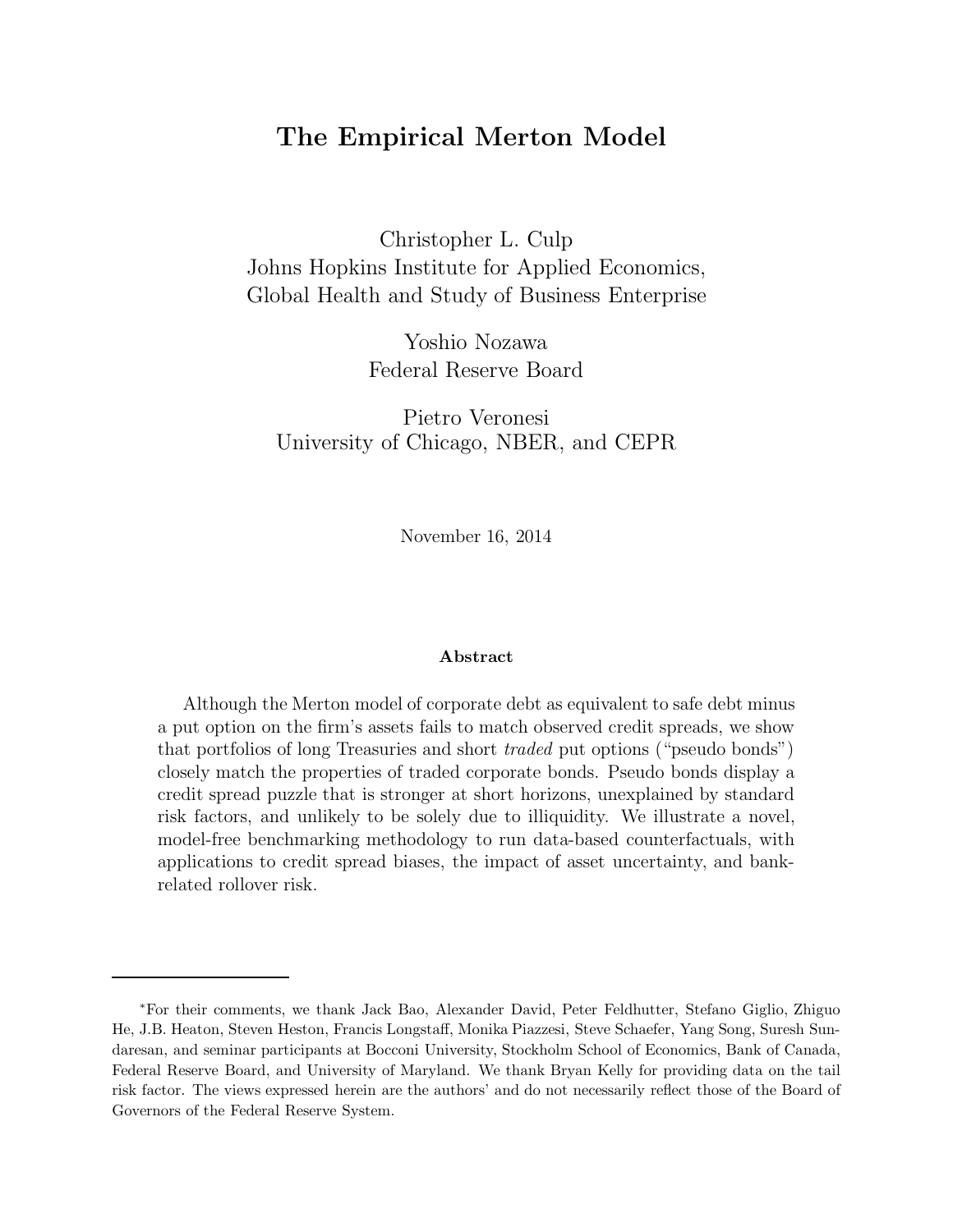# The Empirical Merton Model

Christopher L. Culp Johns Hopkins Institute for Applied Economics, Global Health and Study of Business Enterprise

> Yoshio Nozawa Federal Reserve Board

Pietro Veronesi University of Chicago, NBER, and CEPR

November 16, 2014

#### Abstract

Although the Merton model of corporate debt as equivalent to safe debt minus a put option on the firm's assets fails to match observed credit spreads, we show that portfolios of long Treasuries and short traded put options ("pseudo bonds") closely match the properties of traded corporate bonds. Pseudo bonds display a credit spread puzzle that is stronger at short horizons, unexplained by standard risk factors, and unlikely to be solely due to illiquidity. We illustrate a novel, model-free benchmarking methodology to run data-based counterfactuals, with applications to credit spread biases, the impact of asset uncertainty, and bankrelated rollover risk.

<sup>∗</sup>For their comments, we thank Jack Bao, Alexander David, Peter Feldhutter, Stefano Giglio, Zhiguo He, J.B. Heaton, Steven Heston, Francis Longstaff, Monika Piazzesi, Steve Schaefer, Yang Song, Suresh Sundaresan, and seminar participants at Bocconi University, Stockholm School of Economics, Bank of Canada, Federal Reserve Board, and University of Maryland. We thank Bryan Kelly for providing data on the tail risk factor. The views expressed herein are the authors' and do not necessarily reflect those of the Board of Governors of the Federal Reserve System.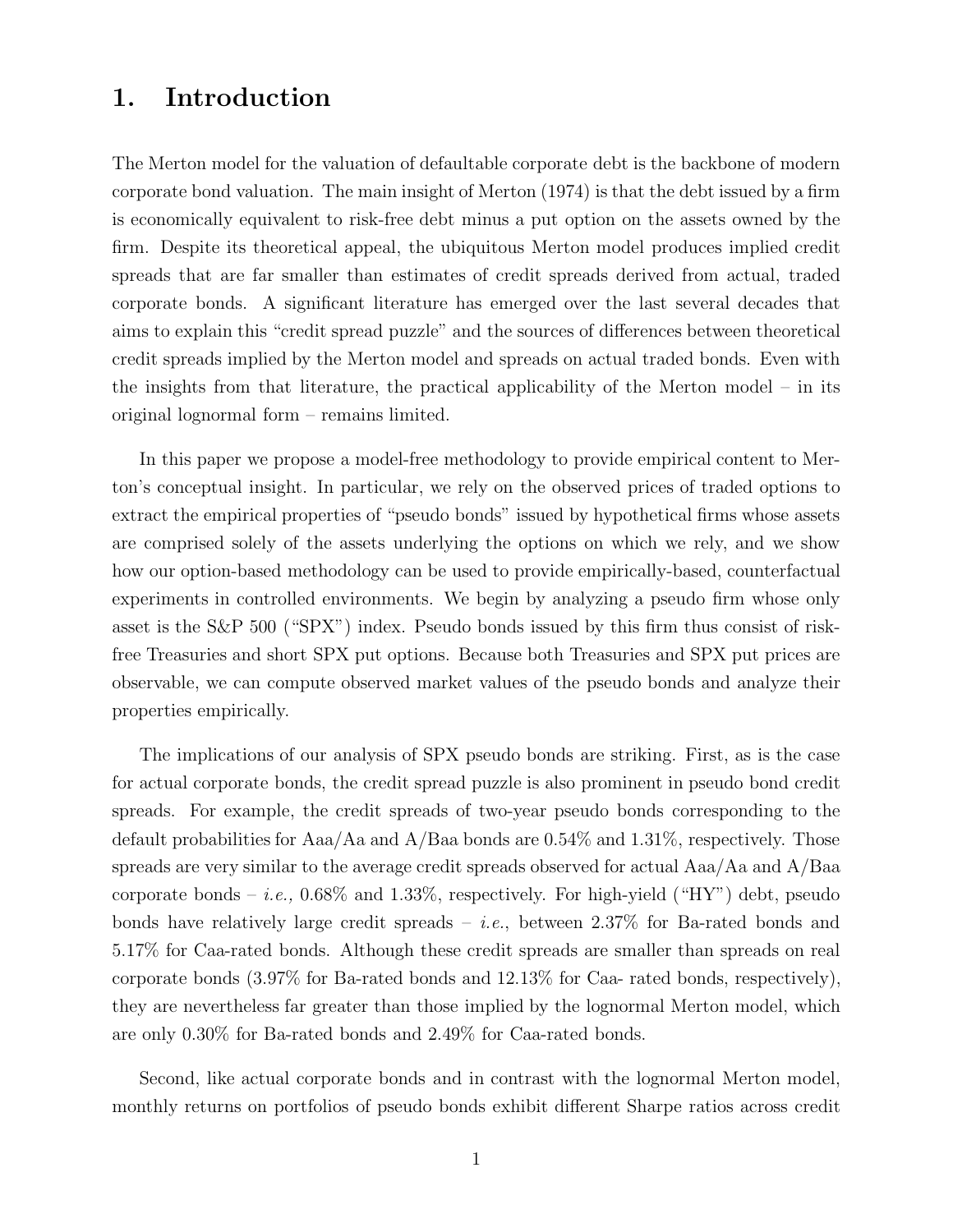# 1. Introduction

The Merton model for the valuation of defaultable corporate debt is the backbone of modern corporate bond valuation. The main insight of Merton (1974) is that the debt issued by a firm is economically equivalent to risk-free debt minus a put option on the assets owned by the firm. Despite its theoretical appeal, the ubiquitous Merton model produces implied credit spreads that are far smaller than estimates of credit spreads derived from actual, traded corporate bonds. A significant literature has emerged over the last several decades that aims to explain this "credit spread puzzle" and the sources of differences between theoretical credit spreads implied by the Merton model and spreads on actual traded bonds. Even with the insights from that literature, the practical applicability of the Merton model – in its original lognormal form – remains limited.

In this paper we propose a model-free methodology to provide empirical content to Merton's conceptual insight. In particular, we rely on the observed prices of traded options to extract the empirical properties of "pseudo bonds" issued by hypothetical firms whose assets are comprised solely of the assets underlying the options on which we rely, and we show how our option-based methodology can be used to provide empirically-based, counterfactual experiments in controlled environments. We begin by analyzing a pseudo firm whose only asset is the S&P 500 ("SPX") index. Pseudo bonds issued by this firm thus consist of riskfree Treasuries and short SPX put options. Because both Treasuries and SPX put prices are observable, we can compute observed market values of the pseudo bonds and analyze their properties empirically.

The implications of our analysis of SPX pseudo bonds are striking. First, as is the case for actual corporate bonds, the credit spread puzzle is also prominent in pseudo bond credit spreads. For example, the credit spreads of two-year pseudo bonds corresponding to the default probabilities for Aaa/Aa and A/Baa bonds are 0.54% and 1.31%, respectively. Those spreads are very similar to the average credit spreads observed for actual  $Aaa/Aa$  and  $A/Baa$ corporate bonds – *i.e.*,  $0.68\%$  and  $1.33\%$ , respectively. For high-yield ("HY") debt, pseudo bonds have relatively large credit spreads – *i.e.*, between  $2.37\%$  for Ba-rated bonds and 5.17% for Caa-rated bonds. Although these credit spreads are smaller than spreads on real corporate bonds (3.97% for Ba-rated bonds and 12.13% for Caa- rated bonds, respectively), they are nevertheless far greater than those implied by the lognormal Merton model, which are only 0.30% for Ba-rated bonds and 2.49% for Caa-rated bonds.

Second, like actual corporate bonds and in contrast with the lognormal Merton model, monthly returns on portfolios of pseudo bonds exhibit different Sharpe ratios across credit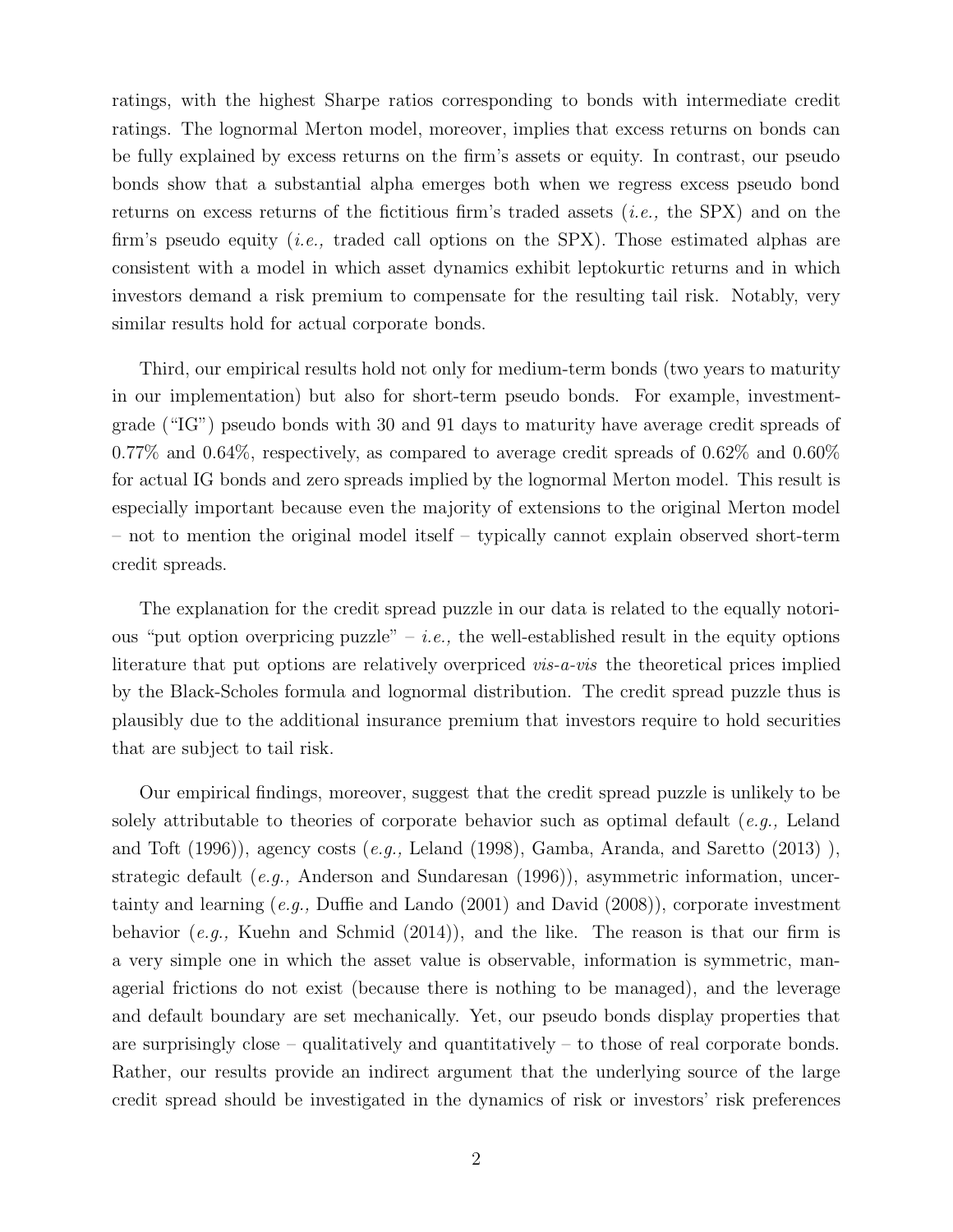ratings, with the highest Sharpe ratios corresponding to bonds with intermediate credit ratings. The lognormal Merton model, moreover, implies that excess returns on bonds can be fully explained by excess returns on the firm's assets or equity. In contrast, our pseudo bonds show that a substantial alpha emerges both when we regress excess pseudo bond returns on excess returns of the fictitious firm's traded assets  $(i.e., the SPX)$  and on the firm's pseudo equity *(i.e., traded call options on the SPX)*. Those estimated alphas are consistent with a model in which asset dynamics exhibit leptokurtic returns and in which investors demand a risk premium to compensate for the resulting tail risk. Notably, very similar results hold for actual corporate bonds.

Third, our empirical results hold not only for medium-term bonds (two years to maturity in our implementation) but also for short-term pseudo bonds. For example, investmentgrade ("IG") pseudo bonds with 30 and 91 days to maturity have average credit spreads of 0.77% and 0.64%, respectively, as compared to average credit spreads of 0.62% and 0.60% for actual IG bonds and zero spreads implied by the lognormal Merton model. This result is especially important because even the majority of extensions to the original Merton model – not to mention the original model itself – typically cannot explain observed short-term credit spreads.

The explanation for the credit spread puzzle in our data is related to the equally notorious "put option overpricing puzzle" – *i.e.*, the well-established result in the equity options literature that put options are relatively overpriced *vis-a-vis* the theoretical prices implied by the Black-Scholes formula and lognormal distribution. The credit spread puzzle thus is plausibly due to the additional insurance premium that investors require to hold securities that are subject to tail risk.

Our empirical findings, moreover, suggest that the credit spread puzzle is unlikely to be solely attributable to theories of corporate behavior such as optimal default  $(e.g., Leland)$ and Toft  $(1996)$ ), agency costs  $(e.q., Leland (1998), Gamba, Aranda, and Saretto (2013))$ , strategic default (e.g., Anderson and Sundaresan  $(1996)$ ), asymmetric information, uncertainty and learning (e.g., Duffie and Lando (2001) and David (2008)), corporate investment behavior (e.g., Kuehn and Schmid  $(2014)$ ), and the like. The reason is that our firm is a very simple one in which the asset value is observable, information is symmetric, managerial frictions do not exist (because there is nothing to be managed), and the leverage and default boundary are set mechanically. Yet, our pseudo bonds display properties that are surprisingly close – qualitatively and quantitatively – to those of real corporate bonds. Rather, our results provide an indirect argument that the underlying source of the large credit spread should be investigated in the dynamics of risk or investors' risk preferences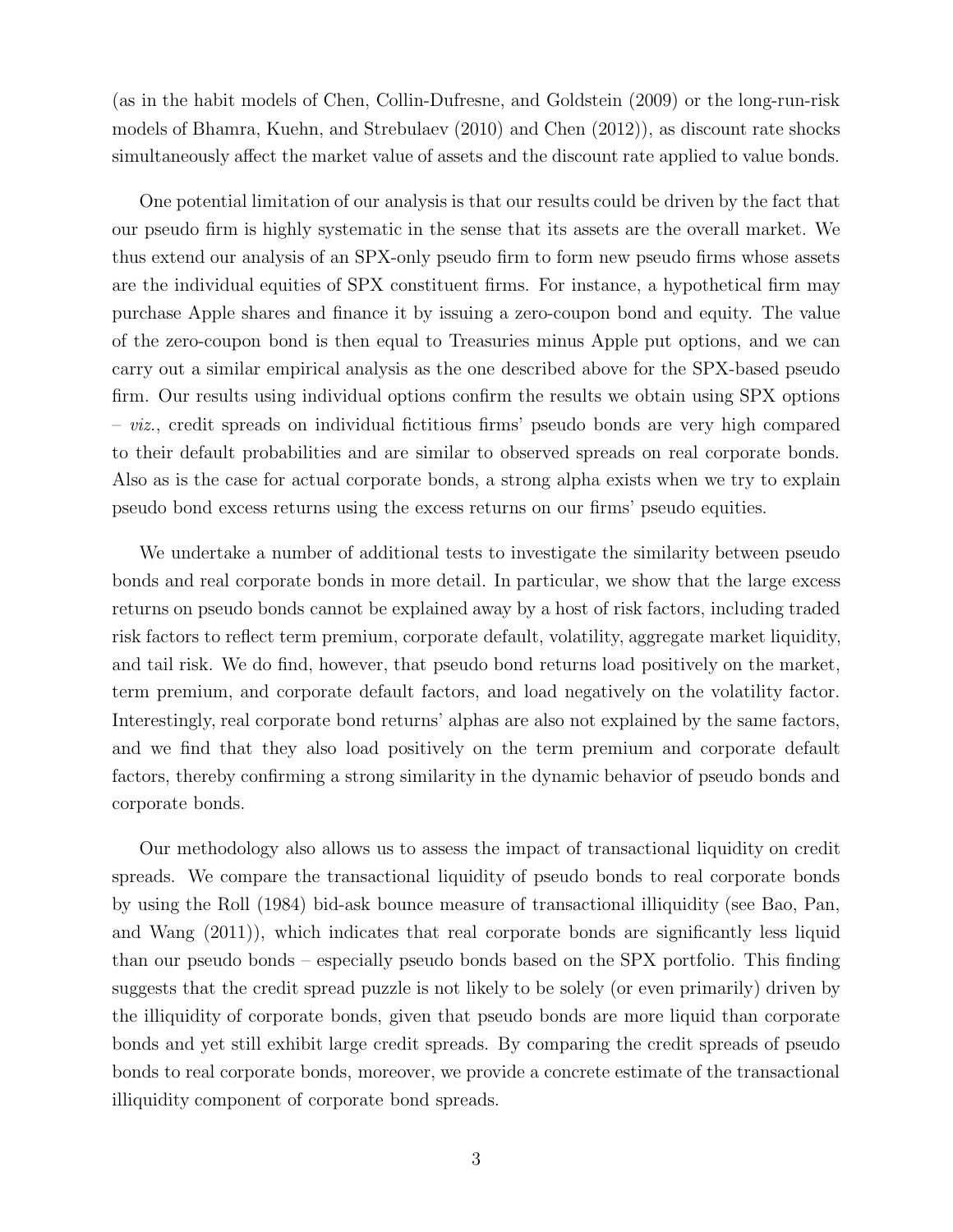(as in the habit models of Chen, Collin-Dufresne, and Goldstein (2009) or the long-run-risk models of Bhamra, Kuehn, and Strebulaev (2010) and Chen (2012)), as discount rate shocks simultaneously affect the market value of assets and the discount rate applied to value bonds.

One potential limitation of our analysis is that our results could be driven by the fact that our pseudo firm is highly systematic in the sense that its assets are the overall market. We thus extend our analysis of an SPX-only pseudo firm to form new pseudo firms whose assets are the individual equities of SPX constituent firms. For instance, a hypothetical firm may purchase Apple shares and finance it by issuing a zero-coupon bond and equity. The value of the zero-coupon bond is then equal to Treasuries minus Apple put options, and we can carry out a similar empirical analysis as the one described above for the SPX-based pseudo firm. Our results using individual options confirm the results we obtain using SPX options  $-$  viz., credit spreads on individual fictitious firms' pseudo bonds are very high compared to their default probabilities and are similar to observed spreads on real corporate bonds. Also as is the case for actual corporate bonds, a strong alpha exists when we try to explain pseudo bond excess returns using the excess returns on our firms' pseudo equities.

We undertake a number of additional tests to investigate the similarity between pseudo bonds and real corporate bonds in more detail. In particular, we show that the large excess returns on pseudo bonds cannot be explained away by a host of risk factors, including traded risk factors to reflect term premium, corporate default, volatility, aggregate market liquidity, and tail risk. We do find, however, that pseudo bond returns load positively on the market, term premium, and corporate default factors, and load negatively on the volatility factor. Interestingly, real corporate bond returns' alphas are also not explained by the same factors, and we find that they also load positively on the term premium and corporate default factors, thereby confirming a strong similarity in the dynamic behavior of pseudo bonds and corporate bonds.

Our methodology also allows us to assess the impact of transactional liquidity on credit spreads. We compare the transactional liquidity of pseudo bonds to real corporate bonds by using the Roll (1984) bid-ask bounce measure of transactional illiquidity (see Bao, Pan, and Wang (2011)), which indicates that real corporate bonds are significantly less liquid than our pseudo bonds – especially pseudo bonds based on the SPX portfolio. This finding suggests that the credit spread puzzle is not likely to be solely (or even primarily) driven by the illiquidity of corporate bonds, given that pseudo bonds are more liquid than corporate bonds and yet still exhibit large credit spreads. By comparing the credit spreads of pseudo bonds to real corporate bonds, moreover, we provide a concrete estimate of the transactional illiquidity component of corporate bond spreads.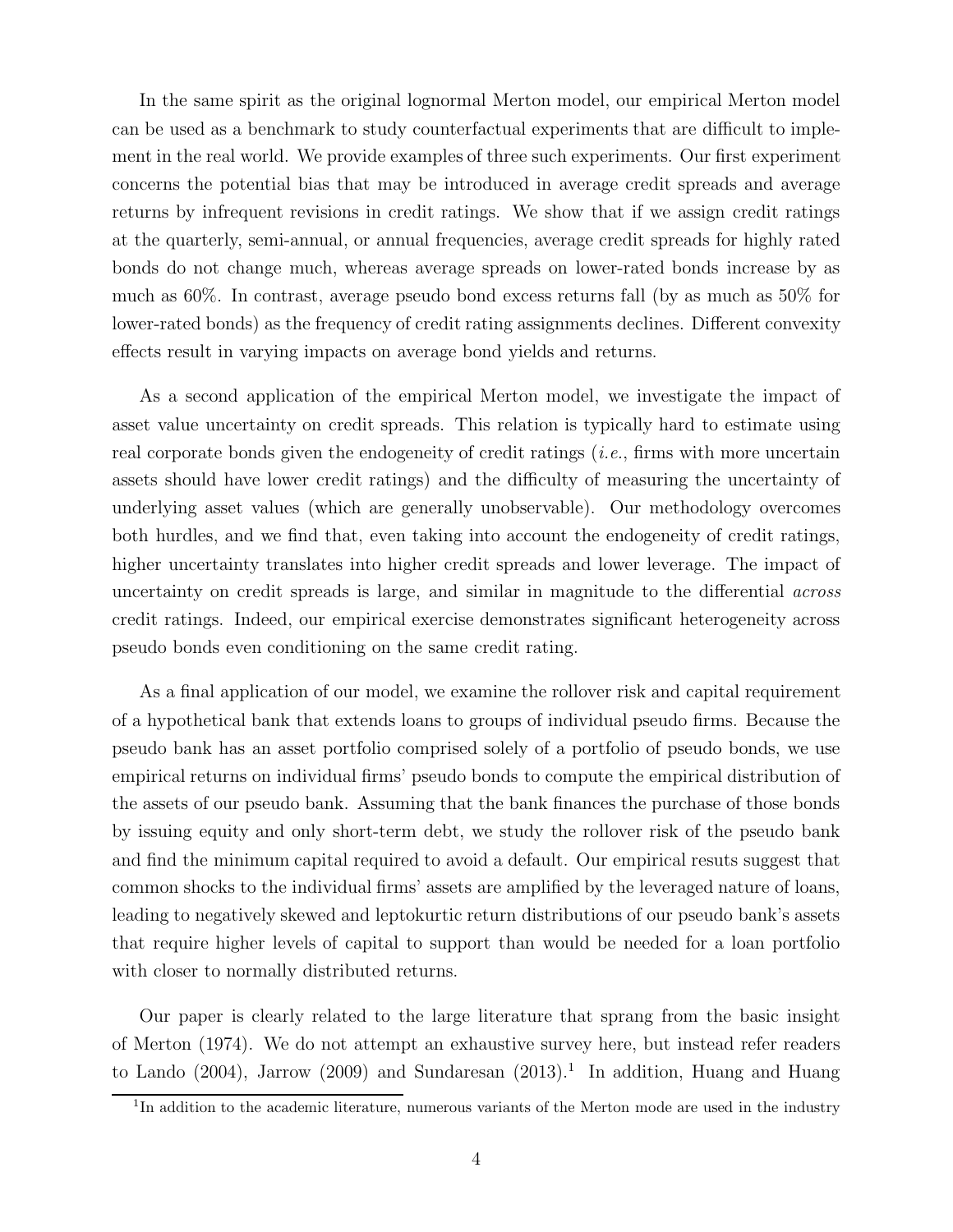In the same spirit as the original lognormal Merton model, our empirical Merton model can be used as a benchmark to study counterfactual experiments that are difficult to implement in the real world. We provide examples of three such experiments. Our first experiment concerns the potential bias that may be introduced in average credit spreads and average returns by infrequent revisions in credit ratings. We show that if we assign credit ratings at the quarterly, semi-annual, or annual frequencies, average credit spreads for highly rated bonds do not change much, whereas average spreads on lower-rated bonds increase by as much as 60%. In contrast, average pseudo bond excess returns fall (by as much as 50% for lower-rated bonds) as the frequency of credit rating assignments declines. Different convexity effects result in varying impacts on average bond yields and returns.

As a second application of the empirical Merton model, we investigate the impact of asset value uncertainty on credit spreads. This relation is typically hard to estimate using real corporate bonds given the endogeneity of credit ratings  $(i.e.,$  firms with more uncertain assets should have lower credit ratings) and the difficulty of measuring the uncertainty of underlying asset values (which are generally unobservable). Our methodology overcomes both hurdles, and we find that, even taking into account the endogeneity of credit ratings, higher uncertainty translates into higher credit spreads and lower leverage. The impact of uncertainty on credit spreads is large, and similar in magnitude to the differential across credit ratings. Indeed, our empirical exercise demonstrates significant heterogeneity across pseudo bonds even conditioning on the same credit rating.

As a final application of our model, we examine the rollover risk and capital requirement of a hypothetical bank that extends loans to groups of individual pseudo firms. Because the pseudo bank has an asset portfolio comprised solely of a portfolio of pseudo bonds, we use empirical returns on individual firms' pseudo bonds to compute the empirical distribution of the assets of our pseudo bank. Assuming that the bank finances the purchase of those bonds by issuing equity and only short-term debt, we study the rollover risk of the pseudo bank and find the minimum capital required to avoid a default. Our empirical resuts suggest that common shocks to the individual firms' assets are amplified by the leveraged nature of loans, leading to negatively skewed and leptokurtic return distributions of our pseudo bank's assets that require higher levels of capital to support than would be needed for a loan portfolio with closer to normally distributed returns.

Our paper is clearly related to the large literature that sprang from the basic insight of Merton (1974). We do not attempt an exhaustive survey here, but instead refer readers to Lando  $(2004)$ , Jarrow  $(2009)$  and Sundaresan  $(2013).<sup>1</sup>$  In addition, Huang and Huang

<sup>&</sup>lt;sup>1</sup>In addition to the academic literature, numerous variants of the Merton mode are used in the industry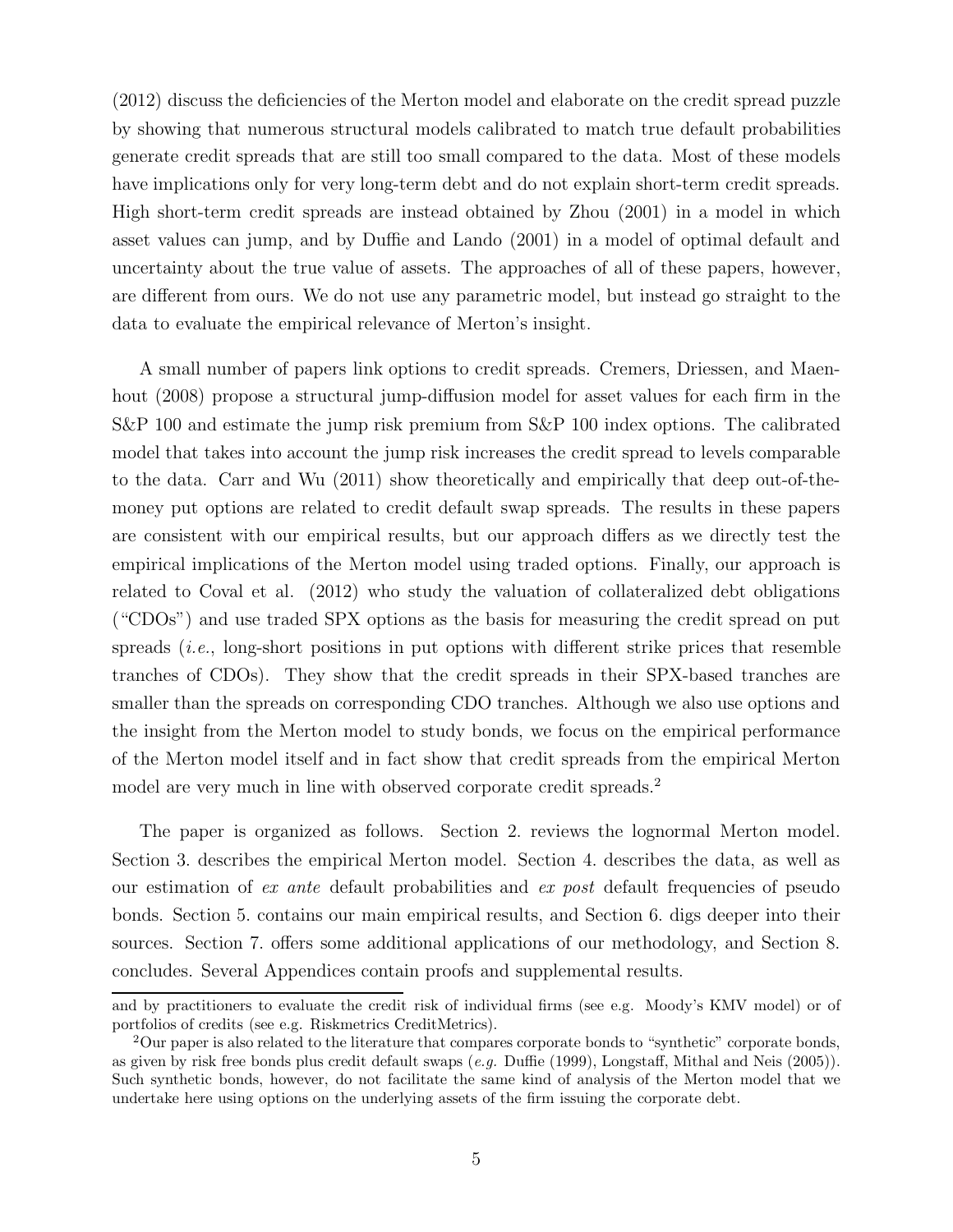(2012) discuss the deficiencies of the Merton model and elaborate on the credit spread puzzle by showing that numerous structural models calibrated to match true default probabilities generate credit spreads that are still too small compared to the data. Most of these models have implications only for very long-term debt and do not explain short-term credit spreads. High short-term credit spreads are instead obtained by Zhou (2001) in a model in which asset values can jump, and by Duffie and Lando (2001) in a model of optimal default and uncertainty about the true value of assets. The approaches of all of these papers, however, are different from ours. We do not use any parametric model, but instead go straight to the data to evaluate the empirical relevance of Merton's insight.

A small number of papers link options to credit spreads. Cremers, Driessen, and Maenhout (2008) propose a structural jump-diffusion model for asset values for each firm in the S&P 100 and estimate the jump risk premium from S&P 100 index options. The calibrated model that takes into account the jump risk increases the credit spread to levels comparable to the data. Carr and Wu (2011) show theoretically and empirically that deep out-of-themoney put options are related to credit default swap spreads. The results in these papers are consistent with our empirical results, but our approach differs as we directly test the empirical implications of the Merton model using traded options. Finally, our approach is related to Coval et al. (2012) who study the valuation of collateralized debt obligations ("CDOs") and use traded SPX options as the basis for measuring the credit spread on put spreads (i.e., long-short positions in put options with different strike prices that resemble tranches of CDOs). They show that the credit spreads in their SPX-based tranches are smaller than the spreads on corresponding CDO tranches. Although we also use options and the insight from the Merton model to study bonds, we focus on the empirical performance of the Merton model itself and in fact show that credit spreads from the empirical Merton model are very much in line with observed corporate credit spreads.<sup>2</sup>

The paper is organized as follows. Section 2. reviews the lognormal Merton model. Section 3. describes the empirical Merton model. Section 4. describes the data, as well as our estimation of ex ante default probabilities and ex post default frequencies of pseudo bonds. Section 5. contains our main empirical results, and Section 6. digs deeper into their sources. Section 7. offers some additional applications of our methodology, and Section 8. concludes. Several Appendices contain proofs and supplemental results.

and by practitioners to evaluate the credit risk of individual firms (see e.g. Moody's KMV model) or of portfolios of credits (see e.g. Riskmetrics CreditMetrics).

<sup>2</sup>Our paper is also related to the literature that compares corporate bonds to "synthetic" corporate bonds, as given by risk free bonds plus credit default swaps (e.g. Duffie (1999), Longstaff, Mithal and Neis (2005)). Such synthetic bonds, however, do not facilitate the same kind of analysis of the Merton model that we undertake here using options on the underlying assets of the firm issuing the corporate debt.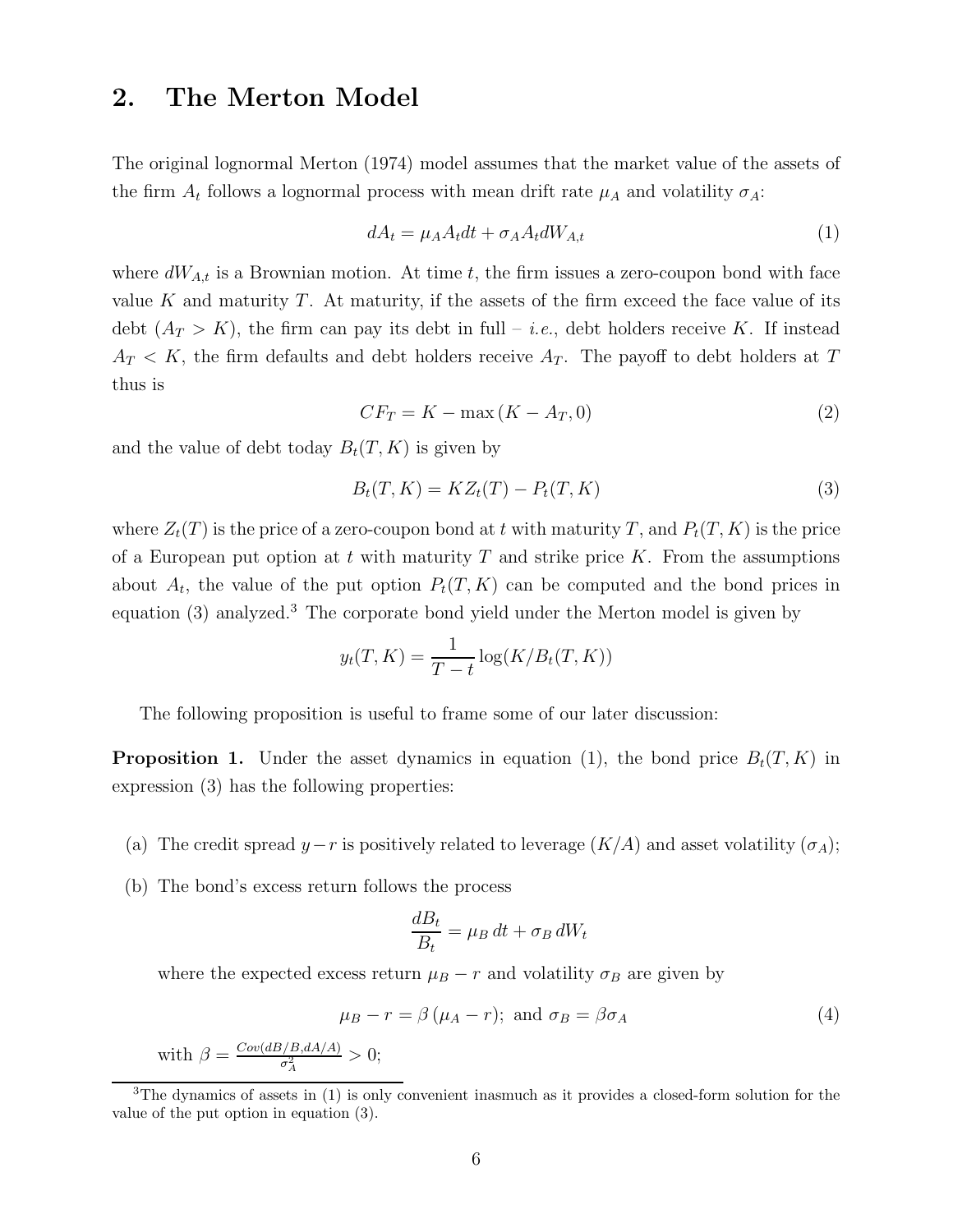# 2. The Merton Model

The original lognormal Merton (1974) model assumes that the market value of the assets of the firm  $A_t$  follows a lognormal process with mean drift rate  $\mu_A$  and volatility  $\sigma_A$ :

$$
dA_t = \mu_A A_t dt + \sigma_A A_t dW_{A,t} \tag{1}
$$

where  $dW_{A,t}$  is a Brownian motion. At time t, the firm issues a zero-coupon bond with face value K and maturity  $T$ . At maturity, if the assets of the firm exceed the face value of its debt  $(A_T > K)$ , the firm can pay its debt in full – *i.e.*, debt holders receive K. If instead  $A_T < K$ , the firm defaults and debt holders receive  $A_T$ . The payoff to debt holders at T thus is

$$
CF_T = K - \max(K - A_T, 0) \tag{2}
$$

and the value of debt today  $B_t(T, K)$  is given by

$$
B_t(T, K) = KZ_t(T) - P_t(T, K)
$$
\n
$$
(3)
$$

where  $Z_t(T)$  is the price of a zero-coupon bond at t with maturity T, and  $P_t(T, K)$  is the price of a European put option at t with maturity T and strike price K. From the assumptions about  $A_t$ , the value of the put option  $P_t(T, K)$  can be computed and the bond prices in equation (3) analyzed.<sup>3</sup> The corporate bond yield under the Merton model is given by

$$
y_t(T, K) = \frac{1}{T - t} \log(K/B_t(T, K))
$$

The following proposition is useful to frame some of our later discussion:

**Proposition 1.** Under the asset dynamics in equation (1), the bond price  $B_t(T, K)$  in expression (3) has the following properties:

- (a) The credit spread  $y-r$  is positively related to leverage  $(K/A)$  and asset volatility  $(\sigma_A)$ ;
- (b) The bond's excess return follows the process

$$
\frac{dB_t}{B_t} = \mu_B dt + \sigma_B dW_t
$$

where the expected excess return  $\mu_B - r$  and volatility  $\sigma_B$  are given by

$$
\mu_B - r = \beta (\mu_A - r); \text{ and } \sigma_B = \beta \sigma_A \tag{4}
$$

with  $\beta = \frac{Cov(dB/B, dA/A)}{\sigma^2}$  $\frac{\sigma_A^2}{\sigma_A^2} > 0;$ 

<sup>&</sup>lt;sup>3</sup>The dynamics of assets in (1) is only convenient inasmuch as it provides a closed-form solution for the value of the put option in equation (3).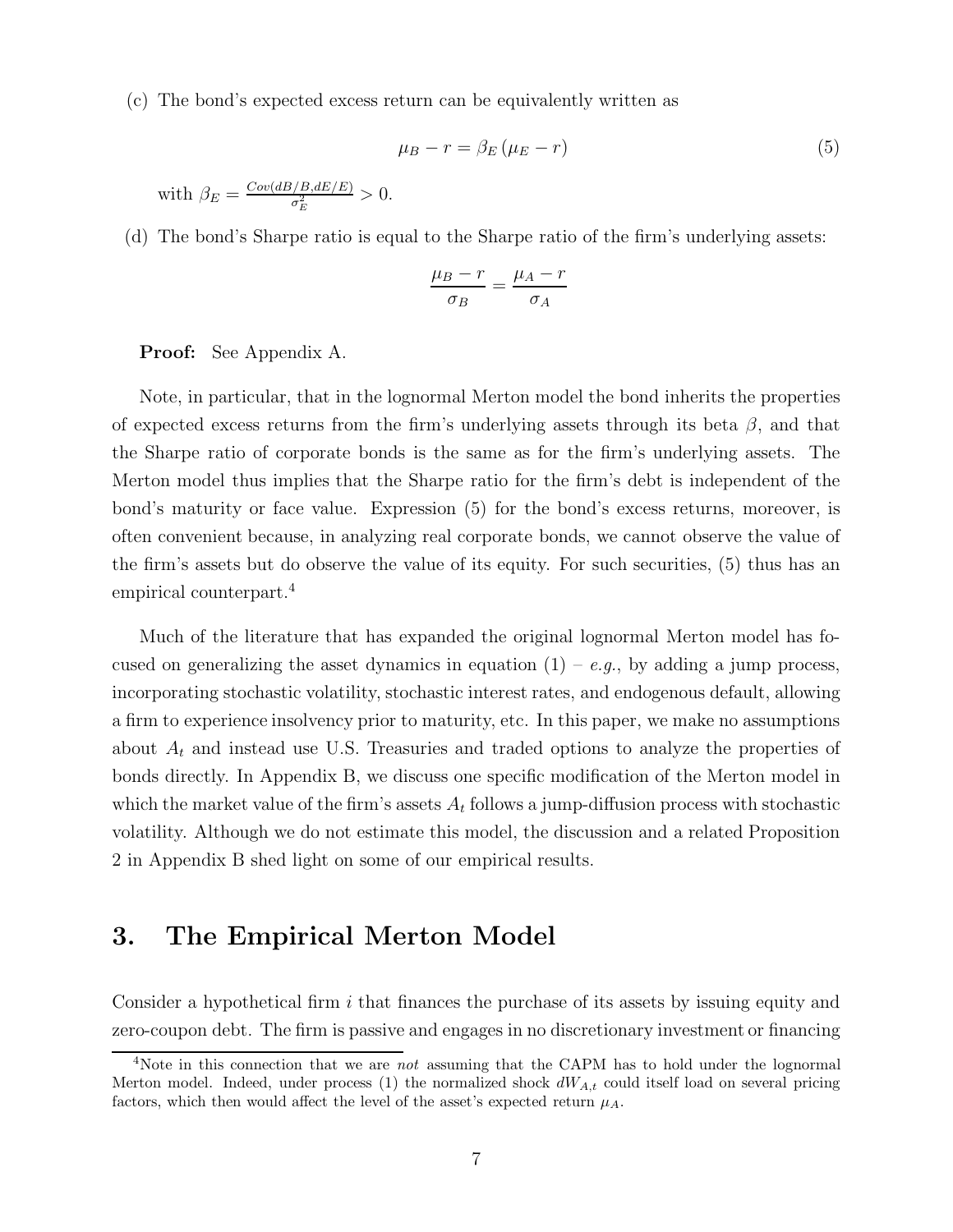(c) The bond's expected excess return can be equivalently written as

$$
\mu_B - r = \beta_E (\mu_E - r) \tag{5}
$$

with  $\beta_E = \frac{Cov(dB/B, dE/E)}{\sigma^2}$  $\frac{\sigma_E^2}{\sigma_E^2} > 0.$ 

(d) The bond's Sharpe ratio is equal to the Sharpe ratio of the firm's underlying assets:

$$
\frac{\mu_B - r}{\sigma_B} = \frac{\mu_A - r}{\sigma_A}
$$

### Proof: See Appendix A.

Note, in particular, that in the lognormal Merton model the bond inherits the properties of expected excess returns from the firm's underlying assets through its beta  $\beta$ , and that the Sharpe ratio of corporate bonds is the same as for the firm's underlying assets. The Merton model thus implies that the Sharpe ratio for the firm's debt is independent of the bond's maturity or face value. Expression (5) for the bond's excess returns, moreover, is often convenient because, in analyzing real corporate bonds, we cannot observe the value of the firm's assets but do observe the value of its equity. For such securities, (5) thus has an empirical counterpart.<sup>4</sup>

Much of the literature that has expanded the original lognormal Merton model has focused on generalizing the asset dynamics in equation  $(1) - e.g.,$  by adding a jump process, incorporating stochastic volatility, stochastic interest rates, and endogenous default, allowing a firm to experience insolvency prior to maturity, etc. In this paper, we make no assumptions about  $A_t$  and instead use U.S. Treasuries and traded options to analyze the properties of bonds directly. In Appendix B, we discuss one specific modification of the Merton model in which the market value of the firm's assets  $A_t$  follows a jump-diffusion process with stochastic volatility. Although we do not estimate this model, the discussion and a related Proposition 2 in Appendix B shed light on some of our empirical results.

## 3. The Empirical Merton Model

Consider a hypothetical firm  $i$  that finances the purchase of its assets by issuing equity and zero-coupon debt. The firm is passive and engages in no discretionary investment or financing

<sup>&</sup>lt;sup>4</sup>Note in this connection that we are *not* assuming that the CAPM has to hold under the lognormal Merton model. Indeed, under process  $(1)$  the normalized shock  $dW_{A,t}$  could itself load on several pricing factors, which then would affect the level of the asset's expected return  $\mu_A$ .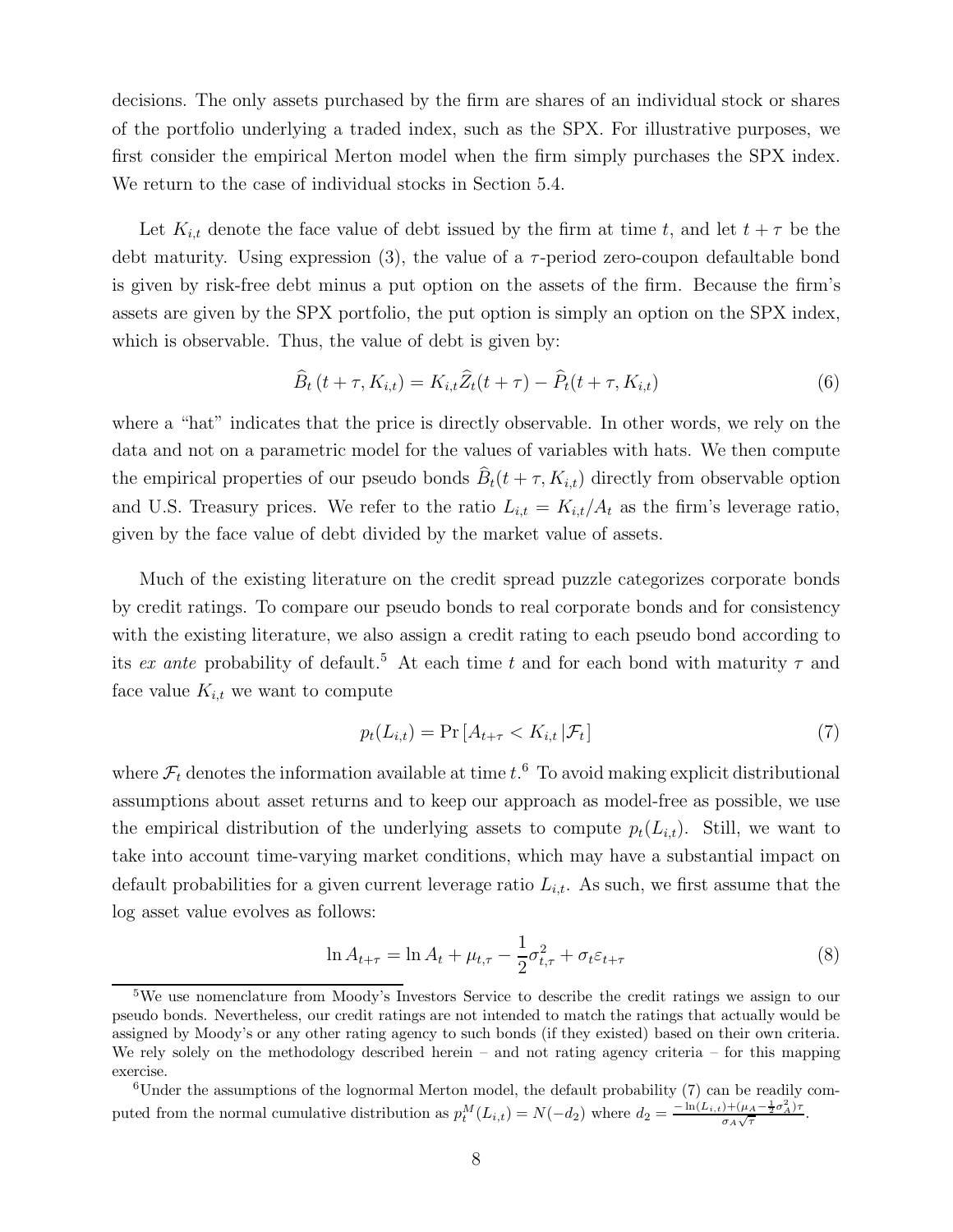decisions. The only assets purchased by the firm are shares of an individual stock or shares of the portfolio underlying a traded index, such as the SPX. For illustrative purposes, we first consider the empirical Merton model when the firm simply purchases the SPX index. We return to the case of individual stocks in Section 5.4.

Let  $K_{i,t}$  denote the face value of debt issued by the firm at time t, and let  $t + \tau$  be the debt maturity. Using expression  $(3)$ , the value of a  $\tau$ -period zero-coupon defaultable bond is given by risk-free debt minus a put option on the assets of the firm. Because the firm's assets are given by the SPX portfolio, the put option is simply an option on the SPX index, which is observable. Thus, the value of debt is given by:

$$
\widehat{B}_t(t+\tau, K_{i,t}) = K_{i,t}\widehat{Z}_t(t+\tau) - \widehat{P}_t(t+\tau, K_{i,t})
$$
\n
$$
\tag{6}
$$

where a "hat" indicates that the price is directly observable. In other words, we rely on the data and not on a parametric model for the values of variables with hats. We then compute the empirical properties of our pseudo bonds  $B_t(t + \tau, K_{i,t})$  directly from observable option and U.S. Treasury prices. We refer to the ratio  $L_{i,t} = K_{i,t}/A_t$  as the firm's leverage ratio, given by the face value of debt divided by the market value of assets.

Much of the existing literature on the credit spread puzzle categorizes corporate bonds by credit ratings. To compare our pseudo bonds to real corporate bonds and for consistency with the existing literature, we also assign a credit rating to each pseudo bond according to its ex ante probability of default.<sup>5</sup> At each time t and for each bond with maturity  $\tau$  and face value  $K_{i,t}$  we want to compute

$$
p_t(L_{i,t}) = \Pr\left[A_{t+\tau} < K_{i,t} \,|\mathcal{F}_t\right] \tag{7}
$$

where  $\mathcal{F}_t$  denotes the information available at time  $t.^6$  To avoid making explicit distributional assumptions about asset returns and to keep our approach as model-free as possible, we use the empirical distribution of the underlying assets to compute  $p_t(L_{i,t})$ . Still, we want to take into account time-varying market conditions, which may have a substantial impact on default probabilities for a given current leverage ratio  $L_{i,t}$ . As such, we first assume that the log asset value evolves as follows:

$$
\ln A_{t+\tau} = \ln A_t + \mu_{t,\tau} - \frac{1}{2}\sigma_{t,\tau}^2 + \sigma_t \varepsilon_{t+\tau}
$$
\n(8)

<sup>&</sup>lt;sup>5</sup>We use nomenclature from Moody's Investors Service to describe the credit ratings we assign to our pseudo bonds. Nevertheless, our credit ratings are not intended to match the ratings that actually would be assigned by Moody's or any other rating agency to such bonds (if they existed) based on their own criteria. We rely solely on the methodology described herein – and not rating agency criteria – for this mapping exercise.

<sup>6</sup>Under the assumptions of the lognormal Merton model, the default probability (7) can be readily computed from the normal cumulative distribution as  $p_t^M(L_{i,t}) = N(-d_2)$  where  $d_2 = \frac{-\ln(L_{i,t}) + (\mu_A - \frac{1}{2}\sigma_A^2)\tau_B}{\sigma_A\sqrt{\tau}}$  $\frac{\partial \Gamma(\mu)}{\partial A \sqrt{\tau}}$ .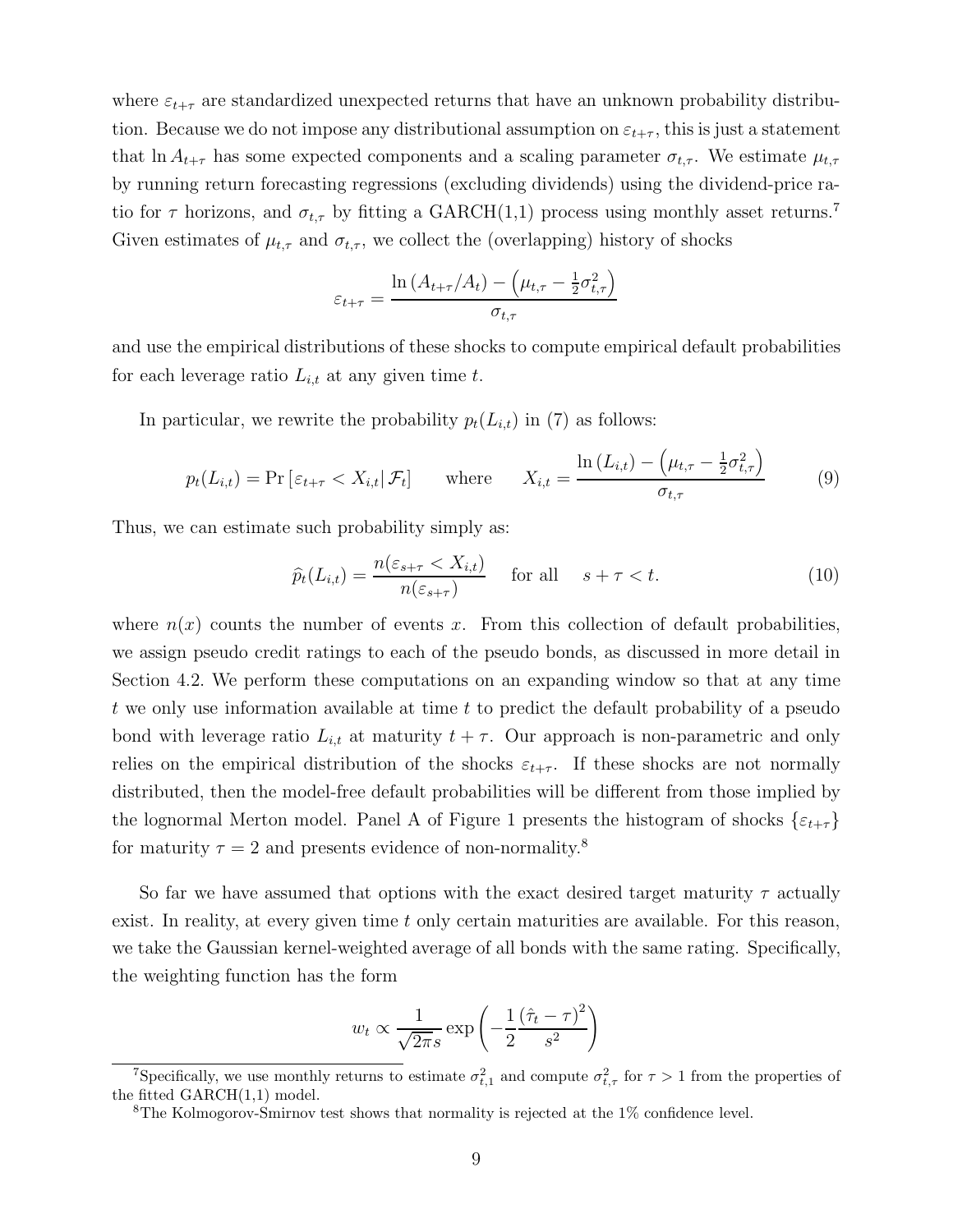where  $\varepsilon_{t+\tau}$  are standardized unexpected returns that have an unknown probability distribution. Because we do not impose any distributional assumption on  $\varepsilon_{t+\tau}$ , this is just a statement that ln  $A_{t+\tau}$  has some expected components and a scaling parameter  $\sigma_{t,\tau}$ . We estimate  $\mu_{t,\tau}$ by running return forecasting regressions (excluding dividends) using the dividend-price ratio for  $\tau$  horizons, and  $\sigma_{t,\tau}$  by fitting a GARCH(1,1) process using monthly asset returns.<sup>7</sup> Given estimates of  $\mu_{t,\tau}$  and  $\sigma_{t,\tau}$ , we collect the (overlapping) history of shocks

$$
\varepsilon_{t+\tau} = \frac{\ln\left(A_{t+\tau}/A_t\right) - \left(\mu_{t,\tau} - \frac{1}{2}\sigma_{t,\tau}^2\right)}{\sigma_{t,\tau}}
$$

and use the empirical distributions of these shocks to compute empirical default probabilities for each leverage ratio  $L_{i,t}$  at any given time t.

In particular, we rewrite the probability  $p_t(L_{i,t})$  in (7) as follows:

$$
p_t(L_{i,t}) = \Pr\left[\varepsilon_{t+\tau} < X_{i,t} | \mathcal{F}_t\right] \qquad \text{where} \qquad X_{i,t} = \frac{\ln\left(L_{i,t}\right) - \left(\mu_{t,\tau} - \frac{1}{2}\sigma_{t,\tau}^2\right)}{\sigma_{t,\tau}} \tag{9}
$$

Thus, we can estimate such probability simply as:

$$
\widehat{p}_t(L_{i,t}) = \frac{n(\varepsilon_{s+\tau} < X_{i,t})}{n(\varepsilon_{s+\tau})} \quad \text{for all} \quad s+\tau < t. \tag{10}
$$

where  $n(x)$  counts the number of events x. From this collection of default probabilities, we assign pseudo credit ratings to each of the pseudo bonds, as discussed in more detail in Section 4.2. We perform these computations on an expanding window so that at any time t we only use information available at time  $t$  to predict the default probability of a pseudo bond with leverage ratio  $L_{i,t}$  at maturity  $t + \tau$ . Our approach is non-parametric and only relies on the empirical distribution of the shocks  $\varepsilon_{t+\tau}$ . If these shocks are not normally distributed, then the model-free default probabilities will be different from those implied by the lognormal Merton model. Panel A of Figure 1 presents the histogram of shocks  $\{\varepsilon_{t+\tau}\}$ for maturity  $\tau = 2$  and presents evidence of non-normality.<sup>8</sup>

So far we have assumed that options with the exact desired target maturity  $\tau$  actually exist. In reality, at every given time  $t$  only certain maturities are available. For this reason, we take the Gaussian kernel-weighted average of all bonds with the same rating. Specifically, the weighting function has the form

$$
w_t \propto \frac{1}{\sqrt{2\pi s}} \exp\left(-\frac{1}{2}\frac{(\hat{\tau}_t - \tau)^2}{s^2}\right)
$$

<sup>&</sup>lt;sup>7</sup>Specifically, we use monthly returns to estimate  $\sigma_{t,1}^2$  and compute  $\sigma_{t,\tau}^2$  for  $\tau > 1$  from the properties of the fitted GARCH(1,1) model.

<sup>8</sup>The Kolmogorov-Smirnov test shows that normality is rejected at the 1% confidence level.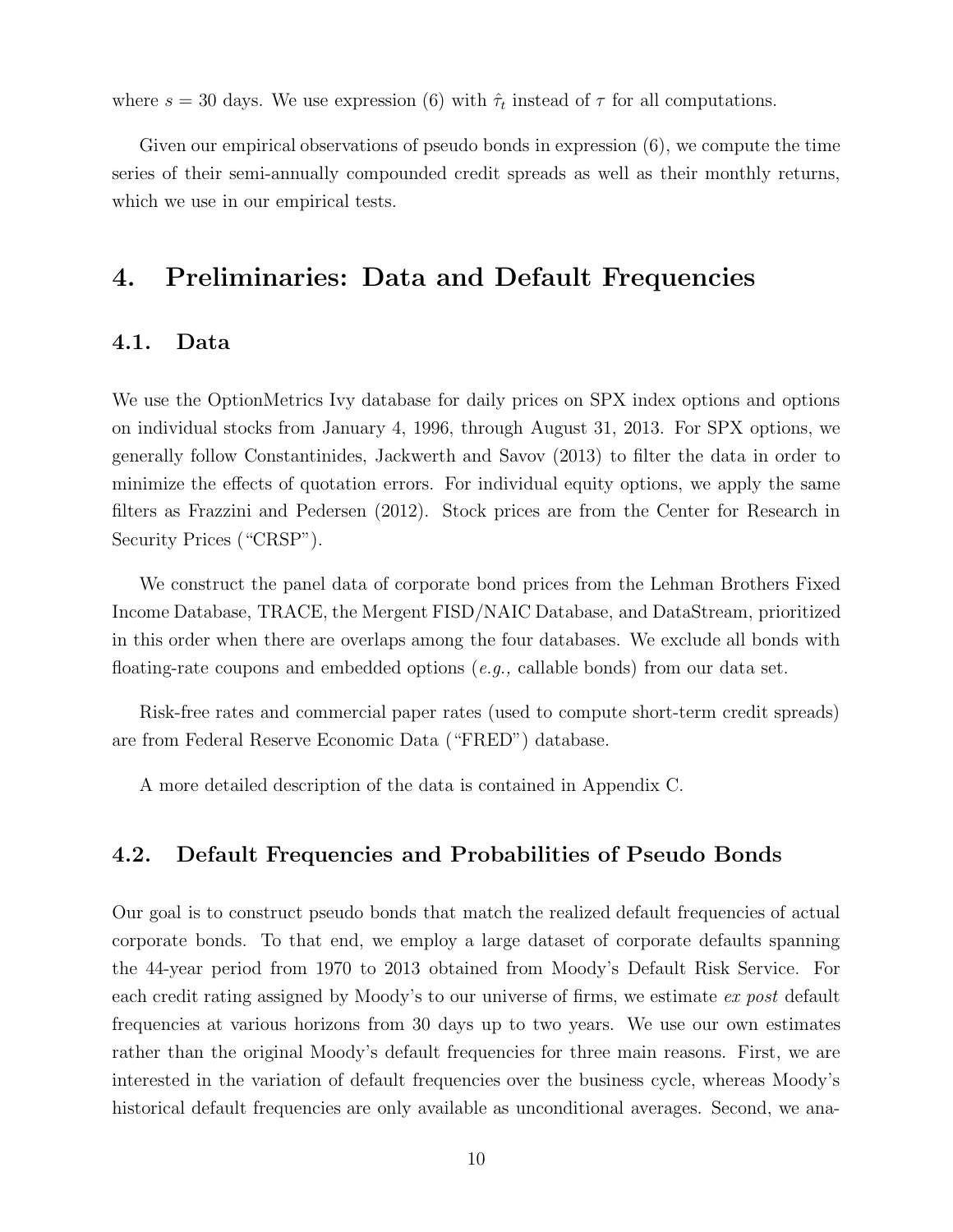where  $s = 30$  days. We use expression (6) with  $\hat{\tau}_t$  instead of  $\tau$  for all computations.

Given our empirical observations of pseudo bonds in expression (6), we compute the time series of their semi-annually compounded credit spreads as well as their monthly returns, which we use in our empirical tests.

# 4. Preliminaries: Data and Default Frequencies

## 4.1. Data

We use the OptionMetrics Ivy database for daily prices on SPX index options and options on individual stocks from January 4, 1996, through August 31, 2013. For SPX options, we generally follow Constantinides, Jackwerth and Savov (2013) to filter the data in order to minimize the effects of quotation errors. For individual equity options, we apply the same filters as Frazzini and Pedersen (2012). Stock prices are from the Center for Research in Security Prices ("CRSP").

We construct the panel data of corporate bond prices from the Lehman Brothers Fixed Income Database, TRACE, the Mergent FISD/NAIC Database, and DataStream, prioritized in this order when there are overlaps among the four databases. We exclude all bonds with floating-rate coupons and embedded options (e.g., callable bonds) from our data set.

Risk-free rates and commercial paper rates (used to compute short-term credit spreads) are from Federal Reserve Economic Data ("FRED") database.

A more detailed description of the data is contained in Appendix C.

## 4.2. Default Frequencies and Probabilities of Pseudo Bonds

Our goal is to construct pseudo bonds that match the realized default frequencies of actual corporate bonds. To that end, we employ a large dataset of corporate defaults spanning the 44-year period from 1970 to 2013 obtained from Moody's Default Risk Service. For each credit rating assigned by Moody's to our universe of firms, we estimate ex post default frequencies at various horizons from 30 days up to two years. We use our own estimates rather than the original Moody's default frequencies for three main reasons. First, we are interested in the variation of default frequencies over the business cycle, whereas Moody's historical default frequencies are only available as unconditional averages. Second, we ana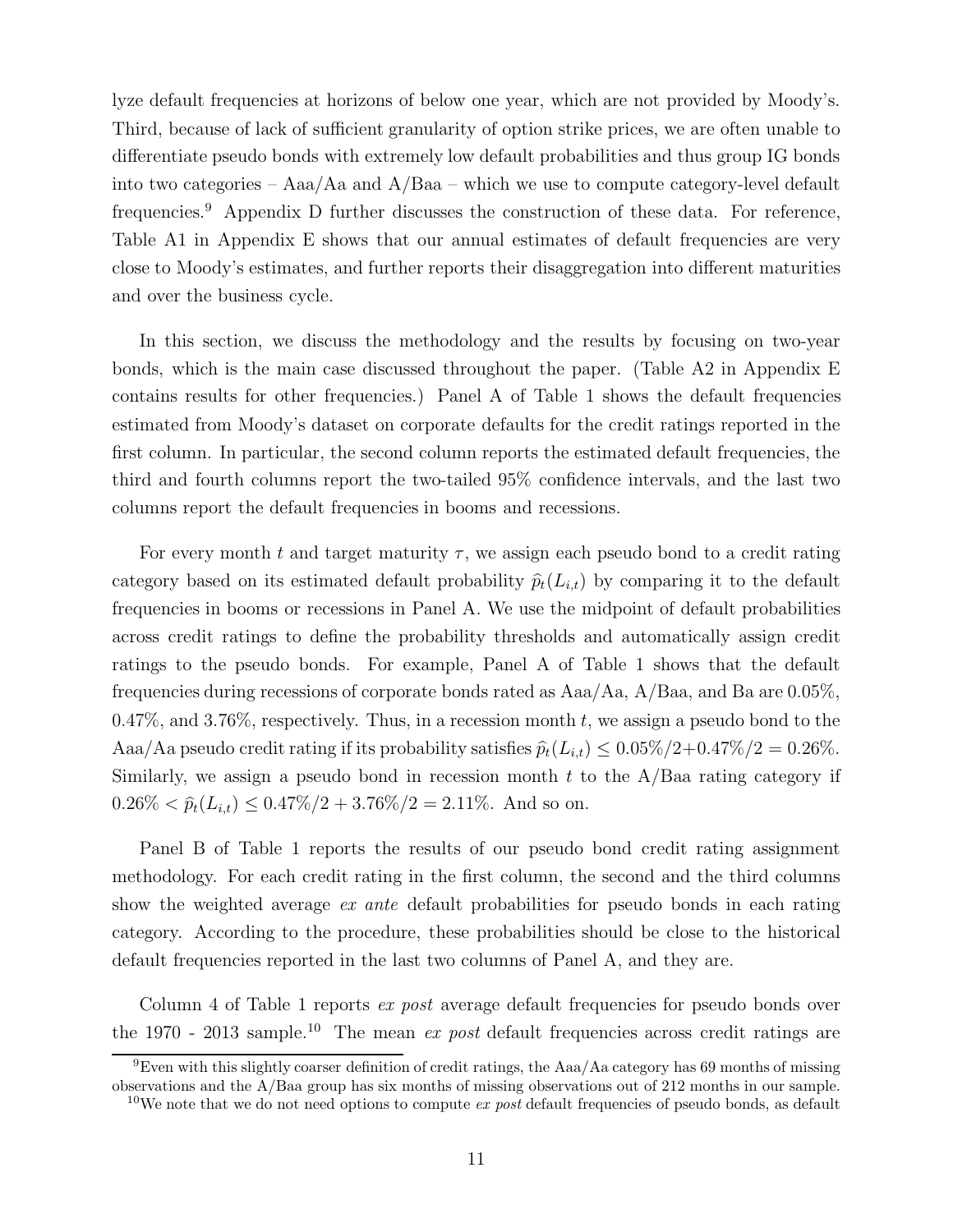lyze default frequencies at horizons of below one year, which are not provided by Moody's. Third, because of lack of sufficient granularity of option strike prices, we are often unable to differentiate pseudo bonds with extremely low default probabilities and thus group IG bonds into two categories – Aaa/Aa and A/Baa – which we use to compute category-level default frequencies.<sup>9</sup> Appendix D further discusses the construction of these data. For reference, Table A1 in Appendix E shows that our annual estimates of default frequencies are very close to Moody's estimates, and further reports their disaggregation into different maturities and over the business cycle.

In this section, we discuss the methodology and the results by focusing on two-year bonds, which is the main case discussed throughout the paper. (Table A2 in Appendix E contains results for other frequencies.) Panel A of Table 1 shows the default frequencies estimated from Moody's dataset on corporate defaults for the credit ratings reported in the first column. In particular, the second column reports the estimated default frequencies, the third and fourth columns report the two-tailed 95% confidence intervals, and the last two columns report the default frequencies in booms and recessions.

For every month t and target maturity  $\tau$ , we assign each pseudo bond to a credit rating category based on its estimated default probability  $\hat{p}_t(L_{i,t})$  by comparing it to the default frequencies in booms or recessions in Panel A. We use the midpoint of default probabilities across credit ratings to define the probability thresholds and automatically assign credit ratings to the pseudo bonds. For example, Panel A of Table 1 shows that the default frequencies during recessions of corporate bonds rated as Aaa/Aa, A/Baa, and Ba are 0.05%, 0.47%, and 3.76%, respectively. Thus, in a recession month t, we assign a pseudo bond to the Aaa/Aa pseudo credit rating if its probability satisfies  $\hat{p}_t(L_{i,t}) \leq 0.05\%/2 + 0.47\%/2 = 0.26\%$ . Similarly, we assign a pseudo bond in recession month  $t$  to the A/Baa rating category if  $0.26\% < \hat{p}_t(L_{i,t}) \leq 0.47\%/2 + 3.76\%/2 = 2.11\%.$  And so on.

Panel B of Table 1 reports the results of our pseudo bond credit rating assignment methodology. For each credit rating in the first column, the second and the third columns show the weighted average *ex ante* default probabilities for pseudo bonds in each rating category. According to the procedure, these probabilities should be close to the historical default frequencies reported in the last two columns of Panel A, and they are.

Column 4 of Table 1 reports *ex post* average default frequencies for pseudo bonds over the 1970 - 2013 sample.<sup>10</sup> The mean ex post default frequencies across credit ratings are

<sup>9</sup>Even with this slightly coarser definition of credit ratings, the Aaa/Aa category has 69 months of missing observations and the A/Baa group has six months of missing observations out of 212 months in our sample.

<sup>&</sup>lt;sup>10</sup>We note that we do not need options to compute ex post default frequencies of pseudo bonds, as default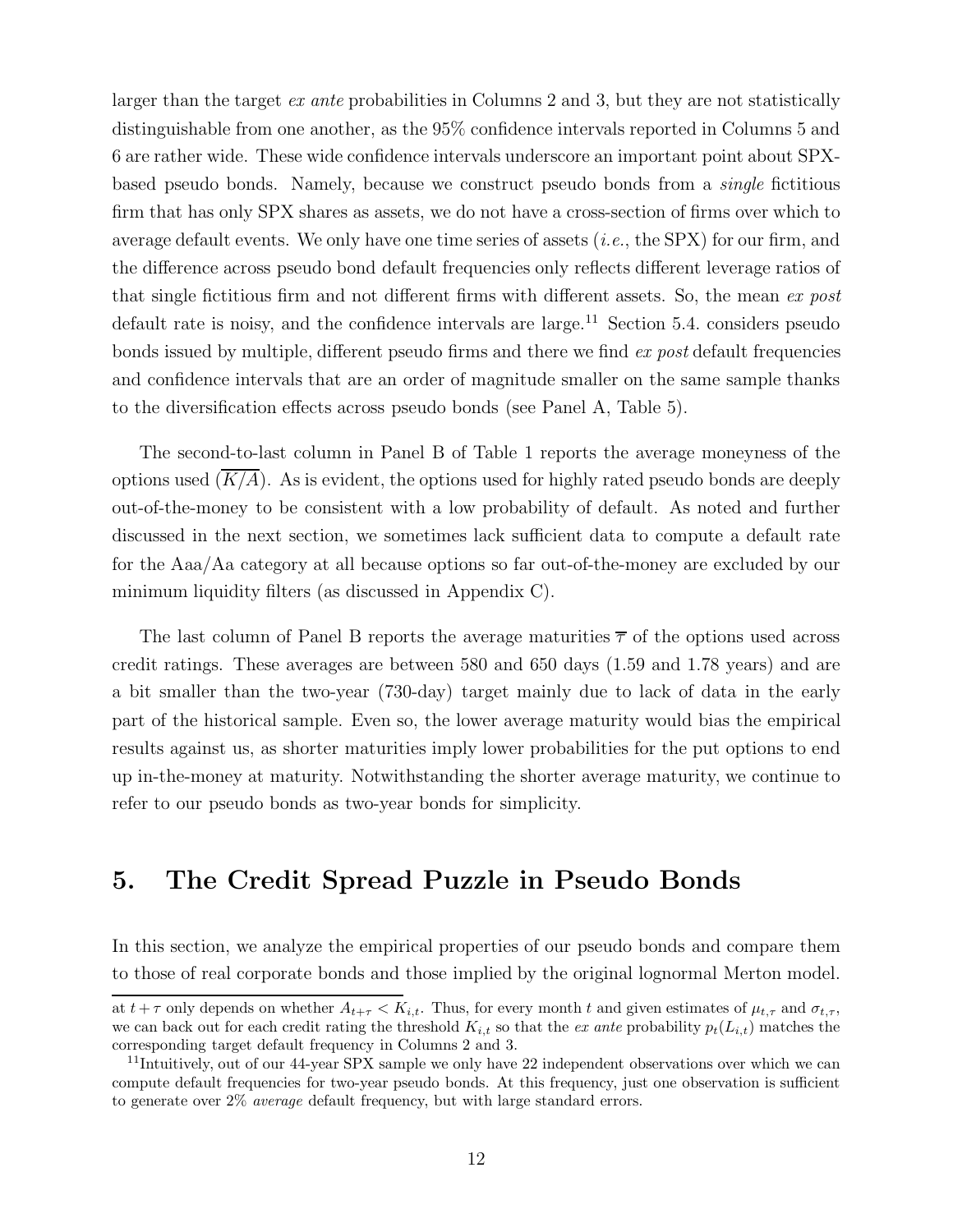larger than the target ex ante probabilities in Columns 2 and 3, but they are not statistically distinguishable from one another, as the 95% confidence intervals reported in Columns 5 and 6 are rather wide. These wide confidence intervals underscore an important point about SPXbased pseudo bonds. Namely, because we construct pseudo bonds from a single fictitious firm that has only SPX shares as assets, we do not have a cross-section of firms over which to average default events. We only have one time series of assets  $(i.e., the SPX)$  for our firm, and the difference across pseudo bond default frequencies only reflects different leverage ratios of that single fictitious firm and not different firms with different assets. So, the mean ex post default rate is noisy, and the confidence intervals are large.<sup>11</sup> Section 5.4. considers pseudo bonds issued by multiple, different pseudo firms and there we find ex post default frequencies and confidence intervals that are an order of magnitude smaller on the same sample thanks to the diversification effects across pseudo bonds (see Panel A, Table 5).

The second-to-last column in Panel B of Table 1 reports the average moneyness of the options used  $(K/A)$ . As is evident, the options used for highly rated pseudo bonds are deeply out-of-the-money to be consistent with a low probability of default. As noted and further discussed in the next section, we sometimes lack sufficient data to compute a default rate for the Aaa/Aa category at all because options so far out-of-the-money are excluded by our minimum liquidity filters (as discussed in Appendix C).

The last column of Panel B reports the average maturities  $\overline{\tau}$  of the options used across credit ratings. These averages are between 580 and 650 days (1.59 and 1.78 years) and are a bit smaller than the two-year (730-day) target mainly due to lack of data in the early part of the historical sample. Even so, the lower average maturity would bias the empirical results against us, as shorter maturities imply lower probabilities for the put options to end up in-the-money at maturity. Notwithstanding the shorter average maturity, we continue to refer to our pseudo bonds as two-year bonds for simplicity.

## 5. The Credit Spread Puzzle in Pseudo Bonds

In this section, we analyze the empirical properties of our pseudo bonds and compare them to those of real corporate bonds and those implied by the original lognormal Merton model.

at  $t + \tau$  only depends on whether  $A_{t+\tau} < K_{i,t}$ . Thus, for every month t and given estimates of  $\mu_{t,\tau}$  and  $\sigma_{t,\tau}$ , we can back out for each credit rating the threshold  $K_{i,t}$  so that the ex ante probability  $p_t(L_{i,t})$  matches the corresponding target default frequency in Columns 2 and 3.

<sup>&</sup>lt;sup>11</sup>Intuitively, out of our 44-year SPX sample we only have 22 independent observations over which we can compute default frequencies for two-year pseudo bonds. At this frequency, just one observation is sufficient to generate over 2% average default frequency, but with large standard errors.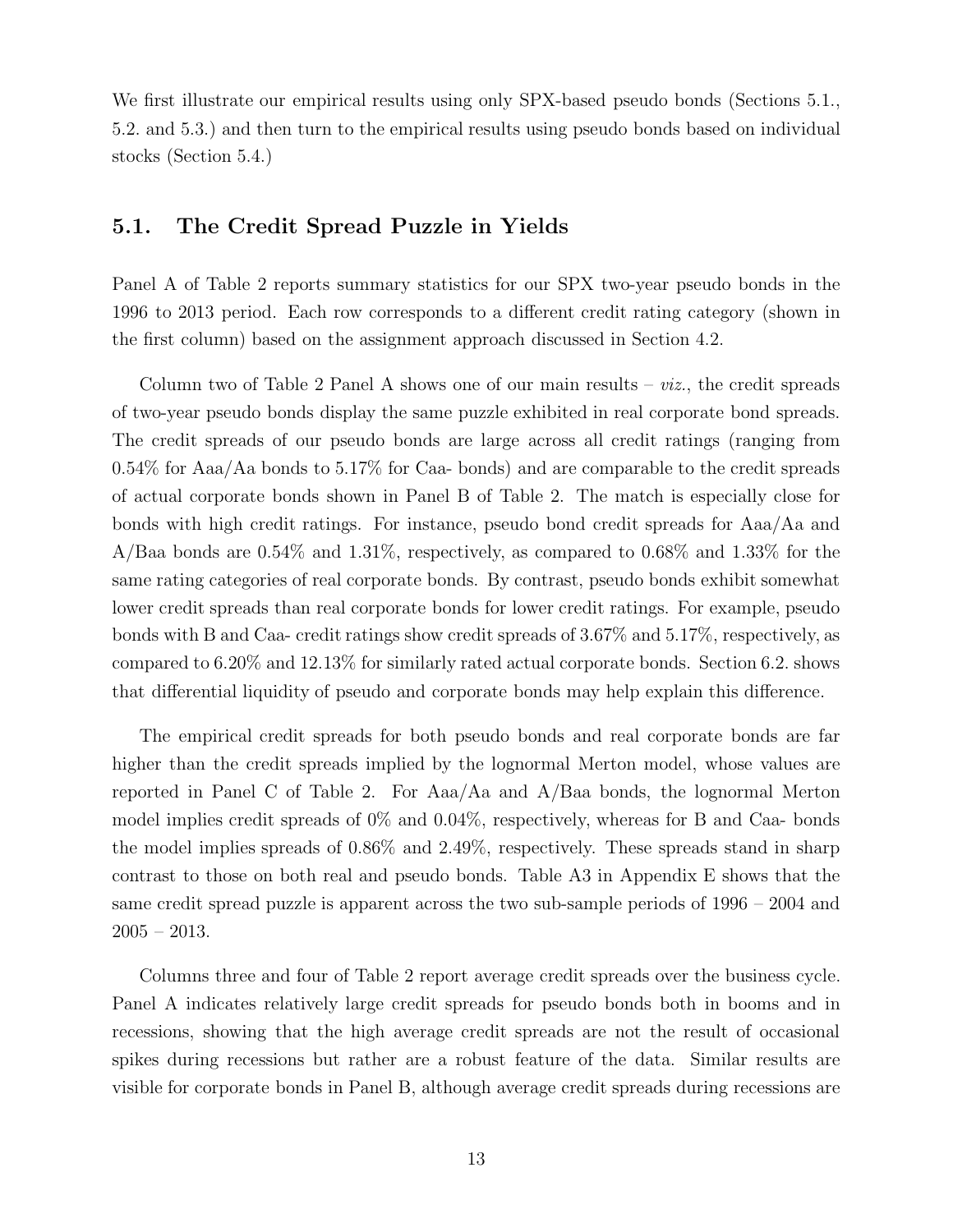We first illustrate our empirical results using only SPX-based pseudo bonds (Sections 5.1., 5.2. and 5.3.) and then turn to the empirical results using pseudo bonds based on individual stocks (Section 5.4.)

## 5.1. The Credit Spread Puzzle in Yields

Panel A of Table 2 reports summary statistics for our SPX two-year pseudo bonds in the 1996 to 2013 period. Each row corresponds to a different credit rating category (shown in the first column) based on the assignment approach discussed in Section 4.2.

Column two of Table 2 Panel A shows one of our main results –  $\dot{v}z$ , the credit spreads of two-year pseudo bonds display the same puzzle exhibited in real corporate bond spreads. The credit spreads of our pseudo bonds are large across all credit ratings (ranging from 0.54% for Aaa/Aa bonds to 5.17% for Caa- bonds) and are comparable to the credit spreads of actual corporate bonds shown in Panel B of Table 2. The match is especially close for bonds with high credit ratings. For instance, pseudo bond credit spreads for Aaa/Aa and A/Baa bonds are 0.54% and 1.31%, respectively, as compared to 0.68% and 1.33% for the same rating categories of real corporate bonds. By contrast, pseudo bonds exhibit somewhat lower credit spreads than real corporate bonds for lower credit ratings. For example, pseudo bonds with B and Caa- credit ratings show credit spreads of 3.67% and 5.17%, respectively, as compared to 6.20% and 12.13% for similarly rated actual corporate bonds. Section 6.2. shows that differential liquidity of pseudo and corporate bonds may help explain this difference.

The empirical credit spreads for both pseudo bonds and real corporate bonds are far higher than the credit spreads implied by the lognormal Merton model, whose values are reported in Panel C of Table 2. For Aaa/Aa and A/Baa bonds, the lognormal Merton model implies credit spreads of 0% and 0.04%, respectively, whereas for B and Caa- bonds the model implies spreads of 0.86% and 2.49%, respectively. These spreads stand in sharp contrast to those on both real and pseudo bonds. Table A3 in Appendix E shows that the same credit spread puzzle is apparent across the two sub-sample periods of 1996 – 2004 and  $2005 - 2013.$ 

Columns three and four of Table 2 report average credit spreads over the business cycle. Panel A indicates relatively large credit spreads for pseudo bonds both in booms and in recessions, showing that the high average credit spreads are not the result of occasional spikes during recessions but rather are a robust feature of the data. Similar results are visible for corporate bonds in Panel B, although average credit spreads during recessions are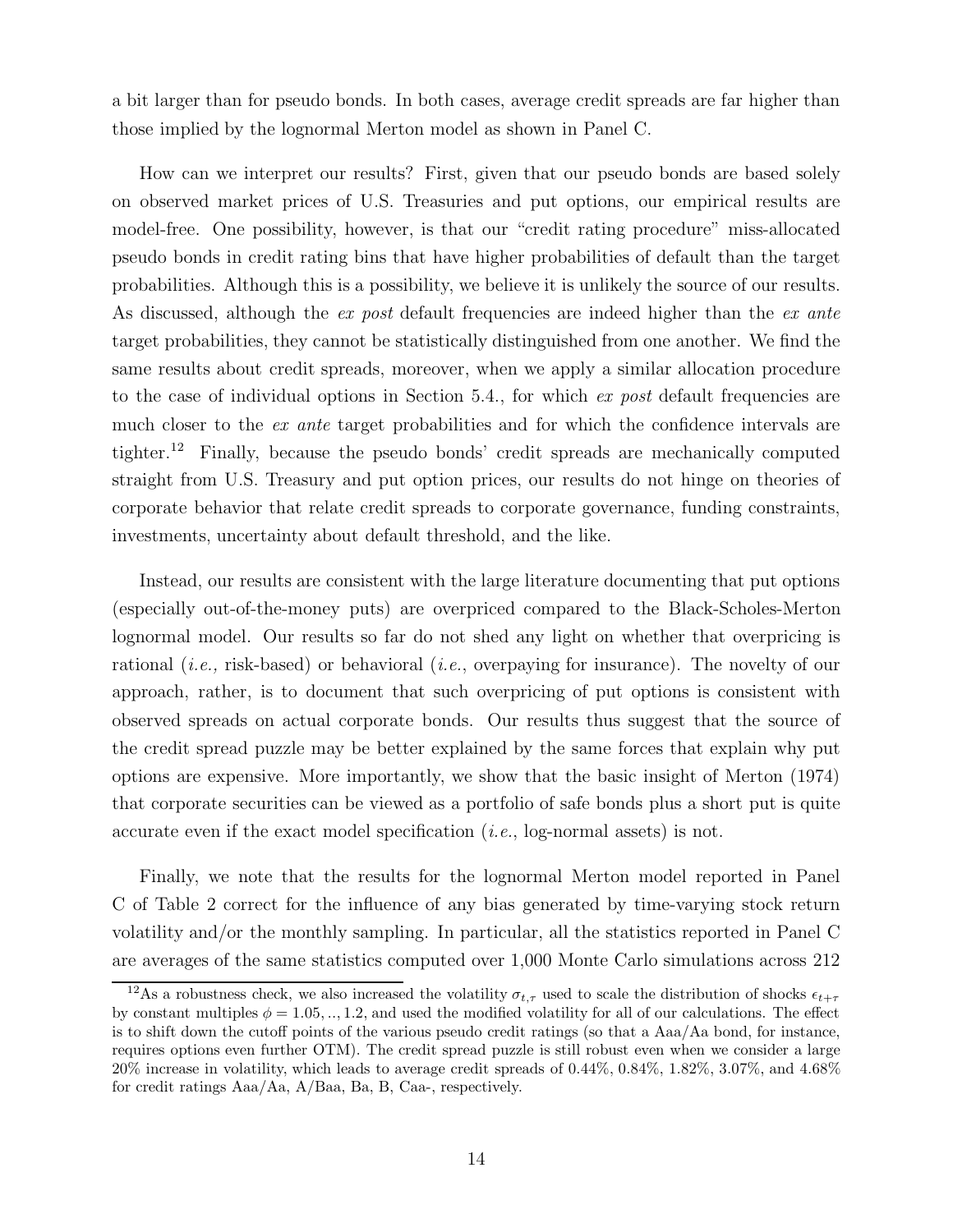a bit larger than for pseudo bonds. In both cases, average credit spreads are far higher than those implied by the lognormal Merton model as shown in Panel C.

How can we interpret our results? First, given that our pseudo bonds are based solely on observed market prices of U.S. Treasuries and put options, our empirical results are model-free. One possibility, however, is that our "credit rating procedure" miss-allocated pseudo bonds in credit rating bins that have higher probabilities of default than the target probabilities. Although this is a possibility, we believe it is unlikely the source of our results. As discussed, although the ex post default frequencies are indeed higher than the ex ante target probabilities, they cannot be statistically distinguished from one another. We find the same results about credit spreads, moreover, when we apply a similar allocation procedure to the case of individual options in Section 5.4., for which  $ex$  post default frequencies are much closer to the *ex ante* target probabilities and for which the confidence intervals are tighter.<sup>12</sup> Finally, because the pseudo bonds' credit spreads are mechanically computed straight from U.S. Treasury and put option prices, our results do not hinge on theories of corporate behavior that relate credit spreads to corporate governance, funding constraints, investments, uncertainty about default threshold, and the like.

Instead, our results are consistent with the large literature documenting that put options (especially out-of-the-money puts) are overpriced compared to the Black-Scholes-Merton lognormal model. Our results so far do not shed any light on whether that overpricing is rational (*i.e.*, risk-based) or behavioral (*i.e.*, overpaying for insurance). The novelty of our approach, rather, is to document that such overpricing of put options is consistent with observed spreads on actual corporate bonds. Our results thus suggest that the source of the credit spread puzzle may be better explained by the same forces that explain why put options are expensive. More importantly, we show that the basic insight of Merton (1974) that corporate securities can be viewed as a portfolio of safe bonds plus a short put is quite accurate even if the exact model specification (i.e., log-normal assets) is not.

Finally, we note that the results for the lognormal Merton model reported in Panel C of Table 2 correct for the influence of any bias generated by time-varying stock return volatility and/or the monthly sampling. In particular, all the statistics reported in Panel C are averages of the same statistics computed over 1,000 Monte Carlo simulations across 212

 $\frac{12}{12}$ As a robustness check, we also increased the volatility  $\sigma_{t,\tau}$  used to scale the distribution of shocks  $\epsilon_{t+\tau}$ by constant multiples  $\phi = 1.05, ..., 1.2$ , and used the modified volatility for all of our calculations. The effect is to shift down the cutoff points of the various pseudo credit ratings (so that a Aaa/Aa bond, for instance, requires options even further OTM). The credit spread puzzle is still robust even when we consider a large 20% increase in volatility, which leads to average credit spreads of 0.44%, 0.84%, 1.82%, 3.07%, and 4.68% for credit ratings Aaa/Aa, A/Baa, Ba, B, Caa-, respectively.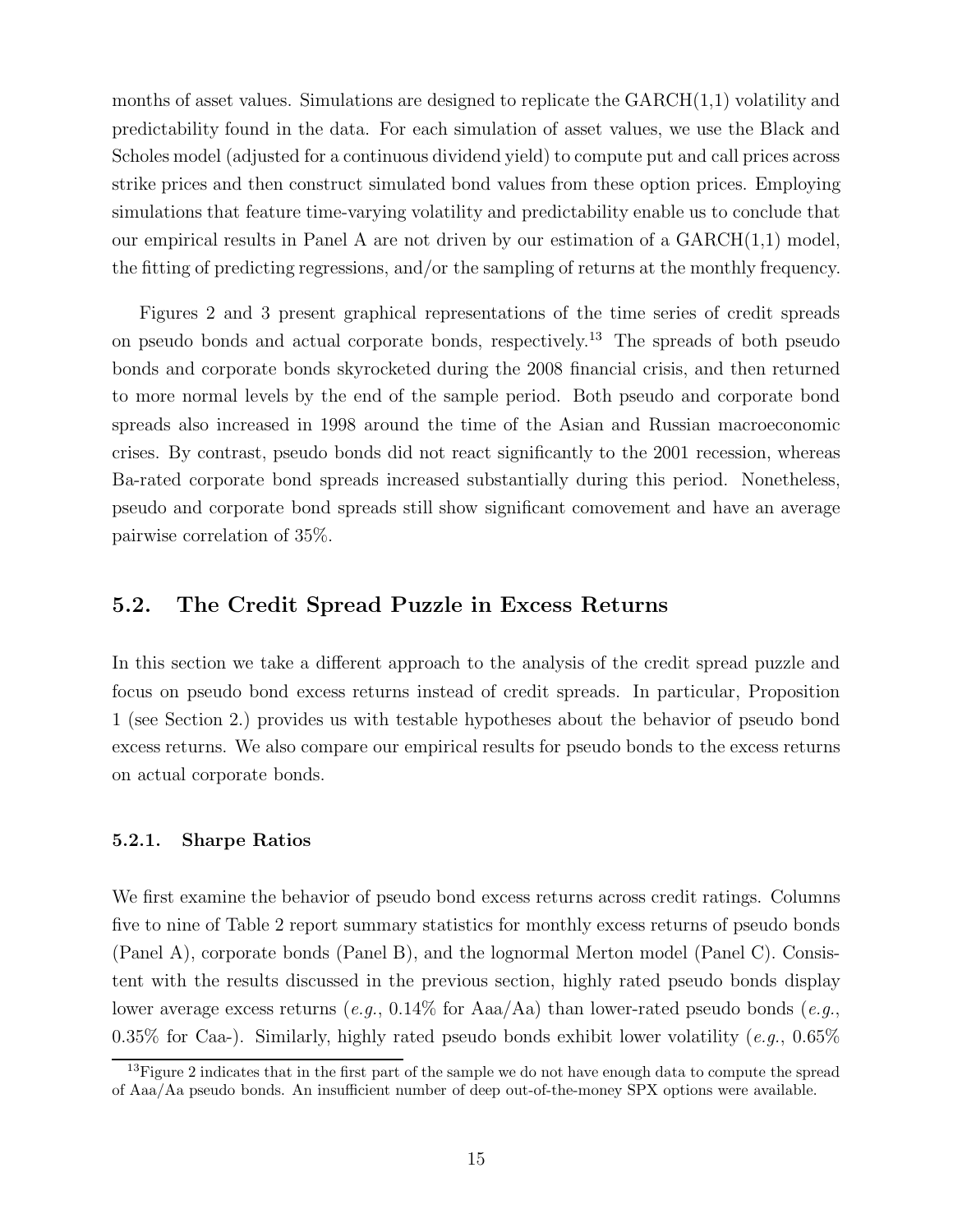months of asset values. Simulations are designed to replicate the  $GARCH(1,1)$  volatility and predictability found in the data. For each simulation of asset values, we use the Black and Scholes model (adjusted for a continuous dividend yield) to compute put and call prices across strike prices and then construct simulated bond values from these option prices. Employing simulations that feature time-varying volatility and predictability enable us to conclude that our empirical results in Panel A are not driven by our estimation of a  $GARCH(1,1)$  model, the fitting of predicting regressions, and/or the sampling of returns at the monthly frequency.

Figures 2 and 3 present graphical representations of the time series of credit spreads on pseudo bonds and actual corporate bonds, respectively.<sup>13</sup> The spreads of both pseudo bonds and corporate bonds skyrocketed during the 2008 financial crisis, and then returned to more normal levels by the end of the sample period. Both pseudo and corporate bond spreads also increased in 1998 around the time of the Asian and Russian macroeconomic crises. By contrast, pseudo bonds did not react significantly to the 2001 recession, whereas Ba-rated corporate bond spreads increased substantially during this period. Nonetheless, pseudo and corporate bond spreads still show significant comovement and have an average pairwise correlation of 35%.

## 5.2. The Credit Spread Puzzle in Excess Returns

In this section we take a different approach to the analysis of the credit spread puzzle and focus on pseudo bond excess returns instead of credit spreads. In particular, Proposition 1 (see Section 2.) provides us with testable hypotheses about the behavior of pseudo bond excess returns. We also compare our empirical results for pseudo bonds to the excess returns on actual corporate bonds.

### 5.2.1. Sharpe Ratios

We first examine the behavior of pseudo bond excess returns across credit ratings. Columns five to nine of Table 2 report summary statistics for monthly excess returns of pseudo bonds (Panel A), corporate bonds (Panel B), and the lognormal Merton model (Panel C). Consistent with the results discussed in the previous section, highly rated pseudo bonds display lower average excess returns (e.g.,  $0.14\%$  for Aaa/Aa) than lower-rated pseudo bonds (e.g., 0.35% for Caa-). Similarly, highly rated pseudo bonds exhibit lower volatility (e.g.,  $0.65\%$ )

 $13$ Figure 2 indicates that in the first part of the sample we do not have enough data to compute the spread of Aaa/Aa pseudo bonds. An insufficient number of deep out-of-the-money SPX options were available.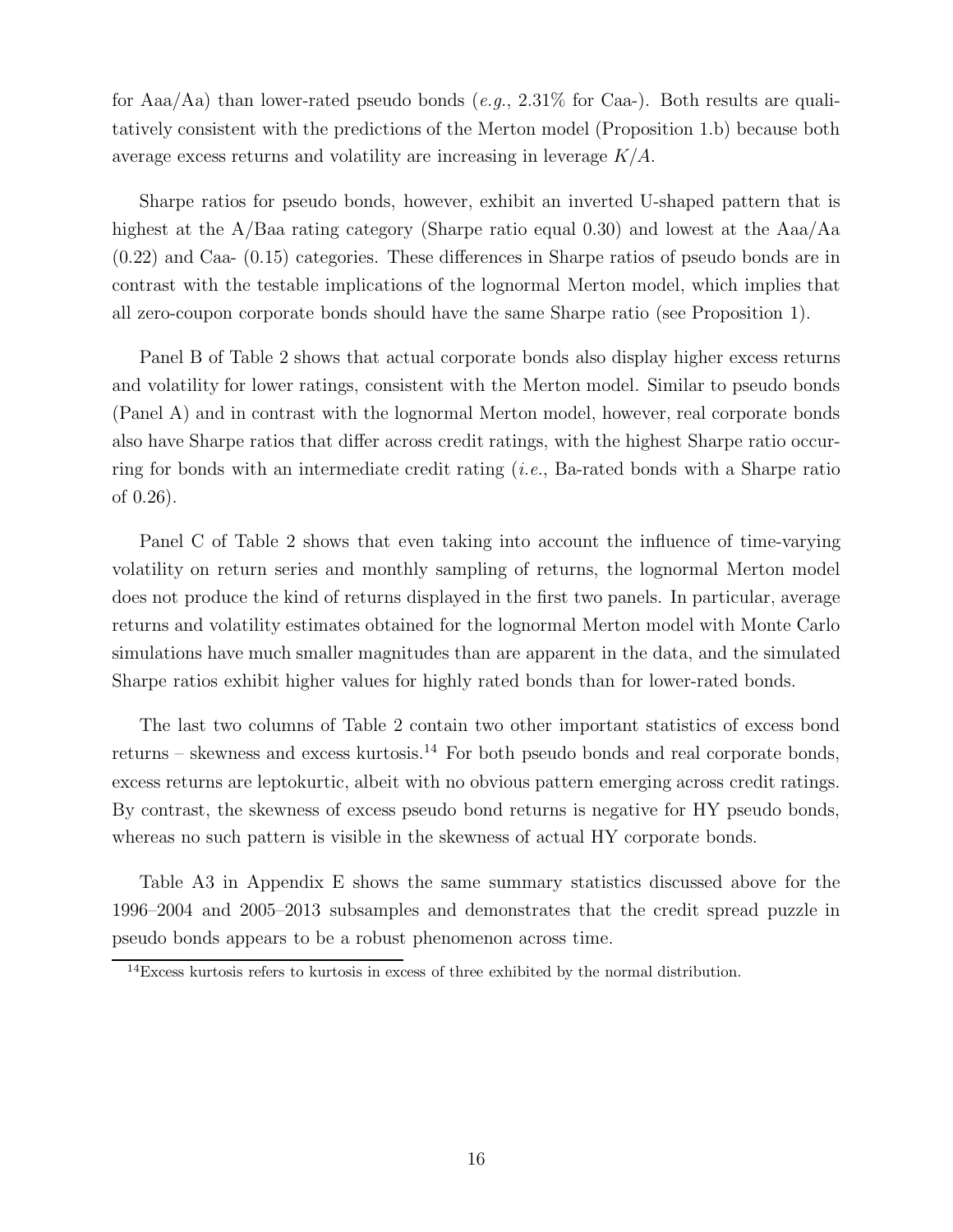for Aaa/Aa) than lower-rated pseudo bonds (e.g.,  $2.31\%$  for Caa-). Both results are qualitatively consistent with the predictions of the Merton model (Proposition 1.b) because both average excess returns and volatility are increasing in leverage  $K/A$ .

Sharpe ratios for pseudo bonds, however, exhibit an inverted U-shaped pattern that is highest at the A/Baa rating category (Sharpe ratio equal 0.30) and lowest at the Aaa/Aa (0.22) and Caa- (0.15) categories. These differences in Sharpe ratios of pseudo bonds are in contrast with the testable implications of the lognormal Merton model, which implies that all zero-coupon corporate bonds should have the same Sharpe ratio (see Proposition 1).

Panel B of Table 2 shows that actual corporate bonds also display higher excess returns and volatility for lower ratings, consistent with the Merton model. Similar to pseudo bonds (Panel A) and in contrast with the lognormal Merton model, however, real corporate bonds also have Sharpe ratios that differ across credit ratings, with the highest Sharpe ratio occurring for bonds with an intermediate credit rating  $(i.e.,$  Ba-rated bonds with a Sharpe ratio of 0.26).

Panel C of Table 2 shows that even taking into account the influence of time-varying volatility on return series and monthly sampling of returns, the lognormal Merton model does not produce the kind of returns displayed in the first two panels. In particular, average returns and volatility estimates obtained for the lognormal Merton model with Monte Carlo simulations have much smaller magnitudes than are apparent in the data, and the simulated Sharpe ratios exhibit higher values for highly rated bonds than for lower-rated bonds.

The last two columns of Table 2 contain two other important statistics of excess bond returns – skewness and excess kurtosis.<sup>14</sup> For both pseudo bonds and real corporate bonds, excess returns are leptokurtic, albeit with no obvious pattern emerging across credit ratings. By contrast, the skewness of excess pseudo bond returns is negative for HY pseudo bonds, whereas no such pattern is visible in the skewness of actual HY corporate bonds.

Table A3 in Appendix E shows the same summary statistics discussed above for the 1996–2004 and 2005–2013 subsamples and demonstrates that the credit spread puzzle in pseudo bonds appears to be a robust phenomenon across time.

<sup>&</sup>lt;sup>14</sup>Excess kurtosis refers to kurtosis in excess of three exhibited by the normal distribution.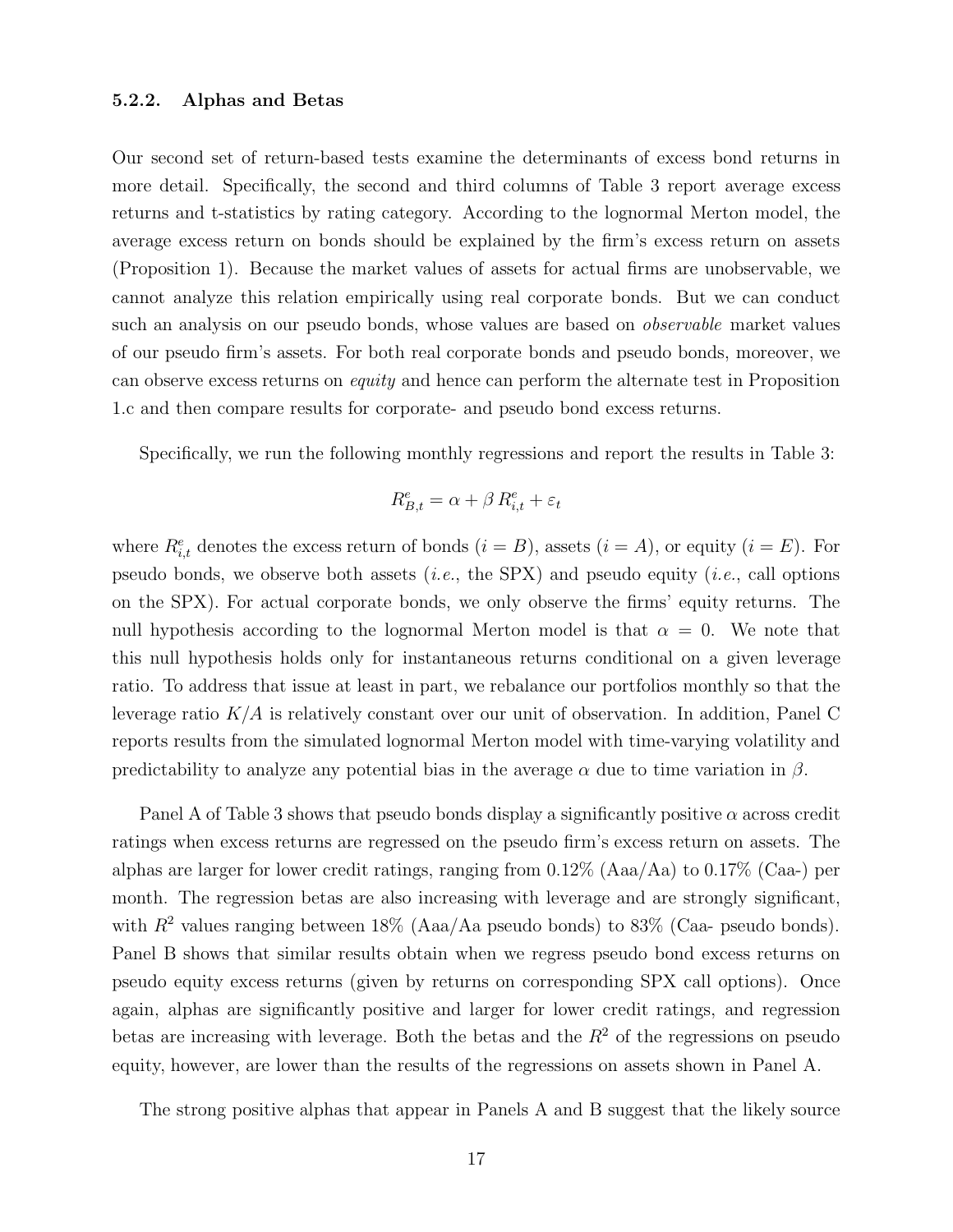### 5.2.2. Alphas and Betas

Our second set of return-based tests examine the determinants of excess bond returns in more detail. Specifically, the second and third columns of Table 3 report average excess returns and t-statistics by rating category. According to the lognormal Merton model, the average excess return on bonds should be explained by the firm's excess return on assets (Proposition 1). Because the market values of assets for actual firms are unobservable, we cannot analyze this relation empirically using real corporate bonds. But we can conduct such an analysis on our pseudo bonds, whose values are based on *observable* market values of our pseudo firm's assets. For both real corporate bonds and pseudo bonds, moreover, we can observe excess returns on equity and hence can perform the alternate test in Proposition 1.c and then compare results for corporate- and pseudo bond excess returns.

Specifically, we run the following monthly regressions and report the results in Table 3:

$$
R_{B,t}^e = \alpha + \beta \, R_{i,t}^e + \varepsilon_t
$$

where  $R_{i,t}^e$  denotes the excess return of bonds  $(i = B)$ , assets  $(i = A)$ , or equity  $(i = E)$ . For pseudo bonds, we observe both assets (*i.e.*, the SPX) and pseudo equity (*i.e.*, call options on the SPX). For actual corporate bonds, we only observe the firms' equity returns. The null hypothesis according to the lognormal Merton model is that  $\alpha = 0$ . We note that this null hypothesis holds only for instantaneous returns conditional on a given leverage ratio. To address that issue at least in part, we rebalance our portfolios monthly so that the leverage ratio  $K/A$  is relatively constant over our unit of observation. In addition, Panel C reports results from the simulated lognormal Merton model with time-varying volatility and predictability to analyze any potential bias in the average  $\alpha$  due to time variation in  $\beta$ .

Panel A of Table 3 shows that pseudo bonds display a significantly positive  $\alpha$  across credit ratings when excess returns are regressed on the pseudo firm's excess return on assets. The alphas are larger for lower credit ratings, ranging from 0.12% (Aaa/Aa) to 0.17% (Caa-) per month. The regression betas are also increasing with leverage and are strongly significant, with  $R^2$  values ranging between 18% (Aaa/Aa pseudo bonds) to 83% (Caa- pseudo bonds). Panel B shows that similar results obtain when we regress pseudo bond excess returns on pseudo equity excess returns (given by returns on corresponding SPX call options). Once again, alphas are significantly positive and larger for lower credit ratings, and regression betas are increasing with leverage. Both the betas and the  $R<sup>2</sup>$  of the regressions on pseudo equity, however, are lower than the results of the regressions on assets shown in Panel A.

The strong positive alphas that appear in Panels A and B suggest that the likely source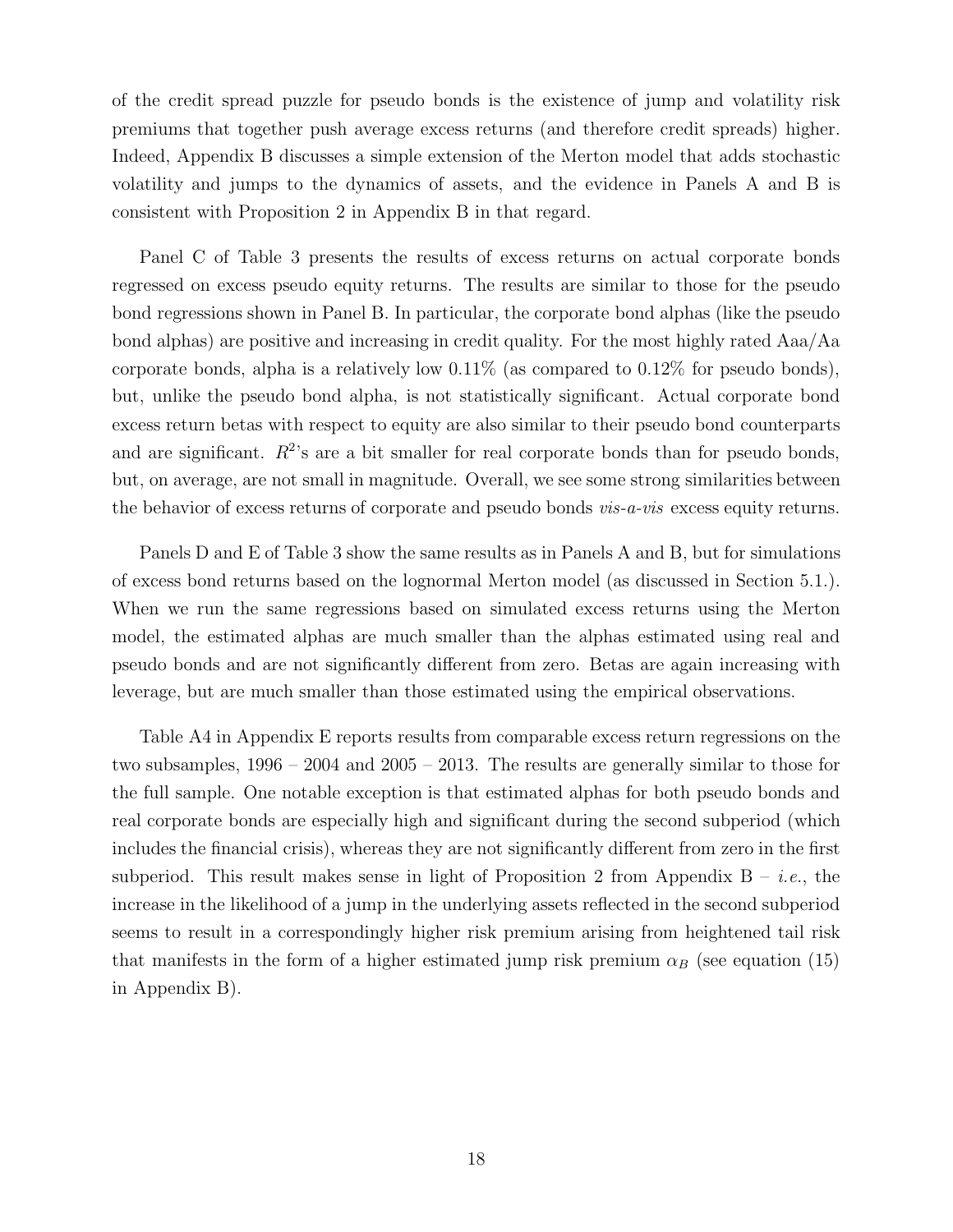of the credit spread puzzle for pseudo bonds is the existence of jump and volatility risk premiums that together push average excess returns (and therefore credit spreads) higher. Indeed, Appendix B discusses a simple extension of the Merton model that adds stochastic volatility and jumps to the dynamics of assets, and the evidence in Panels A and B is consistent with Proposition 2 in Appendix B in that regard.

Panel C of Table 3 presents the results of excess returns on actual corporate bonds regressed on excess pseudo equity returns. The results are similar to those for the pseudo bond regressions shown in Panel B. In particular, the corporate bond alphas (like the pseudo bond alphas) are positive and increasing in credit quality. For the most highly rated Aaa/Aa corporate bonds, alpha is a relatively low  $0.11\%$  (as compared to  $0.12\%$  for pseudo bonds). but, unlike the pseudo bond alpha, is not statistically significant. Actual corporate bond excess return betas with respect to equity are also similar to their pseudo bond counterparts and are significant.  $R^2$ 's are a bit smaller for real corporate bonds than for pseudo bonds, but, on average, are not small in magnitude. Overall, we see some strong similarities between the behavior of excess returns of corporate and pseudo bonds *vis-a-vis* excess equity returns.

Panels D and E of Table 3 show the same results as in Panels A and B, but for simulations of excess bond returns based on the lognormal Merton model (as discussed in Section 5.1.). When we run the same regressions based on simulated excess returns using the Merton model, the estimated alphas are much smaller than the alphas estimated using real and pseudo bonds and are not significantly different from zero. Betas are again increasing with leverage, but are much smaller than those estimated using the empirical observations.

Table A4 in Appendix E reports results from comparable excess return regressions on the two subsamples, 1996 – 2004 and 2005 – 2013. The results are generally similar to those for the full sample. One notable exception is that estimated alphas for both pseudo bonds and real corporate bonds are especially high and significant during the second subperiod (which includes the financial crisis), whereas they are not significantly different from zero in the first subperiod. This result makes sense in light of Proposition 2 from Appendix  $B - i.e.,$  the increase in the likelihood of a jump in the underlying assets reflected in the second subperiod seems to result in a correspondingly higher risk premium arising from heightened tail risk that manifests in the form of a higher estimated jump risk premium  $\alpha_B$  (see equation (15) in Appendix B).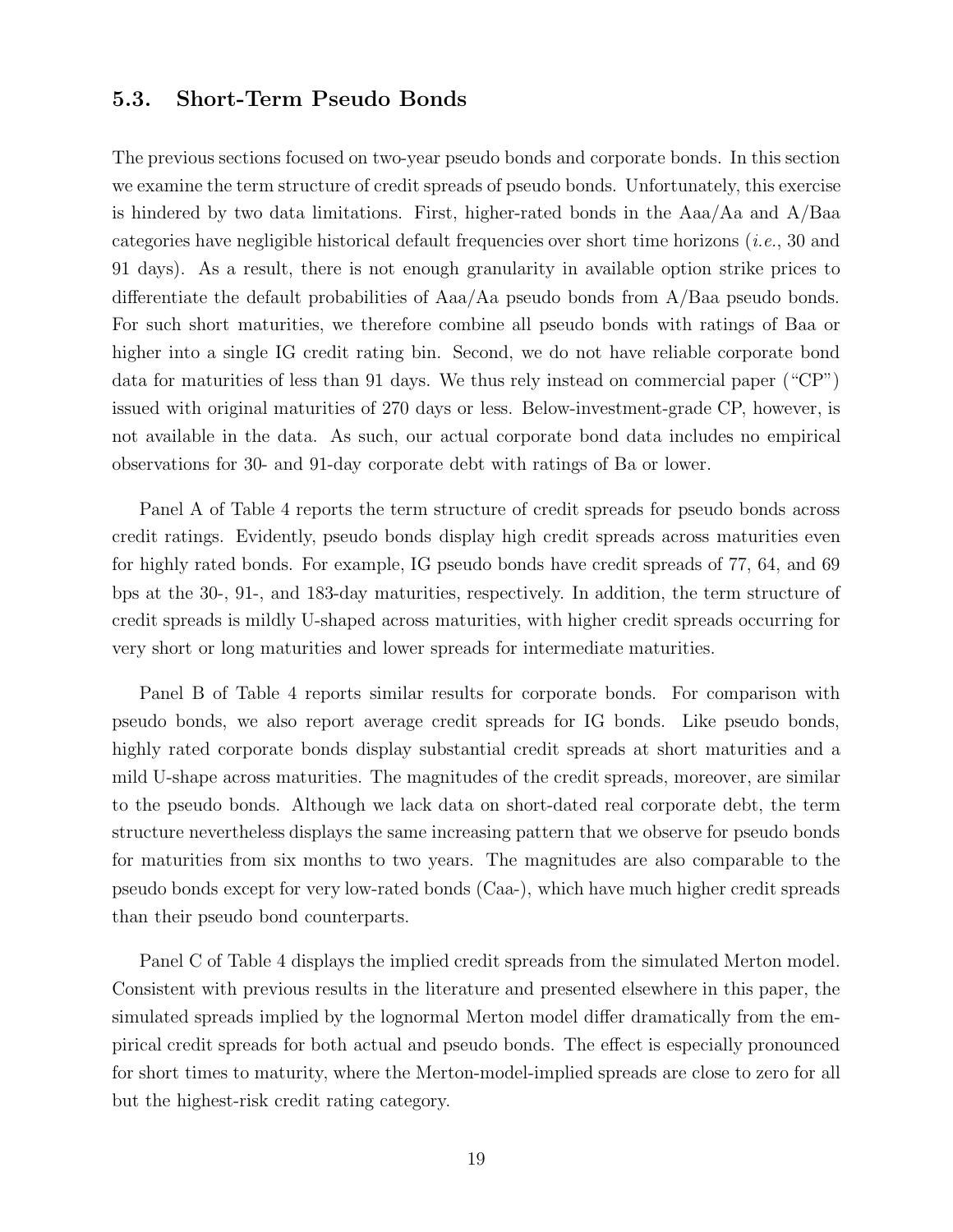## 5.3. Short-Term Pseudo Bonds

The previous sections focused on two-year pseudo bonds and corporate bonds. In this section we examine the term structure of credit spreads of pseudo bonds. Unfortunately, this exercise is hindered by two data limitations. First, higher-rated bonds in the  $Aaa/Aa$  and  $A/Baa$ categories have negligible historical default frequencies over short time horizons (i.e., 30 and 91 days). As a result, there is not enough granularity in available option strike prices to differentiate the default probabilities of Aaa/Aa pseudo bonds from A/Baa pseudo bonds. For such short maturities, we therefore combine all pseudo bonds with ratings of Baa or higher into a single IG credit rating bin. Second, we do not have reliable corporate bond data for maturities of less than 91 days. We thus rely instead on commercial paper ("CP") issued with original maturities of 270 days or less. Below-investment-grade CP, however, is not available in the data. As such, our actual corporate bond data includes no empirical observations for 30- and 91-day corporate debt with ratings of Ba or lower.

Panel A of Table 4 reports the term structure of credit spreads for pseudo bonds across credit ratings. Evidently, pseudo bonds display high credit spreads across maturities even for highly rated bonds. For example, IG pseudo bonds have credit spreads of 77, 64, and 69 bps at the 30-, 91-, and 183-day maturities, respectively. In addition, the term structure of credit spreads is mildly U-shaped across maturities, with higher credit spreads occurring for very short or long maturities and lower spreads for intermediate maturities.

Panel B of Table 4 reports similar results for corporate bonds. For comparison with pseudo bonds, we also report average credit spreads for IG bonds. Like pseudo bonds, highly rated corporate bonds display substantial credit spreads at short maturities and a mild U-shape across maturities. The magnitudes of the credit spreads, moreover, are similar to the pseudo bonds. Although we lack data on short-dated real corporate debt, the term structure nevertheless displays the same increasing pattern that we observe for pseudo bonds for maturities from six months to two years. The magnitudes are also comparable to the pseudo bonds except for very low-rated bonds (Caa-), which have much higher credit spreads than their pseudo bond counterparts.

Panel C of Table 4 displays the implied credit spreads from the simulated Merton model. Consistent with previous results in the literature and presented elsewhere in this paper, the simulated spreads implied by the lognormal Merton model differ dramatically from the empirical credit spreads for both actual and pseudo bonds. The effect is especially pronounced for short times to maturity, where the Merton-model-implied spreads are close to zero for all but the highest-risk credit rating category.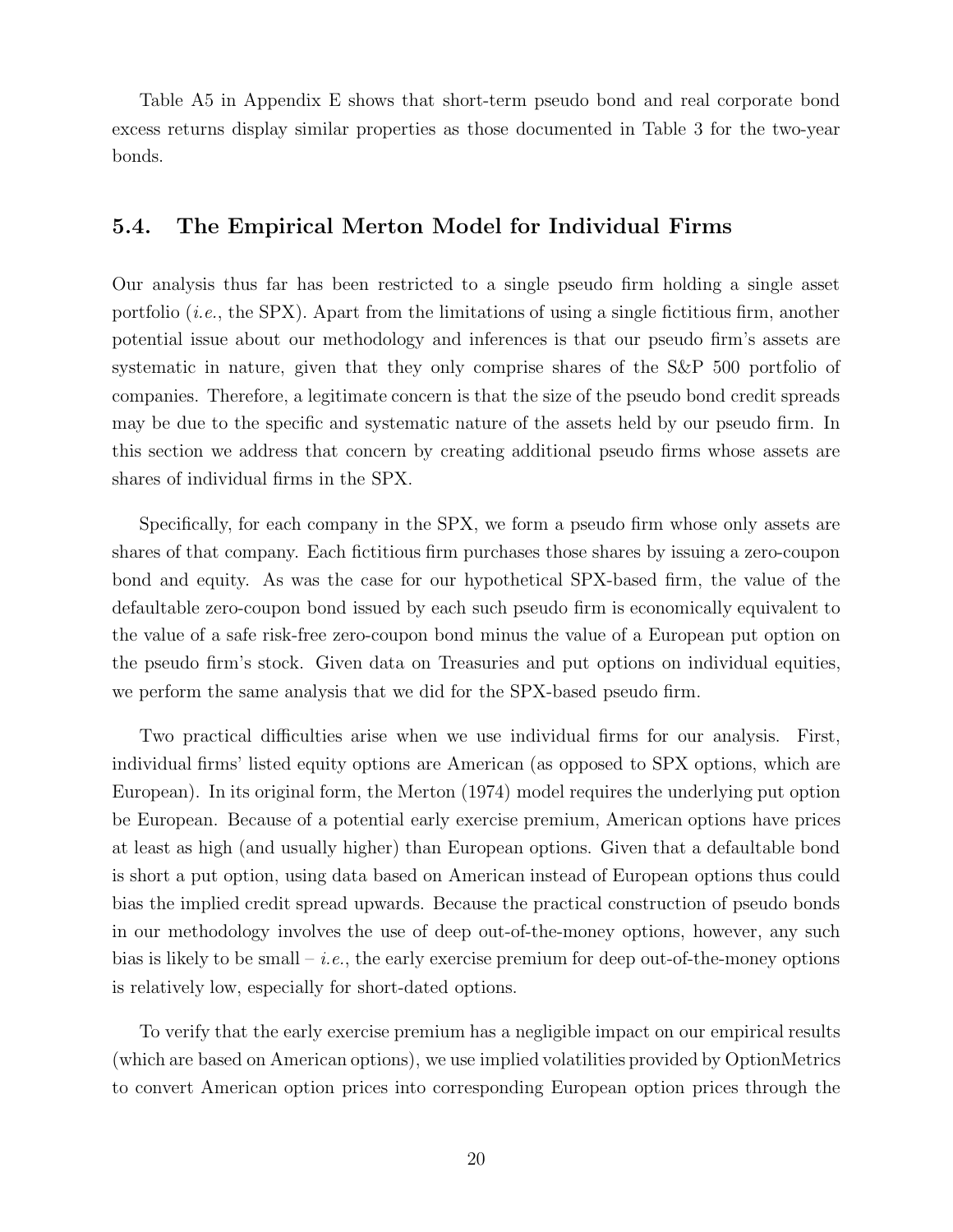Table A5 in Appendix E shows that short-term pseudo bond and real corporate bond excess returns display similar properties as those documented in Table 3 for the two-year bonds.

## 5.4. The Empirical Merton Model for Individual Firms

Our analysis thus far has been restricted to a single pseudo firm holding a single asset portfolio  $(i.e.,$  the SPX). Apart from the limitations of using a single fictitious firm, another potential issue about our methodology and inferences is that our pseudo firm's assets are systematic in nature, given that they only comprise shares of the S&P 500 portfolio of companies. Therefore, a legitimate concern is that the size of the pseudo bond credit spreads may be due to the specific and systematic nature of the assets held by our pseudo firm. In this section we address that concern by creating additional pseudo firms whose assets are shares of individual firms in the SPX.

Specifically, for each company in the SPX, we form a pseudo firm whose only assets are shares of that company. Each fictitious firm purchases those shares by issuing a zero-coupon bond and equity. As was the case for our hypothetical SPX-based firm, the value of the defaultable zero-coupon bond issued by each such pseudo firm is economically equivalent to the value of a safe risk-free zero-coupon bond minus the value of a European put option on the pseudo firm's stock. Given data on Treasuries and put options on individual equities, we perform the same analysis that we did for the SPX-based pseudo firm.

Two practical difficulties arise when we use individual firms for our analysis. First, individual firms' listed equity options are American (as opposed to SPX options, which are European). In its original form, the Merton (1974) model requires the underlying put option be European. Because of a potential early exercise premium, American options have prices at least as high (and usually higher) than European options. Given that a defaultable bond is short a put option, using data based on American instead of European options thus could bias the implied credit spread upwards. Because the practical construction of pseudo bonds in our methodology involves the use of deep out-of-the-money options, however, any such bias is likely to be small – *i.e.*, the early exercise premium for deep out-of-the-money options is relatively low, especially for short-dated options.

To verify that the early exercise premium has a negligible impact on our empirical results (which are based on American options), we use implied volatilities provided by OptionMetrics to convert American option prices into corresponding European option prices through the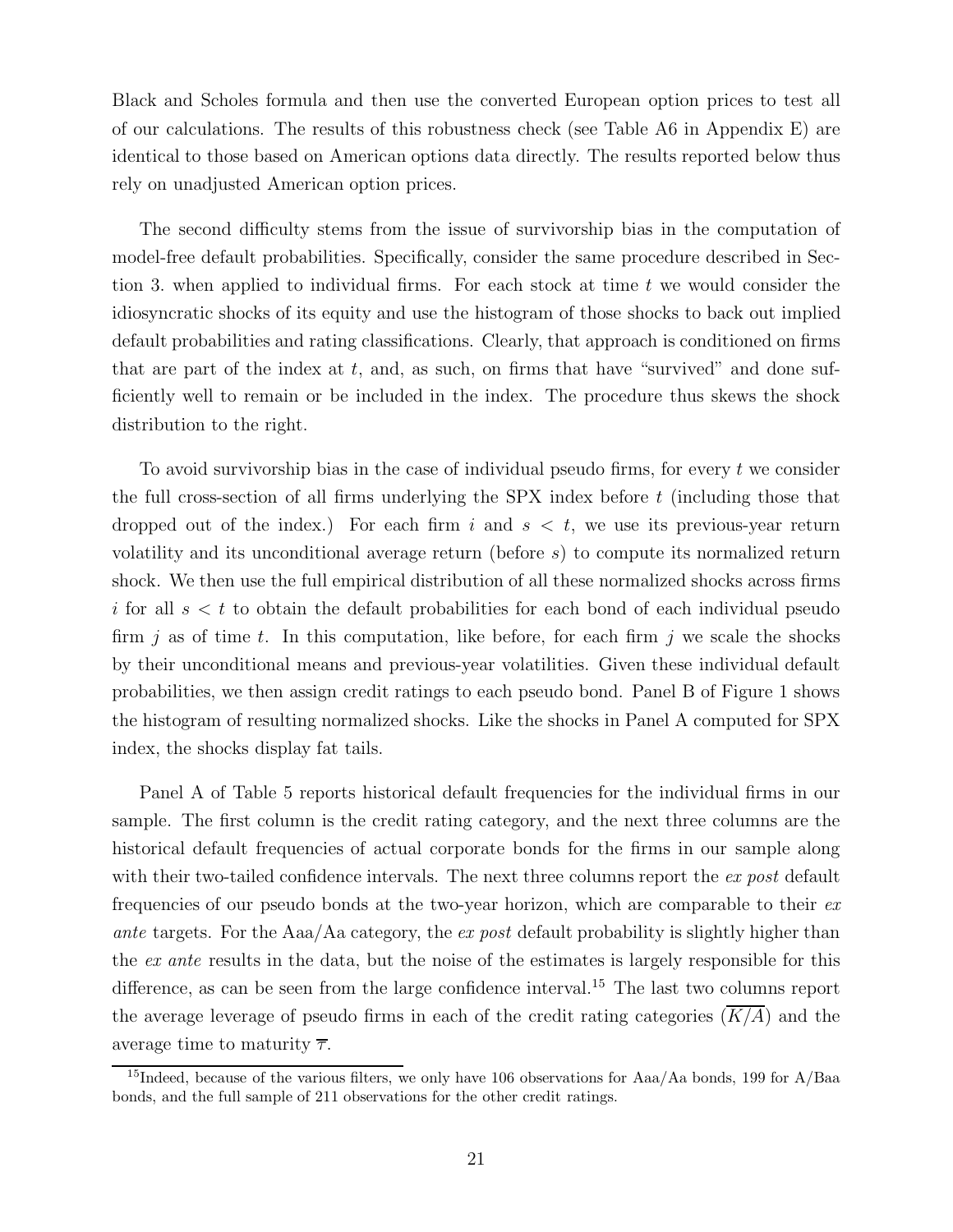Black and Scholes formula and then use the converted European option prices to test all of our calculations. The results of this robustness check (see Table A6 in Appendix E) are identical to those based on American options data directly. The results reported below thus rely on unadjusted American option prices.

The second difficulty stems from the issue of survivorship bias in the computation of model-free default probabilities. Specifically, consider the same procedure described in Section 3. when applied to individual firms. For each stock at time  $t$  we would consider the idiosyncratic shocks of its equity and use the histogram of those shocks to back out implied default probabilities and rating classifications. Clearly, that approach is conditioned on firms that are part of the index at t, and, as such, on firms that have "survived" and done sufficiently well to remain or be included in the index. The procedure thus skews the shock distribution to the right.

To avoid survivorship bias in the case of individual pseudo firms, for every  $t$  we consider the full cross-section of all firms underlying the SPX index before  $t$  (including those that dropped out of the index.) For each firm i and  $s < t$ , we use its previous-year return volatility and its unconditional average return (before s) to compute its normalized return shock. We then use the full empirical distribution of all these normalized shocks across firms i for all  $s < t$  to obtain the default probabilities for each bond of each individual pseudo firm j as of time t. In this computation, like before, for each firm j we scale the shocks by their unconditional means and previous-year volatilities. Given these individual default probabilities, we then assign credit ratings to each pseudo bond. Panel B of Figure 1 shows the histogram of resulting normalized shocks. Like the shocks in Panel A computed for SPX index, the shocks display fat tails.

Panel A of Table 5 reports historical default frequencies for the individual firms in our sample. The first column is the credit rating category, and the next three columns are the historical default frequencies of actual corporate bonds for the firms in our sample along with their two-tailed confidence intervals. The next three columns report the ex post default frequencies of our pseudo bonds at the two-year horizon, which are comparable to their ex ante targets. For the Aaa/Aa category, the ex post default probability is slightly higher than the ex ante results in the data, but the noise of the estimates is largely responsible for this difference, as can be seen from the large confidence interval.<sup>15</sup> The last two columns report the average leverage of pseudo firms in each of the credit rating categories  $(\overline{K/A})$  and the average time to maturity  $\bar{\tau}$ .

<sup>&</sup>lt;sup>15</sup>Indeed, because of the various filters, we only have 106 observations for Aaa/Aa bonds, 199 for A/Baa bonds, and the full sample of 211 observations for the other credit ratings.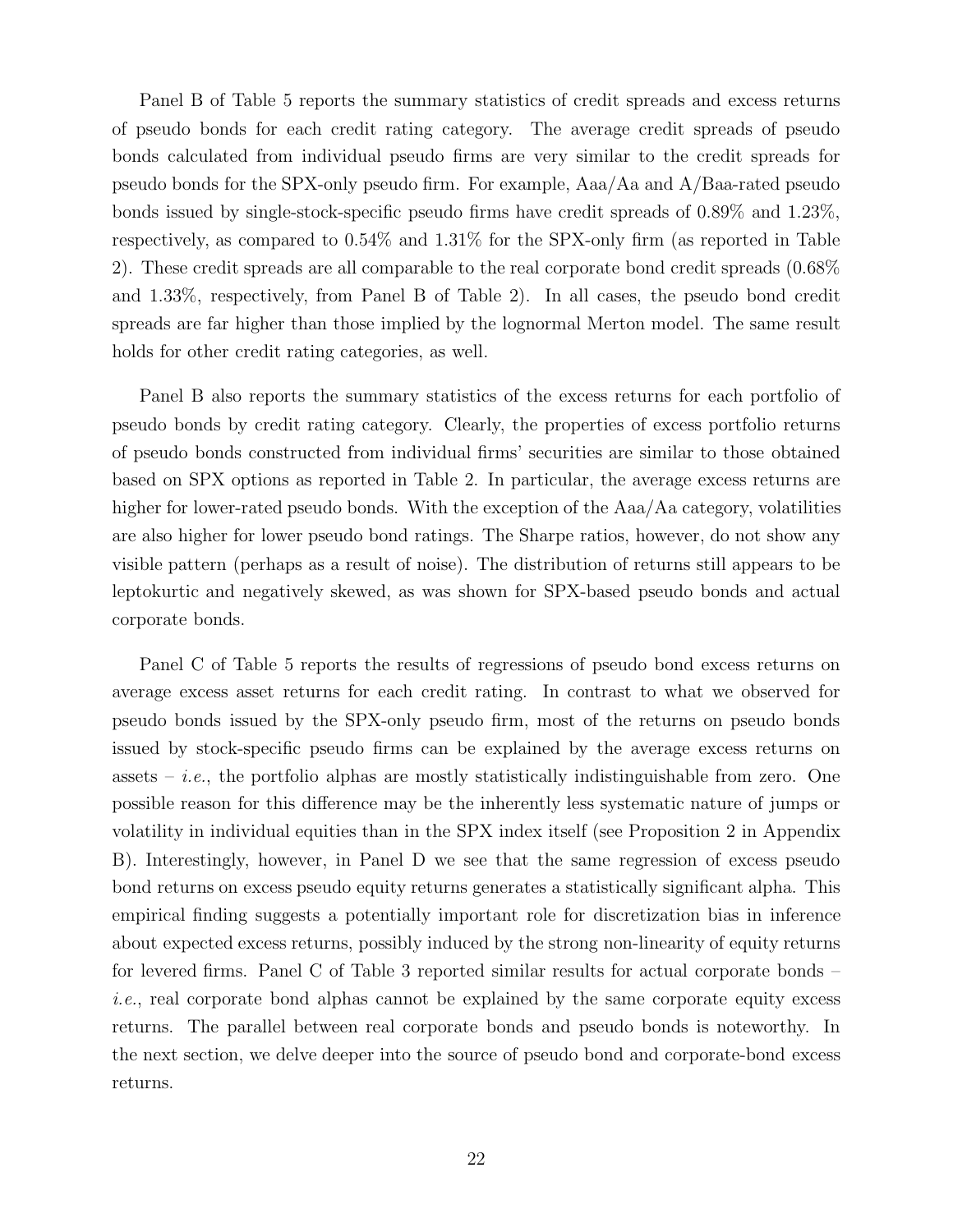Panel B of Table 5 reports the summary statistics of credit spreads and excess returns of pseudo bonds for each credit rating category. The average credit spreads of pseudo bonds calculated from individual pseudo firms are very similar to the credit spreads for pseudo bonds for the SPX-only pseudo firm. For example, Aaa/Aa and A/Baa-rated pseudo bonds issued by single-stock-specific pseudo firms have credit spreads of 0.89% and 1.23%, respectively, as compared to 0.54% and 1.31% for the SPX-only firm (as reported in Table 2). These credit spreads are all comparable to the real corporate bond credit spreads (0.68% and 1.33%, respectively, from Panel B of Table 2). In all cases, the pseudo bond credit spreads are far higher than those implied by the lognormal Merton model. The same result holds for other credit rating categories, as well.

Panel B also reports the summary statistics of the excess returns for each portfolio of pseudo bonds by credit rating category. Clearly, the properties of excess portfolio returns of pseudo bonds constructed from individual firms' securities are similar to those obtained based on SPX options as reported in Table 2. In particular, the average excess returns are higher for lower-rated pseudo bonds. With the exception of the Aaa/Aa category, volatilities are also higher for lower pseudo bond ratings. The Sharpe ratios, however, do not show any visible pattern (perhaps as a result of noise). The distribution of returns still appears to be leptokurtic and negatively skewed, as was shown for SPX-based pseudo bonds and actual corporate bonds.

Panel C of Table 5 reports the results of regressions of pseudo bond excess returns on average excess asset returns for each credit rating. In contrast to what we observed for pseudo bonds issued by the SPX-only pseudo firm, most of the returns on pseudo bonds issued by stock-specific pseudo firms can be explained by the average excess returns on assets – *i.e.*, the portfolio alphas are mostly statistically indistinguishable from zero. One possible reason for this difference may be the inherently less systematic nature of jumps or volatility in individual equities than in the SPX index itself (see Proposition 2 in Appendix B). Interestingly, however, in Panel D we see that the same regression of excess pseudo bond returns on excess pseudo equity returns generates a statistically significant alpha. This empirical finding suggests a potentially important role for discretization bias in inference about expected excess returns, possibly induced by the strong non-linearity of equity returns for levered firms. Panel C of Table 3 reported similar results for actual corporate bonds – i.e., real corporate bond alphas cannot be explained by the same corporate equity excess returns. The parallel between real corporate bonds and pseudo bonds is noteworthy. In the next section, we delve deeper into the source of pseudo bond and corporate-bond excess returns.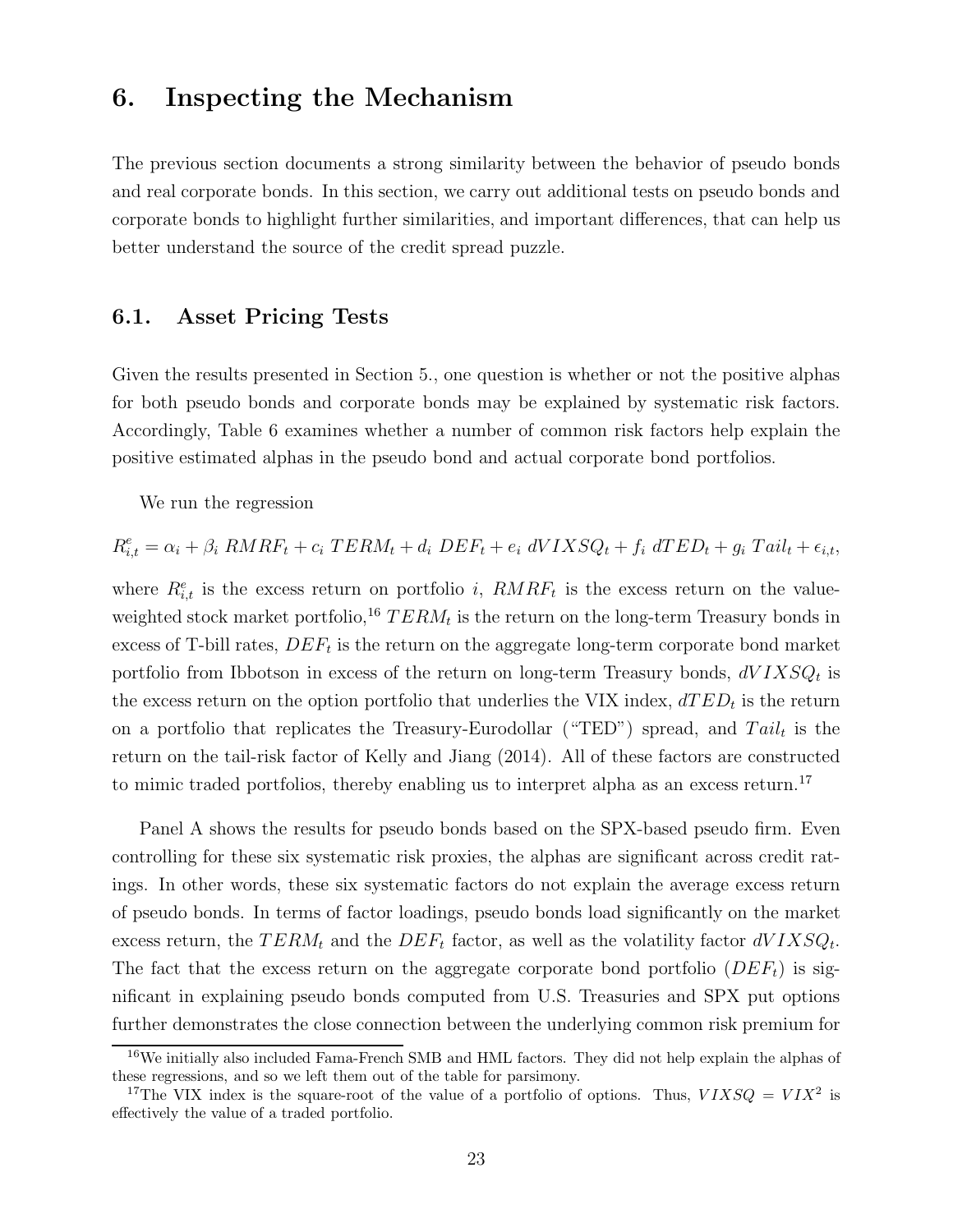## 6. Inspecting the Mechanism

The previous section documents a strong similarity between the behavior of pseudo bonds and real corporate bonds. In this section, we carry out additional tests on pseudo bonds and corporate bonds to highlight further similarities, and important differences, that can help us better understand the source of the credit spread puzzle.

### 6.1. Asset Pricing Tests

Given the results presented in Section 5., one question is whether or not the positive alphas for both pseudo bonds and corporate bonds may be explained by systematic risk factors. Accordingly, Table 6 examines whether a number of common risk factors help explain the positive estimated alphas in the pseudo bond and actual corporate bond portfolios.

We run the regression

 $R_{i,t}^e = \alpha_i + \beta_i \, RMRF_t + c_i \, TERM_t + d_i \, DEF_t + e_i \, dVIXSQ_t + f_i \, dTED_t + g_i \, Tail_t + \epsilon_{i,t},$ 

where  $R_{i,t}^e$  is the excess return on portfolio i,  $RMRF_t$  is the excess return on the valueweighted stock market portfolio,<sup>16</sup>  $TERM_t$  is the return on the long-term Treasury bonds in excess of T-bill rates,  $DEF_t$  is the return on the aggregate long-term corporate bond market portfolio from Ibbotson in excess of the return on long-term Treasury bonds,  $dVIXSQ_t$  is the excess return on the option portfolio that underlies the VIX index,  $dTED_t$  is the return on a portfolio that replicates the Treasury-Eurodollar ("TED") spread, and  $Tail_t$  is the return on the tail-risk factor of Kelly and Jiang (2014). All of these factors are constructed to mimic traded portfolios, thereby enabling us to interpret alpha as an excess return.<sup>17</sup>

Panel A shows the results for pseudo bonds based on the SPX-based pseudo firm. Even controlling for these six systematic risk proxies, the alphas are significant across credit ratings. In other words, these six systematic factors do not explain the average excess return of pseudo bonds. In terms of factor loadings, pseudo bonds load significantly on the market excess return, the  $TERM_t$  and the  $DEF_t$  factor, as well as the volatility factor  $dVIXSQ_t$ . The fact that the excess return on the aggregate corporate bond portfolio  $(DEF_{t})$  is significant in explaining pseudo bonds computed from U.S. Treasuries and SPX put options further demonstrates the close connection between the underlying common risk premium for

<sup>16</sup>We initially also included Fama-French SMB and HML factors. They did not help explain the alphas of these regressions, and so we left them out of the table for parsimony.

<sup>&</sup>lt;sup>17</sup>The VIX index is the square-root of the value of a portfolio of options. Thus,  $VIXSQ = VIX^2$  is effectively the value of a traded portfolio.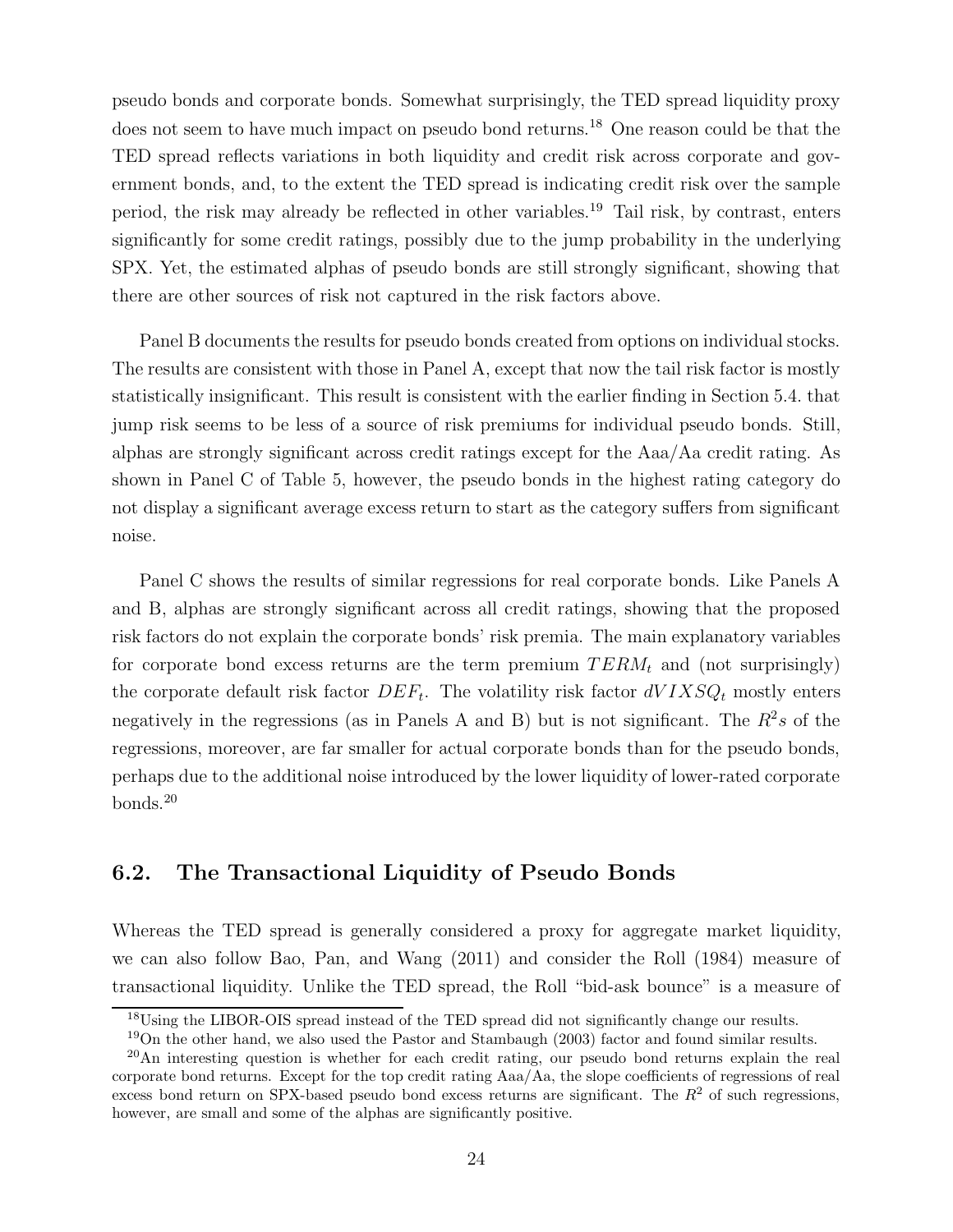pseudo bonds and corporate bonds. Somewhat surprisingly, the TED spread liquidity proxy does not seem to have much impact on pseudo bond returns.<sup>18</sup> One reason could be that the TED spread reflects variations in both liquidity and credit risk across corporate and government bonds, and, to the extent the TED spread is indicating credit risk over the sample period, the risk may already be reflected in other variables.<sup>19</sup> Tail risk, by contrast, enters significantly for some credit ratings, possibly due to the jump probability in the underlying SPX. Yet, the estimated alphas of pseudo bonds are still strongly significant, showing that there are other sources of risk not captured in the risk factors above.

Panel B documents the results for pseudo bonds created from options on individual stocks. The results are consistent with those in Panel A, except that now the tail risk factor is mostly statistically insignificant. This result is consistent with the earlier finding in Section 5.4. that jump risk seems to be less of a source of risk premiums for individual pseudo bonds. Still, alphas are strongly significant across credit ratings except for the Aaa/Aa credit rating. As shown in Panel C of Table 5, however, the pseudo bonds in the highest rating category do not display a significant average excess return to start as the category suffers from significant noise.

Panel C shows the results of similar regressions for real corporate bonds. Like Panels A and B, alphas are strongly significant across all credit ratings, showing that the proposed risk factors do not explain the corporate bonds' risk premia. The main explanatory variables for corporate bond excess returns are the term premium  $TERM_t$  and (not surprisingly) the corporate default risk factor  $DEF_t$ . The volatility risk factor  $dVIXSQ_t$  mostly enters negatively in the regressions (as in Panels A and B) but is not significant. The  $R^2s$  of the regressions, moreover, are far smaller for actual corporate bonds than for the pseudo bonds, perhaps due to the additional noise introduced by the lower liquidity of lower-rated corporate bonds.<sup>20</sup>

## 6.2. The Transactional Liquidity of Pseudo Bonds

Whereas the TED spread is generally considered a proxy for aggregate market liquidity, we can also follow Bao, Pan, and Wang (2011) and consider the Roll (1984) measure of transactional liquidity. Unlike the TED spread, the Roll "bid-ask bounce" is a measure of

<sup>&</sup>lt;sup>18</sup>Using the LIBOR-OIS spread instead of the TED spread did not significantly change our results.

 $19$ On the other hand, we also used the Pastor and Stambaugh (2003) factor and found similar results.

<sup>&</sup>lt;sup>20</sup>An interesting question is whether for each credit rating, our pseudo bond returns explain the real corporate bond returns. Except for the top credit rating Aaa/Aa, the slope coefficients of regressions of real excess bond return on SPX-based pseudo bond excess returns are significant. The  $R<sup>2</sup>$  of such regressions, however, are small and some of the alphas are significantly positive.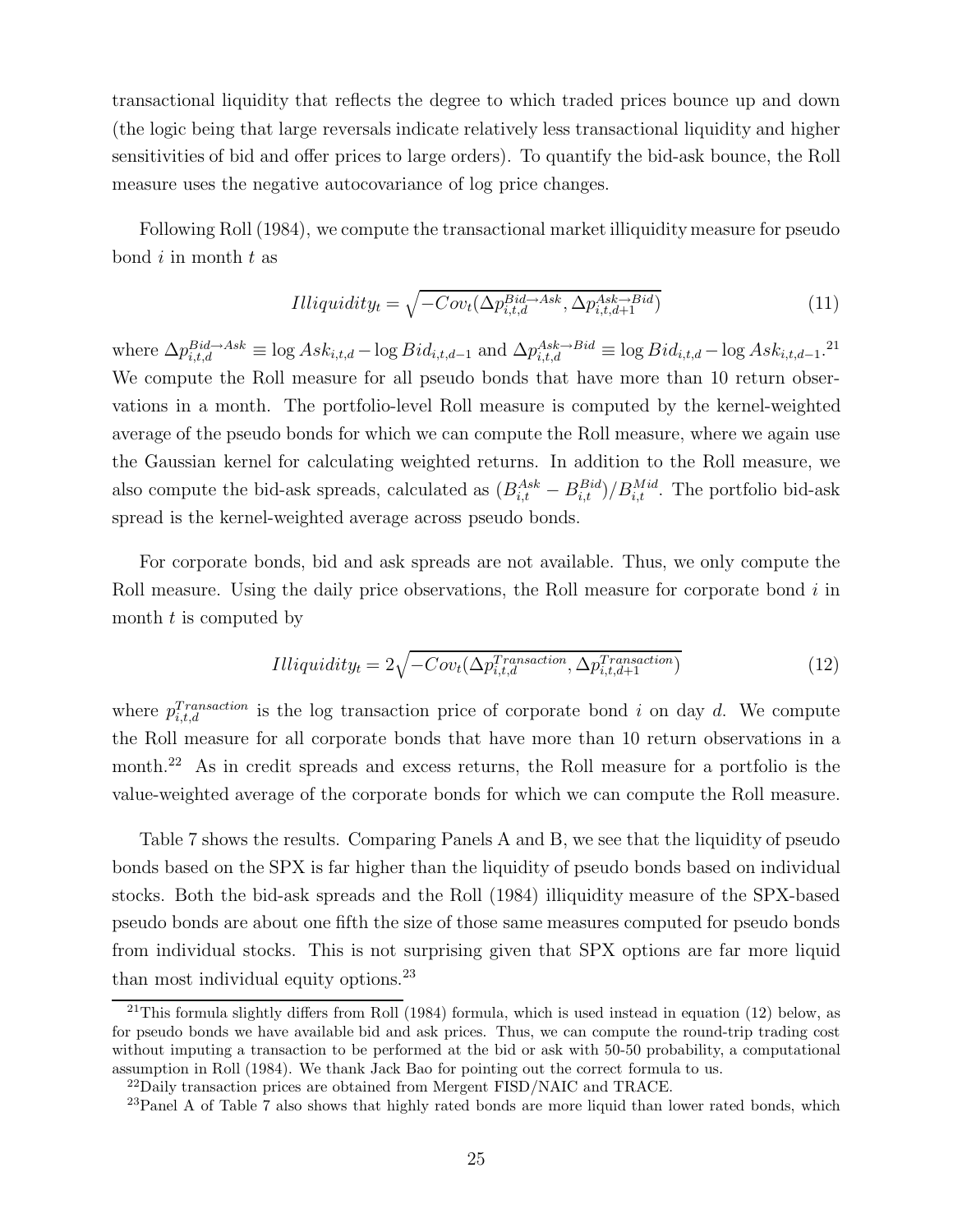transactional liquidity that reflects the degree to which traded prices bounce up and down (the logic being that large reversals indicate relatively less transactional liquidity and higher sensitivities of bid and offer prices to large orders). To quantify the bid-ask bounce, the Roll measure uses the negative autocovariance of log price changes.

Following Roll (1984), we compute the transactional market illiquidity measure for pseudo bond  $i$  in month  $t$  as

$$
Hliquidity_t = \sqrt{-Cov_t(\Delta p_{i,t,d}^{Bid \to Ask}, \Delta p_{i,t,d+1}^{Ask \to Bid})}
$$
(11)

where  $\Delta p_{i,t,d}^{Bid \rightarrow Ask} \equiv \log Ask_{i,t,d} - \log Bid_{i,t,d-1}$  and  $\Delta p_{i,t,d}^{Ask \rightarrow Bid} \equiv \log Bid_{i,t,d} - \log Ask_{i,t,d-1}.^{21}$ We compute the Roll measure for all pseudo bonds that have more than 10 return observations in a month. The portfolio-level Roll measure is computed by the kernel-weighted average of the pseudo bonds for which we can compute the Roll measure, where we again use the Gaussian kernel for calculating weighted returns. In addition to the Roll measure, we also compute the bid-ask spreads, calculated as  $(B_{i,t}^{Ask} - B_{i,t}^{Bid})/B_{i,t}^{Mid}$ . The portfolio bid-ask spread is the kernel-weighted average across pseudo bonds.

For corporate bonds, bid and ask spreads are not available. Thus, we only compute the Roll measure. Using the daily price observations, the Roll measure for corporate bond  $i$  in month  $t$  is computed by

$$
Hliquidity_t = 2\sqrt{-Cov_t(\Delta p_{i,t,d}^{Transaction}, \Delta p_{i,t,d+1}^{Transaction})}
$$
\n(12)

where  $p_{i,t,d}^{Transaction}$  is the log transaction price of corporate bond i on day d. We compute the Roll measure for all corporate bonds that have more than 10 return observations in a month.<sup>22</sup> As in credit spreads and excess returns, the Roll measure for a portfolio is the value-weighted average of the corporate bonds for which we can compute the Roll measure.

Table 7 shows the results. Comparing Panels A and B, we see that the liquidity of pseudo bonds based on the SPX is far higher than the liquidity of pseudo bonds based on individual stocks. Both the bid-ask spreads and the Roll (1984) illiquidity measure of the SPX-based pseudo bonds are about one fifth the size of those same measures computed for pseudo bonds from individual stocks. This is not surprising given that SPX options are far more liquid than most individual equity options.<sup>23</sup>

 $^{21}$ This formula slightly differs from Roll (1984) formula, which is used instead in equation (12) below, as for pseudo bonds we have available bid and ask prices. Thus, we can compute the round-trip trading cost without imputing a transaction to be performed at the bid or ask with 50-50 probability, a computational assumption in Roll (1984). We thank Jack Bao for pointing out the correct formula to us.

 $^{22}$ Daily transaction prices are obtained from Mergent FISD/NAIC and TRACE.

 $^{23}$ Panel A of Table 7 also shows that highly rated bonds are more liquid than lower rated bonds, which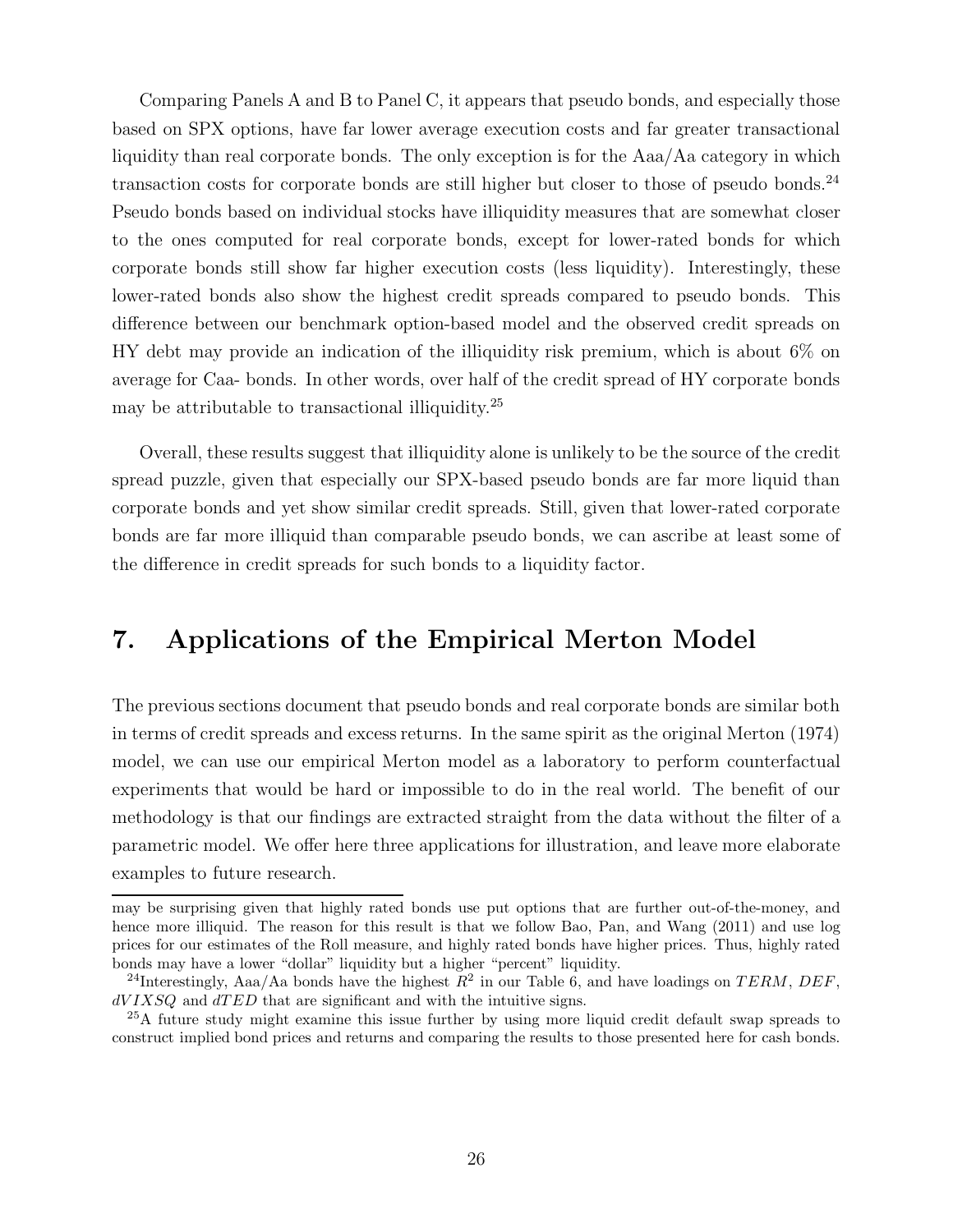Comparing Panels A and B to Panel C, it appears that pseudo bonds, and especially those based on SPX options, have far lower average execution costs and far greater transactional liquidity than real corporate bonds. The only exception is for the Aaa/Aa category in which transaction costs for corporate bonds are still higher but closer to those of pseudo bonds.<sup>24</sup> Pseudo bonds based on individual stocks have illiquidity measures that are somewhat closer to the ones computed for real corporate bonds, except for lower-rated bonds for which corporate bonds still show far higher execution costs (less liquidity). Interestingly, these lower-rated bonds also show the highest credit spreads compared to pseudo bonds. This difference between our benchmark option-based model and the observed credit spreads on HY debt may provide an indication of the illiquidity risk premium, which is about 6% on average for Caa- bonds. In other words, over half of the credit spread of HY corporate bonds may be attributable to transactional illiquidity.<sup>25</sup>

Overall, these results suggest that illiquidity alone is unlikely to be the source of the credit spread puzzle, given that especially our SPX-based pseudo bonds are far more liquid than corporate bonds and yet show similar credit spreads. Still, given that lower-rated corporate bonds are far more illiquid than comparable pseudo bonds, we can ascribe at least some of the difference in credit spreads for such bonds to a liquidity factor.

# 7. Applications of the Empirical Merton Model

The previous sections document that pseudo bonds and real corporate bonds are similar both in terms of credit spreads and excess returns. In the same spirit as the original Merton (1974) model, we can use our empirical Merton model as a laboratory to perform counterfactual experiments that would be hard or impossible to do in the real world. The benefit of our methodology is that our findings are extracted straight from the data without the filter of a parametric model. We offer here three applications for illustration, and leave more elaborate examples to future research.

may be surprising given that highly rated bonds use put options that are further out-of-the-money, and hence more illiquid. The reason for this result is that we follow Bao, Pan, and Wang (2011) and use log prices for our estimates of the Roll measure, and highly rated bonds have higher prices. Thus, highly rated bonds may have a lower "dollar" liquidity but a higher "percent" liquidity.

<sup>&</sup>lt;sup>24</sup>Interestingly, Aaa/Aa bonds have the highest  $R^2$  in our Table 6, and have loadings on TERM, DEF,  $dVIXSQ$  and  $dTED$  that are significant and with the intuitive signs.

<sup>25</sup>A future study might examine this issue further by using more liquid credit default swap spreads to construct implied bond prices and returns and comparing the results to those presented here for cash bonds.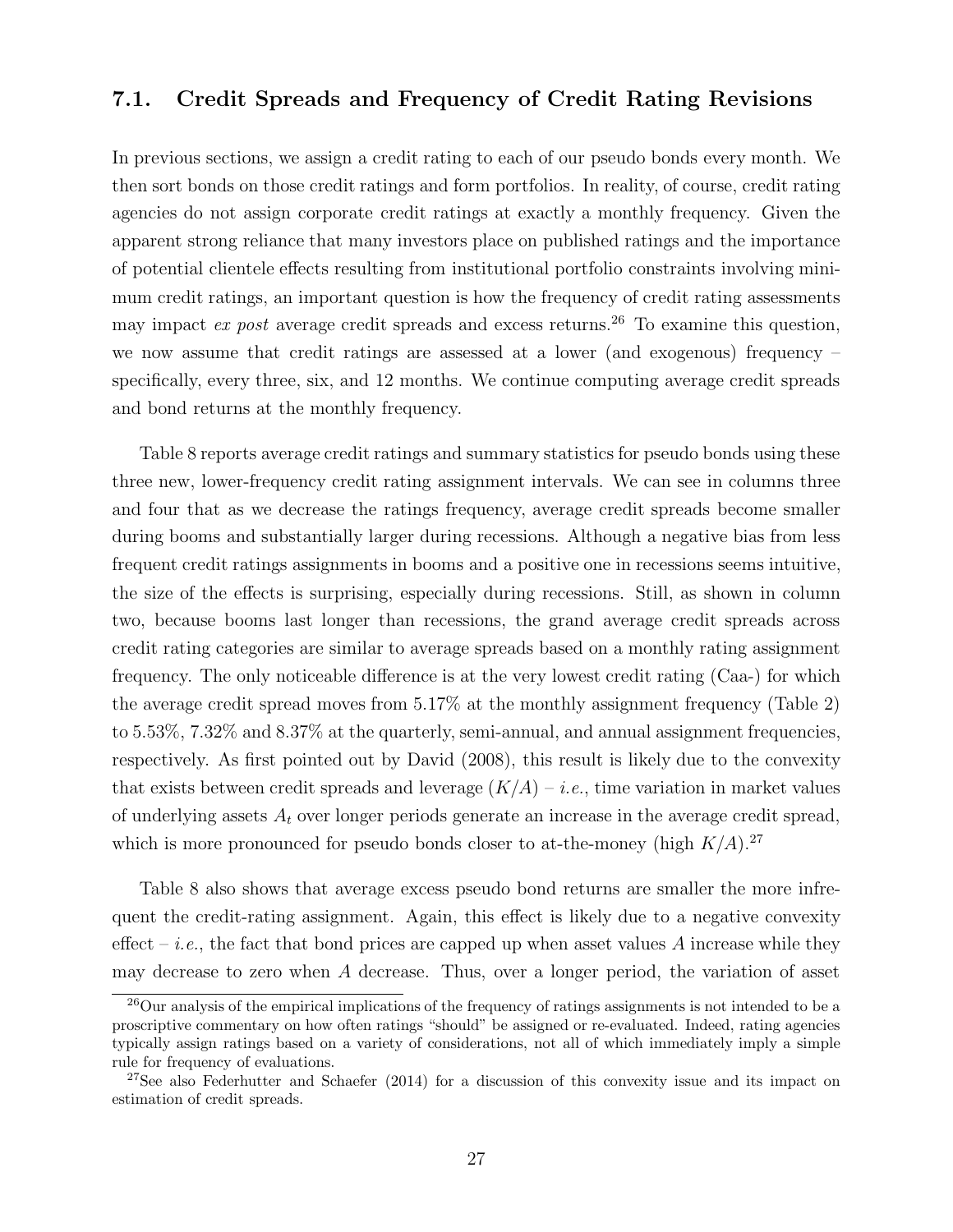## 7.1. Credit Spreads and Frequency of Credit Rating Revisions

In previous sections, we assign a credit rating to each of our pseudo bonds every month. We then sort bonds on those credit ratings and form portfolios. In reality, of course, credit rating agencies do not assign corporate credit ratings at exactly a monthly frequency. Given the apparent strong reliance that many investors place on published ratings and the importance of potential clientele effects resulting from institutional portfolio constraints involving minimum credit ratings, an important question is how the frequency of credit rating assessments may impact  $ex$  post average credit spreads and excess returns.<sup>26</sup> To examine this question, we now assume that credit ratings are assessed at a lower (and exogenous) frequency – specifically, every three, six, and 12 months. We continue computing average credit spreads and bond returns at the monthly frequency.

Table 8 reports average credit ratings and summary statistics for pseudo bonds using these three new, lower-frequency credit rating assignment intervals. We can see in columns three and four that as we decrease the ratings frequency, average credit spreads become smaller during booms and substantially larger during recessions. Although a negative bias from less frequent credit ratings assignments in booms and a positive one in recessions seems intuitive, the size of the effects is surprising, especially during recessions. Still, as shown in column two, because booms last longer than recessions, the grand average credit spreads across credit rating categories are similar to average spreads based on a monthly rating assignment frequency. The only noticeable difference is at the very lowest credit rating (Caa-) for which the average credit spread moves from 5.17% at the monthly assignment frequency (Table 2) to 5.53%, 7.32% and 8.37% at the quarterly, semi-annual, and annual assignment frequencies, respectively. As first pointed out by David (2008), this result is likely due to the convexity that exists between credit spreads and leverage  $(K/A) - i.e.,$  time variation in market values of underlying assets  $A_t$  over longer periods generate an increase in the average credit spread, which is more pronounced for pseudo bonds closer to at-the-money (high  $K/A$ ).<sup>27</sup>

Table 8 also shows that average excess pseudo bond returns are smaller the more infrequent the credit-rating assignment. Again, this effect is likely due to a negative convexity effect – *i.e.*, the fact that bond prices are capped up when asset values A increase while they may decrease to zero when A decrease. Thus, over a longer period, the variation of asset

<sup>&</sup>lt;sup>26</sup>Our analysis of the empirical implications of the frequency of ratings assignments is not intended to be a proscriptive commentary on how often ratings "should" be assigned or re-evaluated. Indeed, rating agencies typically assign ratings based on a variety of considerations, not all of which immediately imply a simple rule for frequency of evaluations.

<sup>&</sup>lt;sup>27</sup>See also Federhutter and Schaefer (2014) for a discussion of this convexity issue and its impact on estimation of credit spreads.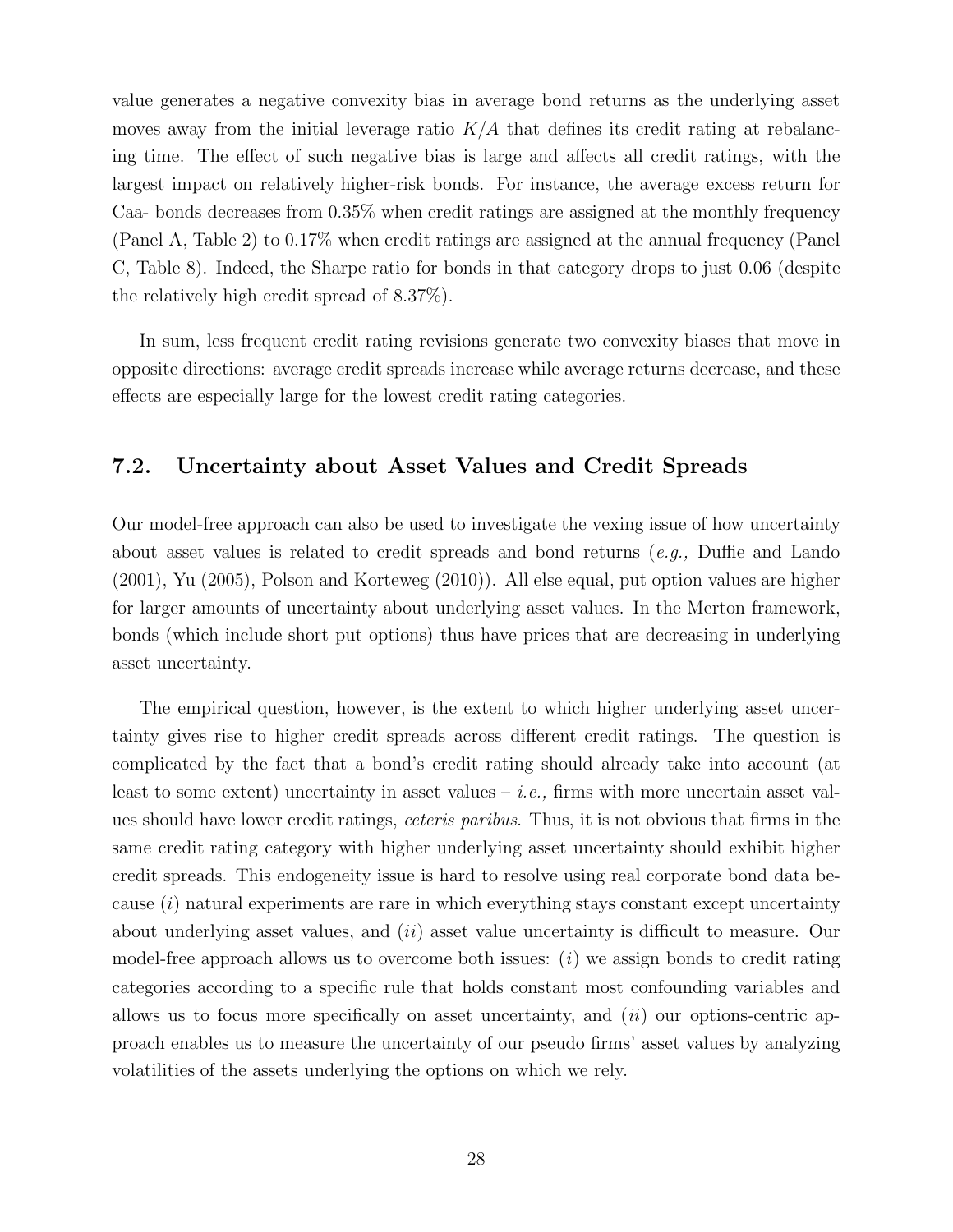value generates a negative convexity bias in average bond returns as the underlying asset moves away from the initial leverage ratio  $K/A$  that defines its credit rating at rebalancing time. The effect of such negative bias is large and affects all credit ratings, with the largest impact on relatively higher-risk bonds. For instance, the average excess return for Caa- bonds decreases from 0.35% when credit ratings are assigned at the monthly frequency (Panel A, Table 2) to 0.17% when credit ratings are assigned at the annual frequency (Panel C, Table 8). Indeed, the Sharpe ratio for bonds in that category drops to just 0.06 (despite the relatively high credit spread of 8.37%).

In sum, less frequent credit rating revisions generate two convexity biases that move in opposite directions: average credit spreads increase while average returns decrease, and these effects are especially large for the lowest credit rating categories.

## 7.2. Uncertainty about Asset Values and Credit Spreads

Our model-free approach can also be used to investigate the vexing issue of how uncertainty about asset values is related to credit spreads and bond returns (e.g., Duffie and Lando (2001), Yu (2005), Polson and Korteweg (2010)). All else equal, put option values are higher for larger amounts of uncertainty about underlying asset values. In the Merton framework, bonds (which include short put options) thus have prices that are decreasing in underlying asset uncertainty.

The empirical question, however, is the extent to which higher underlying asset uncertainty gives rise to higher credit spreads across different credit ratings. The question is complicated by the fact that a bond's credit rating should already take into account (at least to some extent) uncertainty in asset values – *i.e.*, firms with more uncertain asset values should have lower credit ratings, ceteris paribus. Thus, it is not obvious that firms in the same credit rating category with higher underlying asset uncertainty should exhibit higher credit spreads. This endogeneity issue is hard to resolve using real corporate bond data because  $(i)$  natural experiments are rare in which everything stays constant except uncertainty about underlying asset values, and *(ii)* asset value uncertainty is difficult to measure. Our model-free approach allows us to overcome both issues:  $(i)$  we assign bonds to credit rating categories according to a specific rule that holds constant most confounding variables and allows us to focus more specifically on asset uncertainty, and  $(ii)$  our options-centric approach enables us to measure the uncertainty of our pseudo firms' asset values by analyzing volatilities of the assets underlying the options on which we rely.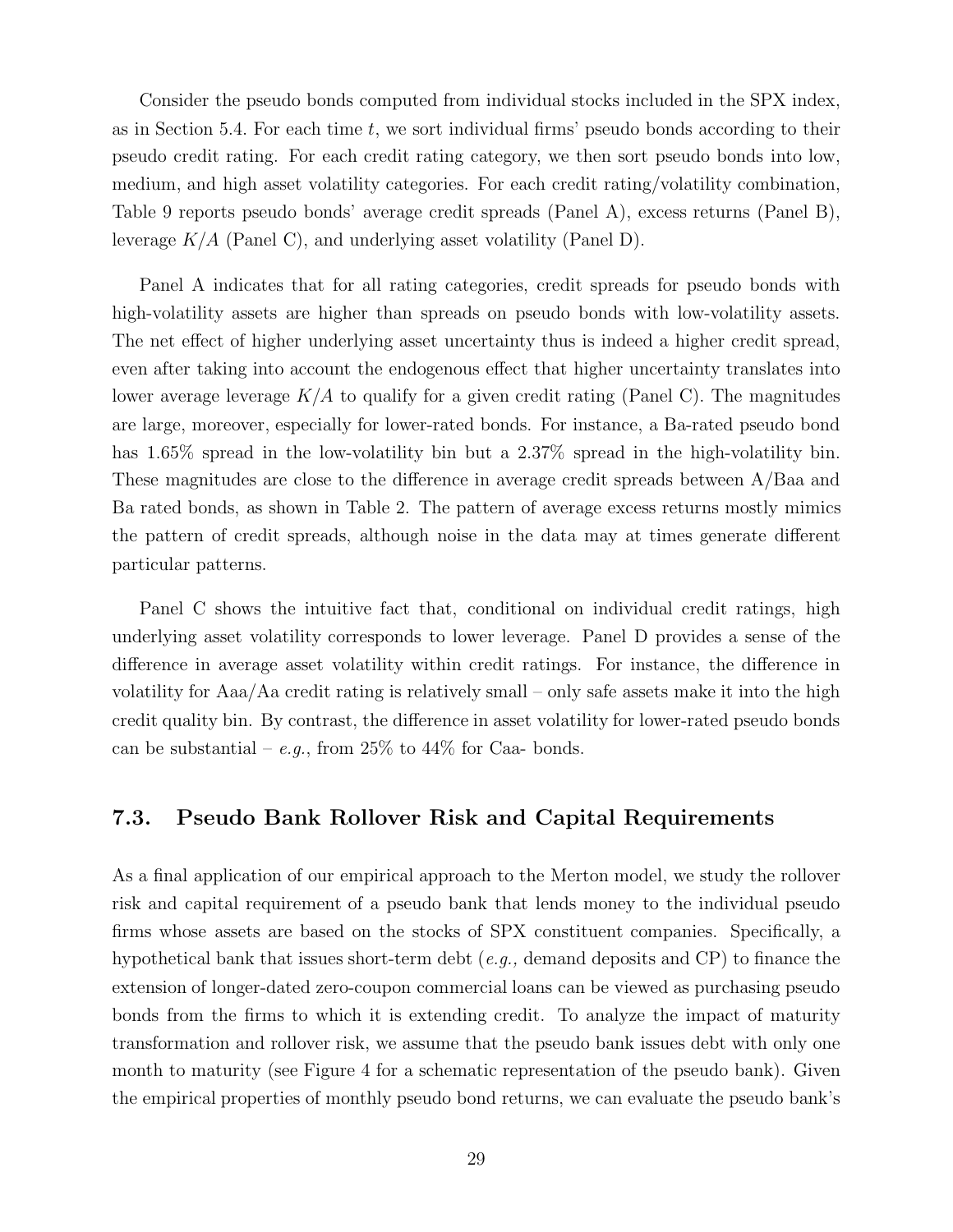Consider the pseudo bonds computed from individual stocks included in the SPX index, as in Section 5.4. For each time  $t$ , we sort individual firms' pseudo bonds according to their pseudo credit rating. For each credit rating category, we then sort pseudo bonds into low, medium, and high asset volatility categories. For each credit rating/volatility combination, Table 9 reports pseudo bonds' average credit spreads (Panel A), excess returns (Panel B), leverage  $K/A$  (Panel C), and underlying asset volatility (Panel D).

Panel A indicates that for all rating categories, credit spreads for pseudo bonds with high-volatility assets are higher than spreads on pseudo bonds with low-volatility assets. The net effect of higher underlying asset uncertainty thus is indeed a higher credit spread, even after taking into account the endogenous effect that higher uncertainty translates into lower average leverage  $K/A$  to qualify for a given credit rating (Panel C). The magnitudes are large, moreover, especially for lower-rated bonds. For instance, a Ba-rated pseudo bond has 1.65% spread in the low-volatility bin but a 2.37% spread in the high-volatility bin. These magnitudes are close to the difference in average credit spreads between A/Baa and Ba rated bonds, as shown in Table 2. The pattern of average excess returns mostly mimics the pattern of credit spreads, although noise in the data may at times generate different particular patterns.

Panel C shows the intuitive fact that, conditional on individual credit ratings, high underlying asset volatility corresponds to lower leverage. Panel D provides a sense of the difference in average asset volatility within credit ratings. For instance, the difference in volatility for Aaa/Aa credit rating is relatively small – only safe assets make it into the high credit quality bin. By contrast, the difference in asset volatility for lower-rated pseudo bonds can be substantial – e.g., from  $25\%$  to  $44\%$  for Caa- bonds.

## 7.3. Pseudo Bank Rollover Risk and Capital Requirements

As a final application of our empirical approach to the Merton model, we study the rollover risk and capital requirement of a pseudo bank that lends money to the individual pseudo firms whose assets are based on the stocks of SPX constituent companies. Specifically, a hypothetical bank that issues short-term debt  $(e.g.,$  demand deposits and CP) to finance the extension of longer-dated zero-coupon commercial loans can be viewed as purchasing pseudo bonds from the firms to which it is extending credit. To analyze the impact of maturity transformation and rollover risk, we assume that the pseudo bank issues debt with only one month to maturity (see Figure 4 for a schematic representation of the pseudo bank). Given the empirical properties of monthly pseudo bond returns, we can evaluate the pseudo bank's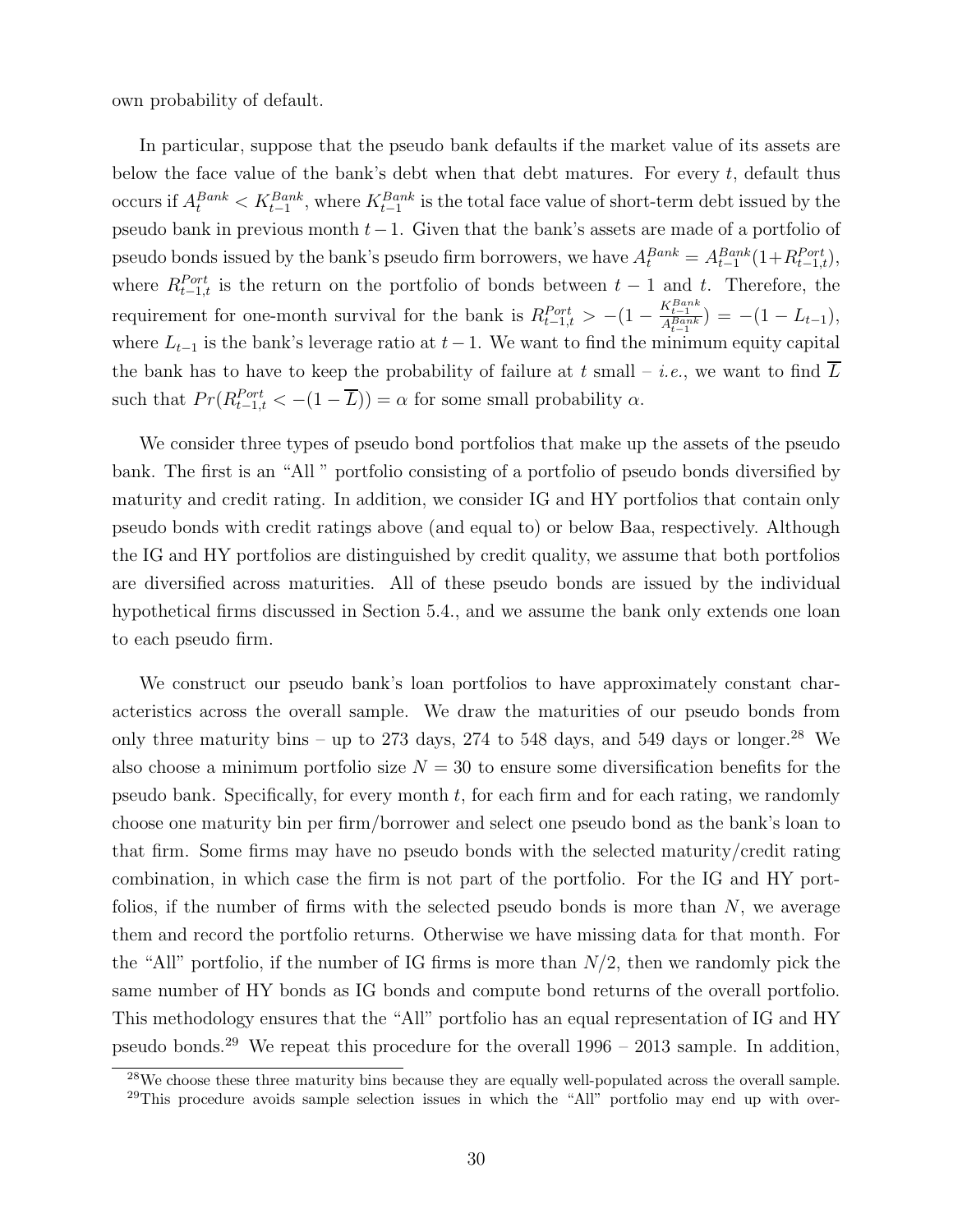own probability of default.

In particular, suppose that the pseudo bank defaults if the market value of its assets are below the face value of the bank's debt when that debt matures. For every  $t$ , default thus occurs if  $A_t^{Bank} < K_{t-1}^{Bank}$ , where  $K_{t-1}^{Bank}$  is the total face value of short-term debt issued by the pseudo bank in previous month  $t-1$ . Given that the bank's assets are made of a portfolio of pseudo bonds issued by the bank's pseudo firm borrowers, we have  $A_t^{Bank} = A_{t-1}^{Bank}(1 + R_{t-1,t}^{Port})$ , where  $R_{t-1,t}^{Port}$  is the return on the portfolio of bonds between  $t-1$  and t. Therefore, the requirement for one-month survival for the bank is  $R_{t-1,t}^{Port} > -(1 - \frac{K_{t-1}^{Bank}}{A_{t-1}^{Bank}}) = -(1 - L_{t-1}),$ where  $L_{t-1}$  is the bank's leverage ratio at  $t-1$ . We want to find the minimum equity capital the bank has to have to keep the probability of failure at t small – *i.e.*, we want to find L such that  $Pr(R_{t-1,t}^{Port} < -(1 - \overline{L})) = \alpha$  for some small probability  $\alpha$ .

We consider three types of pseudo bond portfolios that make up the assets of the pseudo bank. The first is an "All " portfolio consisting of a portfolio of pseudo bonds diversified by maturity and credit rating. In addition, we consider IG and HY portfolios that contain only pseudo bonds with credit ratings above (and equal to) or below Baa, respectively. Although the IG and HY portfolios are distinguished by credit quality, we assume that both portfolios are diversified across maturities. All of these pseudo bonds are issued by the individual hypothetical firms discussed in Section 5.4., and we assume the bank only extends one loan to each pseudo firm.

We construct our pseudo bank's loan portfolios to have approximately constant characteristics across the overall sample. We draw the maturities of our pseudo bonds from only three maturity bins – up to 273 days, 274 to 548 days, and 549 days or longer.<sup>28</sup> We also choose a minimum portfolio size  $N = 30$  to ensure some diversification benefits for the pseudo bank. Specifically, for every month  $t$ , for each firm and for each rating, we randomly choose one maturity bin per firm/borrower and select one pseudo bond as the bank's loan to that firm. Some firms may have no pseudo bonds with the selected maturity/credit rating combination, in which case the firm is not part of the portfolio. For the IG and HY portfolios, if the number of firms with the selected pseudo bonds is more than  $N$ , we average them and record the portfolio returns. Otherwise we have missing data for that month. For the "All" portfolio, if the number of IG firms is more than  $N/2$ , then we randomly pick the same number of HY bonds as IG bonds and compute bond returns of the overall portfolio. This methodology ensures that the "All" portfolio has an equal representation of IG and HY pseudo bonds.<sup>29</sup> We repeat this procedure for the overall  $1996 - 2013$  sample. In addition,

<sup>&</sup>lt;sup>28</sup>We choose these three maturity bins because they are equally well-populated across the overall sample. <sup>29</sup>This procedure avoids sample selection issues in which the "All" portfolio may end up with over-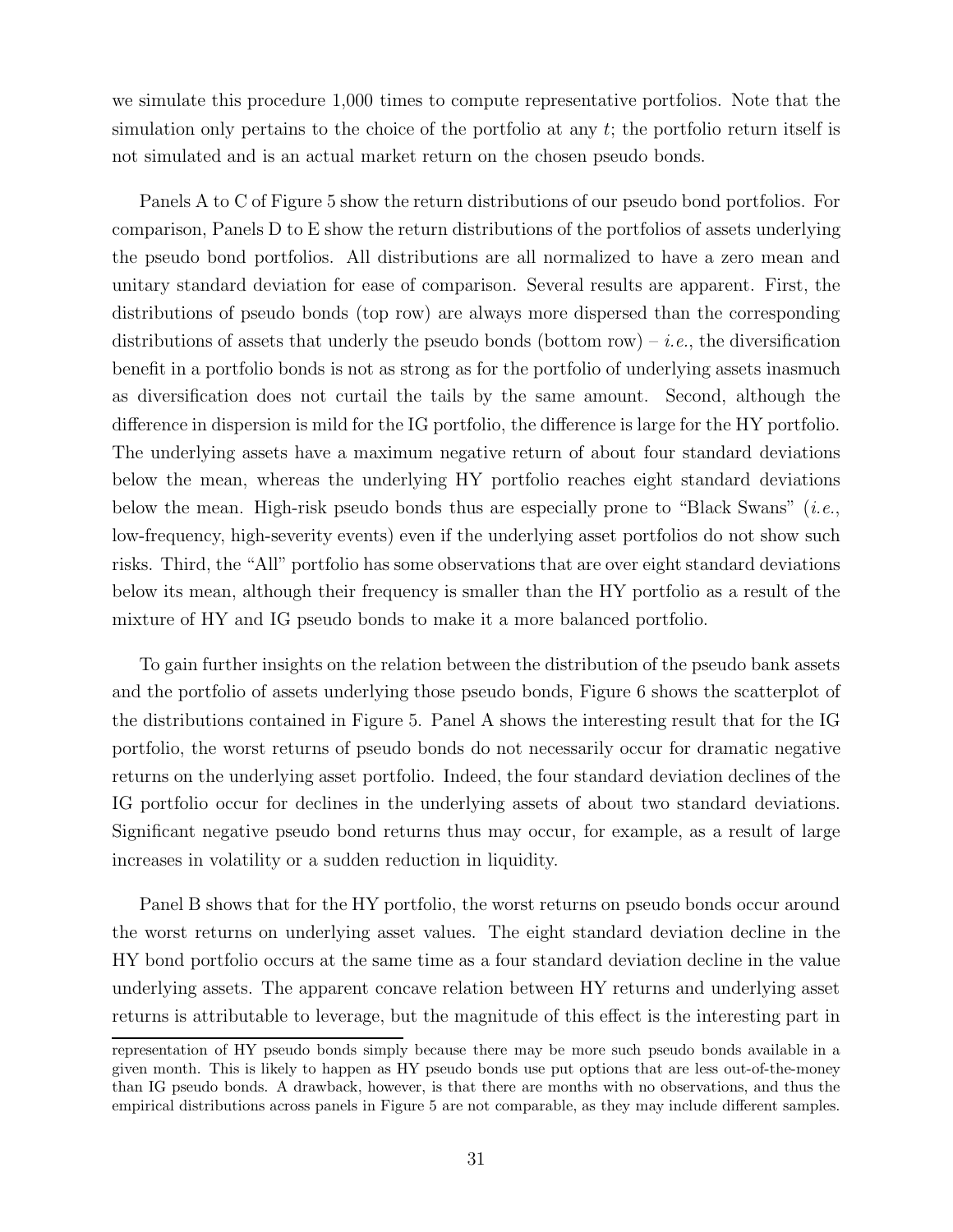we simulate this procedure 1,000 times to compute representative portfolios. Note that the simulation only pertains to the choice of the portfolio at any  $t$ ; the portfolio return itself is not simulated and is an actual market return on the chosen pseudo bonds.

Panels A to C of Figure 5 show the return distributions of our pseudo bond portfolios. For comparison, Panels D to E show the return distributions of the portfolios of assets underlying the pseudo bond portfolios. All distributions are all normalized to have a zero mean and unitary standard deviation for ease of comparison. Several results are apparent. First, the distributions of pseudo bonds (top row) are always more dispersed than the corresponding distributions of assets that underly the pseudo bonds (bottom row) – *i.e.*, the diversification benefit in a portfolio bonds is not as strong as for the portfolio of underlying assets inasmuch as diversification does not curtail the tails by the same amount. Second, although the difference in dispersion is mild for the IG portfolio, the difference is large for the HY portfolio. The underlying assets have a maximum negative return of about four standard deviations below the mean, whereas the underlying HY portfolio reaches eight standard deviations below the mean. High-risk pseudo bonds thus are especially prone to "Black Swans"  $(i.e.,$ low-frequency, high-severity events) even if the underlying asset portfolios do not show such risks. Third, the "All" portfolio has some observations that are over eight standard deviations below its mean, although their frequency is smaller than the HY portfolio as a result of the mixture of HY and IG pseudo bonds to make it a more balanced portfolio.

To gain further insights on the relation between the distribution of the pseudo bank assets and the portfolio of assets underlying those pseudo bonds, Figure 6 shows the scatterplot of the distributions contained in Figure 5. Panel A shows the interesting result that for the IG portfolio, the worst returns of pseudo bonds do not necessarily occur for dramatic negative returns on the underlying asset portfolio. Indeed, the four standard deviation declines of the IG portfolio occur for declines in the underlying assets of about two standard deviations. Significant negative pseudo bond returns thus may occur, for example, as a result of large increases in volatility or a sudden reduction in liquidity.

Panel B shows that for the HY portfolio, the worst returns on pseudo bonds occur around the worst returns on underlying asset values. The eight standard deviation decline in the HY bond portfolio occurs at the same time as a four standard deviation decline in the value underlying assets. The apparent concave relation between HY returns and underlying asset returns is attributable to leverage, but the magnitude of this effect is the interesting part in

representation of HY pseudo bonds simply because there may be more such pseudo bonds available in a given month. This is likely to happen as HY pseudo bonds use put options that are less out-of-the-money than IG pseudo bonds. A drawback, however, is that there are months with no observations, and thus the empirical distributions across panels in Figure 5 are not comparable, as they may include different samples.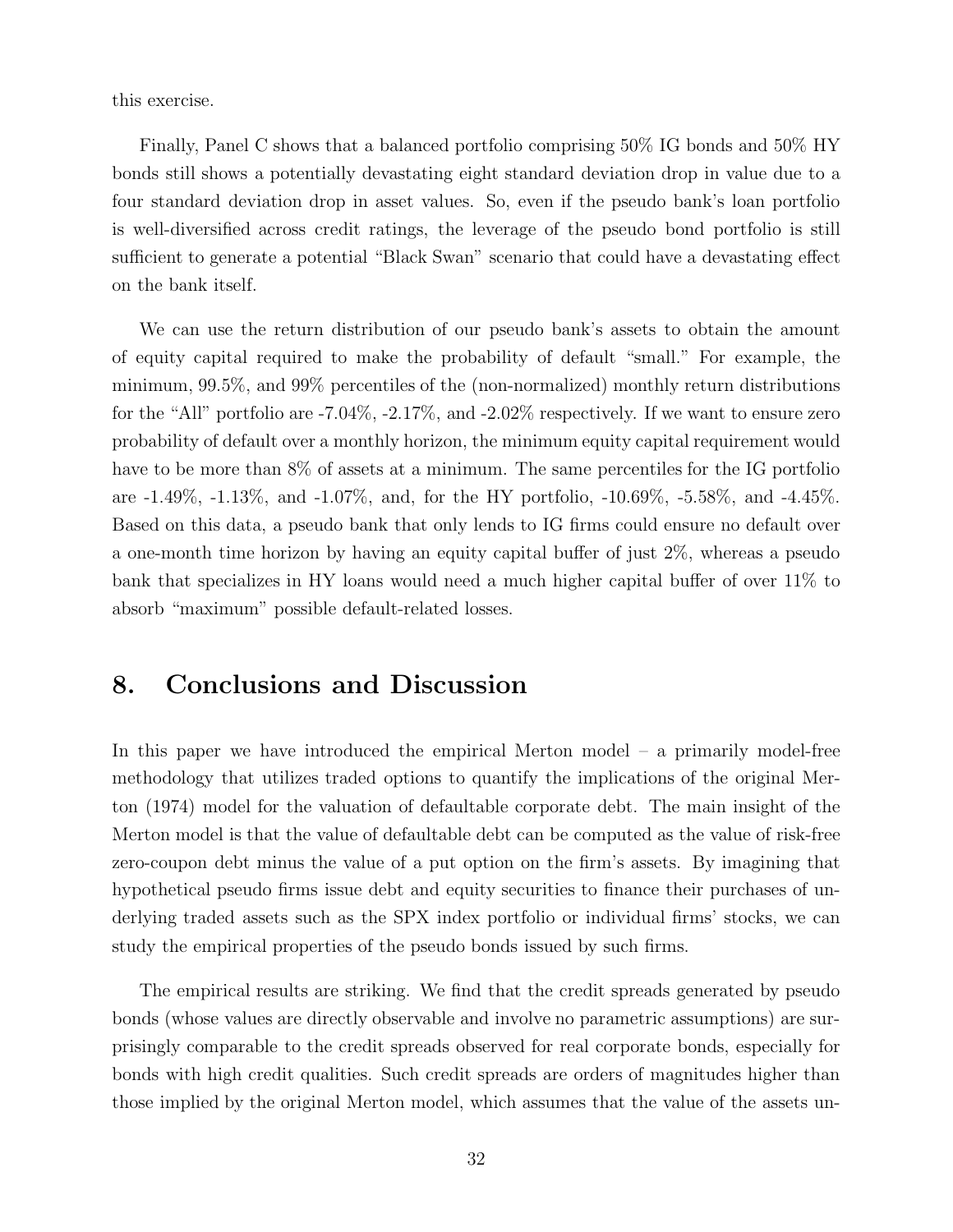this exercise.

Finally, Panel C shows that a balanced portfolio comprising 50% IG bonds and 50% HY bonds still shows a potentially devastating eight standard deviation drop in value due to a four standard deviation drop in asset values. So, even if the pseudo bank's loan portfolio is well-diversified across credit ratings, the leverage of the pseudo bond portfolio is still sufficient to generate a potential "Black Swan" scenario that could have a devastating effect on the bank itself.

We can use the return distribution of our pseudo bank's assets to obtain the amount of equity capital required to make the probability of default "small." For example, the minimum, 99.5%, and 99% percentiles of the (non-normalized) monthly return distributions for the "All" portfolio are  $-7.04\%$ ,  $-2.17\%$ , and  $-2.02\%$  respectively. If we want to ensure zero probability of default over a monthly horizon, the minimum equity capital requirement would have to be more than  $8\%$  of assets at a minimum. The same percentiles for the IG portfolio are -1.49%, -1.13%, and -1.07%, and, for the HY portfolio, -10.69%, -5.58%, and -4.45%. Based on this data, a pseudo bank that only lends to IG firms could ensure no default over a one-month time horizon by having an equity capital buffer of just 2%, whereas a pseudo bank that specializes in HY loans would need a much higher capital buffer of over 11% to absorb "maximum" possible default-related losses.

## 8. Conclusions and Discussion

In this paper we have introduced the empirical Merton model – a primarily model-free methodology that utilizes traded options to quantify the implications of the original Merton (1974) model for the valuation of defaultable corporate debt. The main insight of the Merton model is that the value of defaultable debt can be computed as the value of risk-free zero-coupon debt minus the value of a put option on the firm's assets. By imagining that hypothetical pseudo firms issue debt and equity securities to finance their purchases of underlying traded assets such as the SPX index portfolio or individual firms' stocks, we can study the empirical properties of the pseudo bonds issued by such firms.

The empirical results are striking. We find that the credit spreads generated by pseudo bonds (whose values are directly observable and involve no parametric assumptions) are surprisingly comparable to the credit spreads observed for real corporate bonds, especially for bonds with high credit qualities. Such credit spreads are orders of magnitudes higher than those implied by the original Merton model, which assumes that the value of the assets un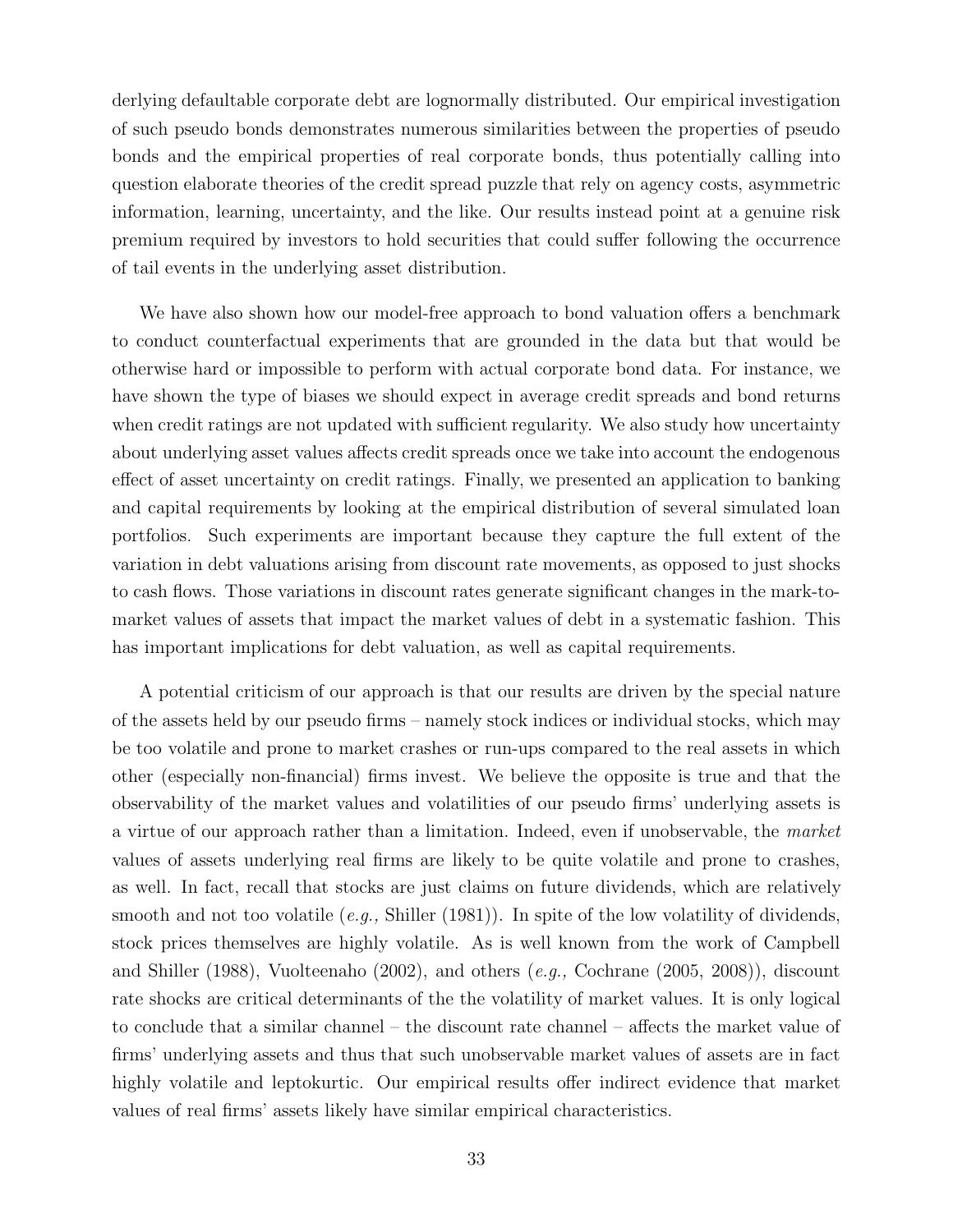derlying defaultable corporate debt are lognormally distributed. Our empirical investigation of such pseudo bonds demonstrates numerous similarities between the properties of pseudo bonds and the empirical properties of real corporate bonds, thus potentially calling into question elaborate theories of the credit spread puzzle that rely on agency costs, asymmetric information, learning, uncertainty, and the like. Our results instead point at a genuine risk premium required by investors to hold securities that could suffer following the occurrence of tail events in the underlying asset distribution.

We have also shown how our model-free approach to bond valuation offers a benchmark to conduct counterfactual experiments that are grounded in the data but that would be otherwise hard or impossible to perform with actual corporate bond data. For instance, we have shown the type of biases we should expect in average credit spreads and bond returns when credit ratings are not updated with sufficient regularity. We also study how uncertainty about underlying asset values affects credit spreads once we take into account the endogenous effect of asset uncertainty on credit ratings. Finally, we presented an application to banking and capital requirements by looking at the empirical distribution of several simulated loan portfolios. Such experiments are important because they capture the full extent of the variation in debt valuations arising from discount rate movements, as opposed to just shocks to cash flows. Those variations in discount rates generate significant changes in the mark-tomarket values of assets that impact the market values of debt in a systematic fashion. This has important implications for debt valuation, as well as capital requirements.

A potential criticism of our approach is that our results are driven by the special nature of the assets held by our pseudo firms – namely stock indices or individual stocks, which may be too volatile and prone to market crashes or run-ups compared to the real assets in which other (especially non-financial) firms invest. We believe the opposite is true and that the observability of the market values and volatilities of our pseudo firms' underlying assets is a virtue of our approach rather than a limitation. Indeed, even if unobservable, the market values of assets underlying real firms are likely to be quite volatile and prone to crashes, as well. In fact, recall that stocks are just claims on future dividends, which are relatively smooth and not too volatile  $(e.g., Shiller (1981))$ . In spite of the low volatility of dividends, stock prices themselves are highly volatile. As is well known from the work of Campbell and Shiller (1988), Vuolteenaho (2002), and others (e.g., Cochrane (2005, 2008)), discount rate shocks are critical determinants of the the volatility of market values. It is only logical to conclude that a similar channel – the discount rate channel – affects the market value of firms' underlying assets and thus that such unobservable market values of assets are in fact highly volatile and leptokurtic. Our empirical results offer indirect evidence that market values of real firms' assets likely have similar empirical characteristics.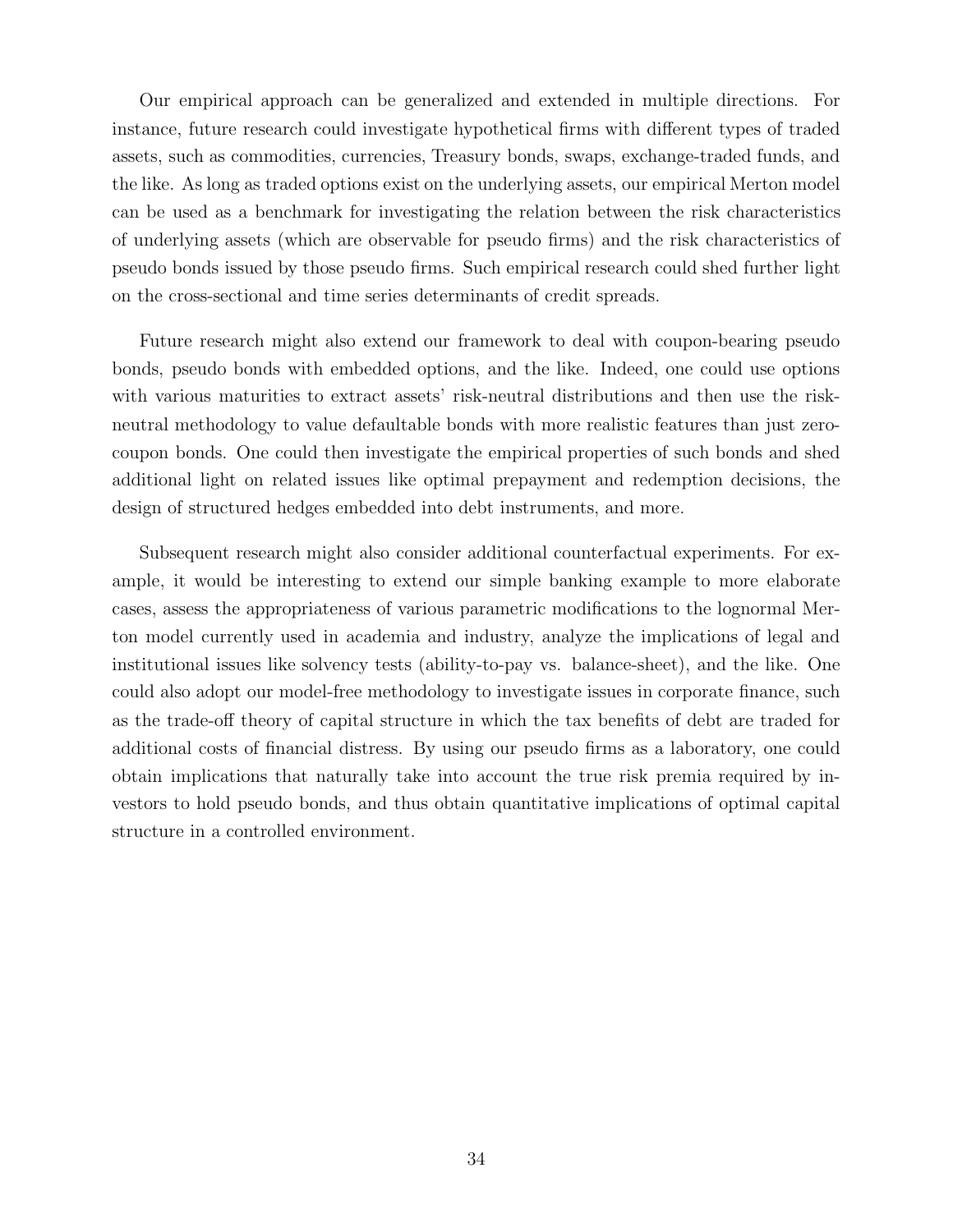Our empirical approach can be generalized and extended in multiple directions. For instance, future research could investigate hypothetical firms with different types of traded assets, such as commodities, currencies, Treasury bonds, swaps, exchange-traded funds, and the like. As long as traded options exist on the underlying assets, our empirical Merton model can be used as a benchmark for investigating the relation between the risk characteristics of underlying assets (which are observable for pseudo firms) and the risk characteristics of pseudo bonds issued by those pseudo firms. Such empirical research could shed further light on the cross-sectional and time series determinants of credit spreads.

Future research might also extend our framework to deal with coupon-bearing pseudo bonds, pseudo bonds with embedded options, and the like. Indeed, one could use options with various maturities to extract assets' risk-neutral distributions and then use the riskneutral methodology to value defaultable bonds with more realistic features than just zerocoupon bonds. One could then investigate the empirical properties of such bonds and shed additional light on related issues like optimal prepayment and redemption decisions, the design of structured hedges embedded into debt instruments, and more.

Subsequent research might also consider additional counterfactual experiments. For example, it would be interesting to extend our simple banking example to more elaborate cases, assess the appropriateness of various parametric modifications to the lognormal Merton model currently used in academia and industry, analyze the implications of legal and institutional issues like solvency tests (ability-to-pay vs. balance-sheet), and the like. One could also adopt our model-free methodology to investigate issues in corporate finance, such as the trade-off theory of capital structure in which the tax benefits of debt are traded for additional costs of financial distress. By using our pseudo firms as a laboratory, one could obtain implications that naturally take into account the true risk premia required by investors to hold pseudo bonds, and thus obtain quantitative implications of optimal capital structure in a controlled environment.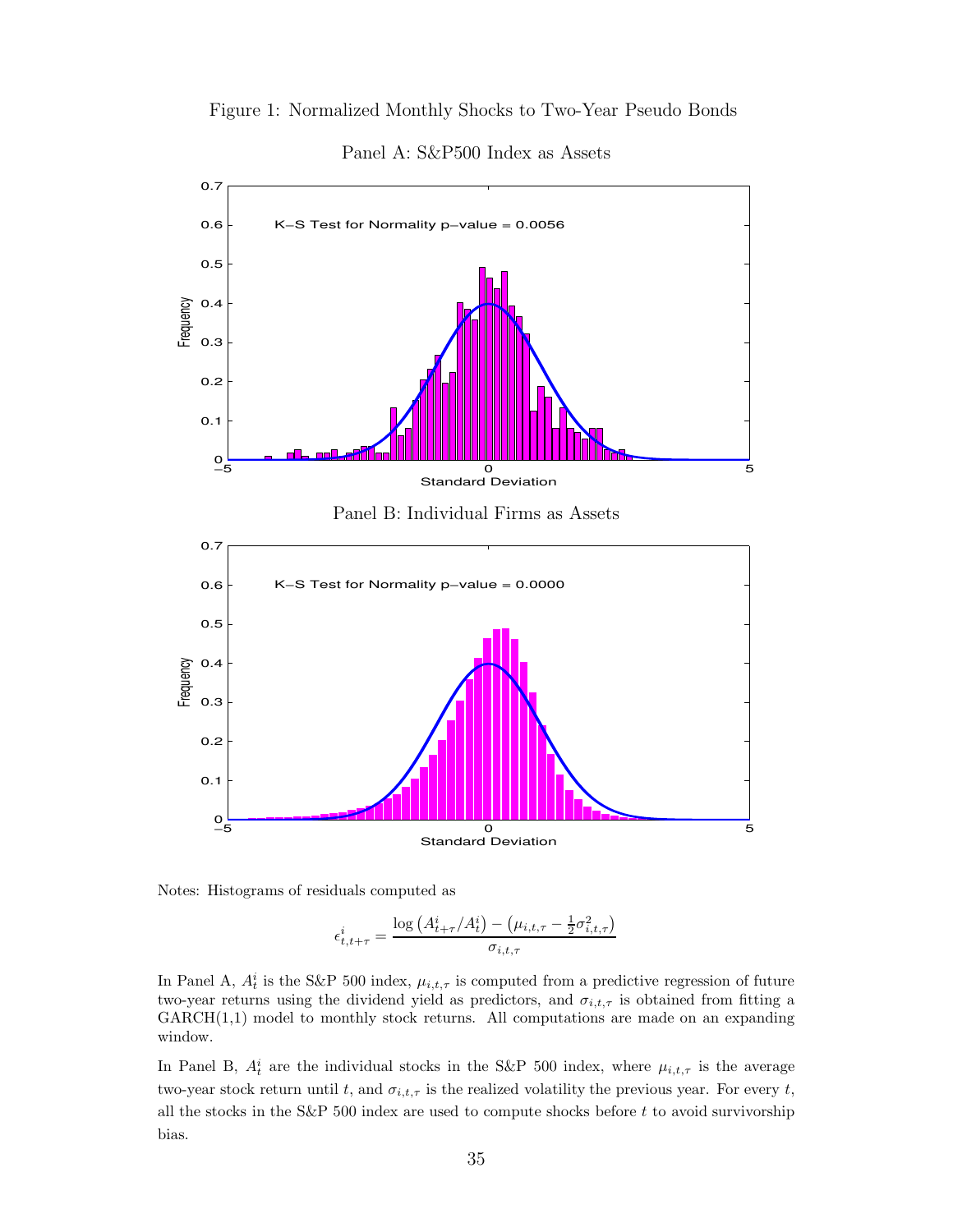



Panel A: S&P500 Index as Assets

Notes: Histograms of residuals computed as

$$
\epsilon_{t,t+\tau}^i = \frac{\log\left(A_{t+\tau}^i/A_t^i\right) - \left(\mu_{i,t,\tau} - \frac{1}{2}\sigma_{i,t,\tau}^2\right)}{\sigma_{i,t,\tau}}
$$

In Panel A,  $A_t^i$  is the S&P 500 index,  $\mu_{i,t,\tau}$  is computed from a predictive regression of future two-year returns using the dividend yield as predictors, and  $\sigma_{i,t,\tau}$  is obtained from fitting a  $GARCH(1,1)$  model to monthly stock returns. All computations are made on an expanding window.

In Panel B,  $A_t^i$  are the individual stocks in the S&P 500 index, where  $\mu_{i,t,\tau}$  is the average two-year stock return until t, and  $\sigma_{i,t,\tau}$  is the realized volatility the previous year. For every t, all the stocks in the S&P 500 index are used to compute shocks before  $t$  to avoid survivorship bias.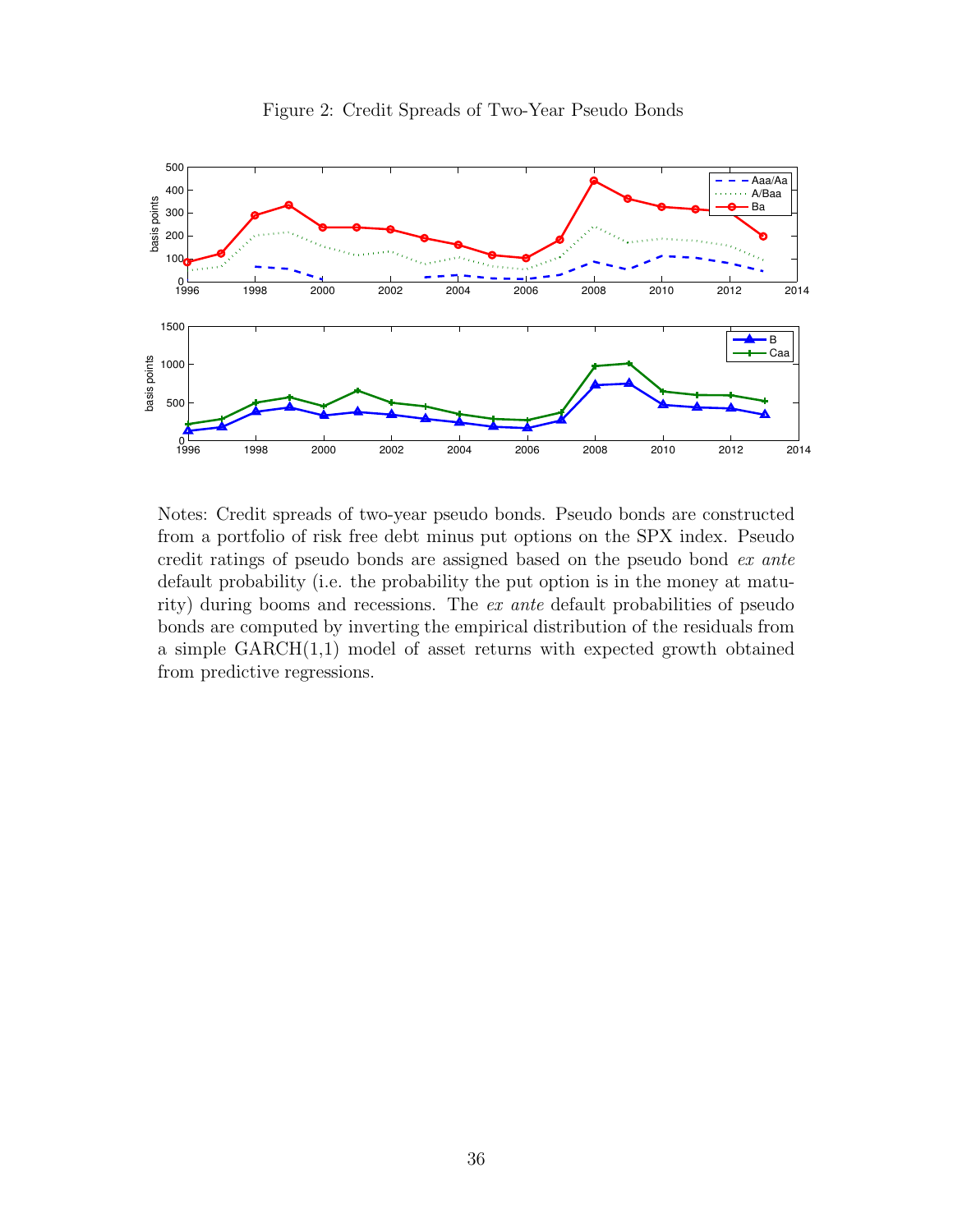

Figure 2: Credit Spreads of Two-Year Pseudo Bonds

Notes: Credit spreads of two-year pseudo bonds. Pseudo bonds are constructed from a portfolio of risk free debt minus put options on the SPX index. Pseudo credit ratings of pseudo bonds are assigned based on the pseudo bond ex ante default probability (i.e. the probability the put option is in the money at maturity) during booms and recessions. The ex ante default probabilities of pseudo bonds are computed by inverting the empirical distribution of the residuals from a simple  $GARCH(1,1)$  model of asset returns with expected growth obtained from predictive regressions.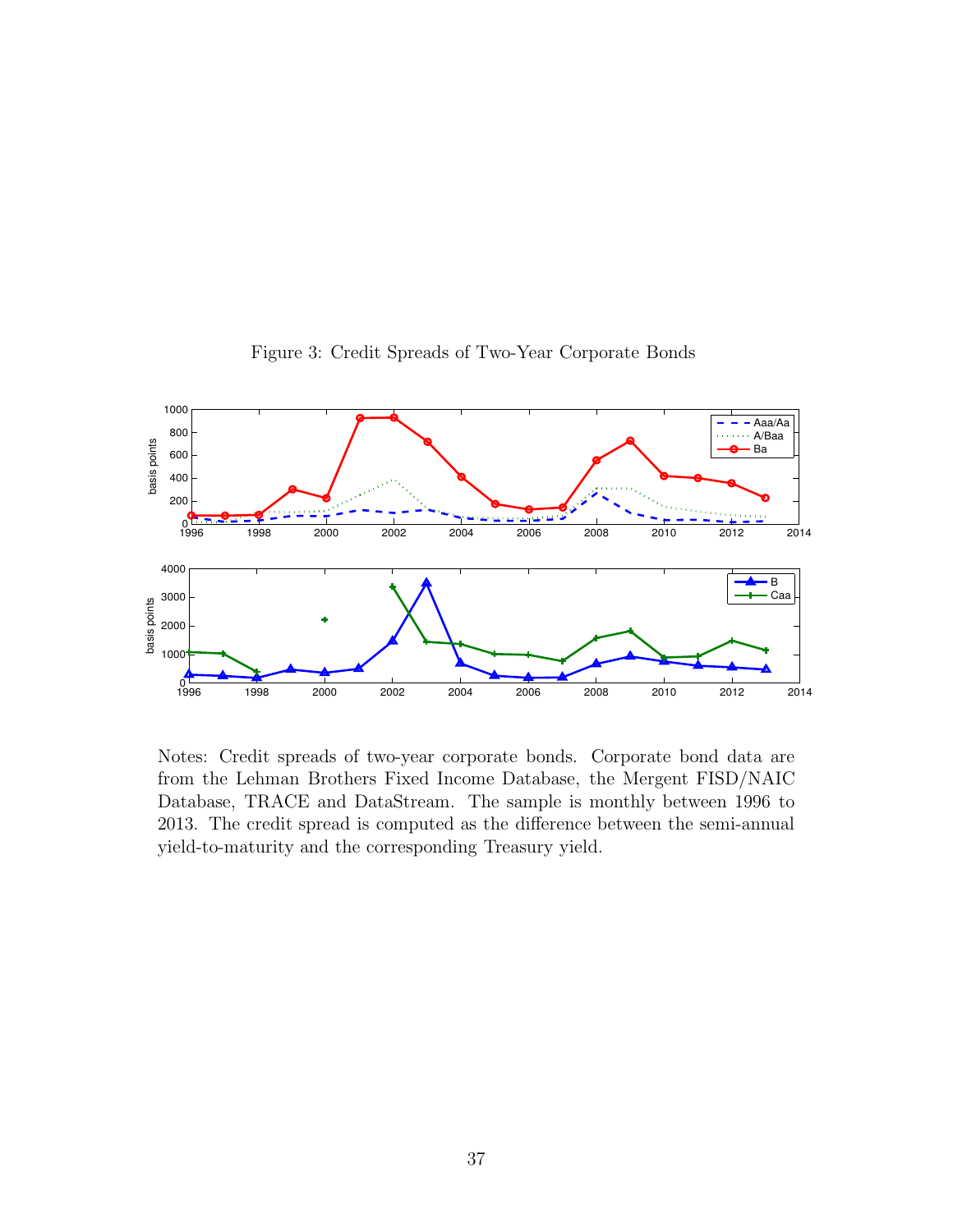

Figure 3: Credit Spreads of Two-Year Corporate Bonds

Notes: Credit spreads of two-year corporate bonds. Corporate bond data are from the Lehman Brothers Fixed Income Database, the Mergent FISD/NAIC Database, TRACE and DataStream. The sample is monthly between 1996 to 2013. The credit spread is computed as the difference between the semi-annual yield-to-maturity and the corresponding Treasury yield.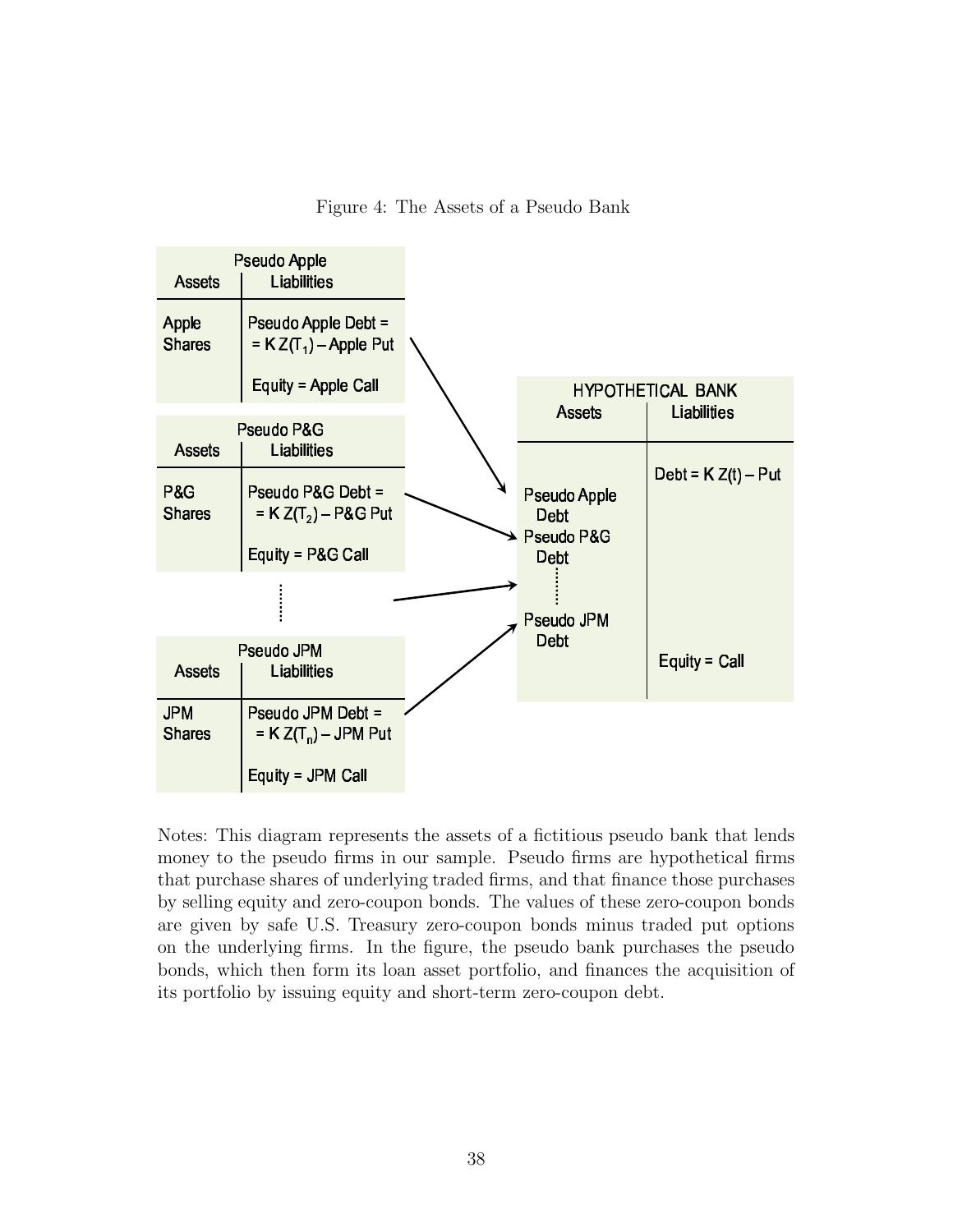



Notes: This diagram represents the assets of a fictitious pseudo bank that lends money to the pseudo firms in our sample. Pseudo firms are hypothetical firms that purchase shares of underlying traded firms, and that finance those purchases by selling equity and zero-coupon bonds. The values of these zero-coupon bonds are given by safe U.S. Treasury zero-coupon bonds minus traded put options on the underlying firms. In the figure, the pseudo bank purchases the pseudo bonds, which then form its loan asset portfolio, and finances the acquisition of its portfolio by issuing equity and short-term zero-coupon debt.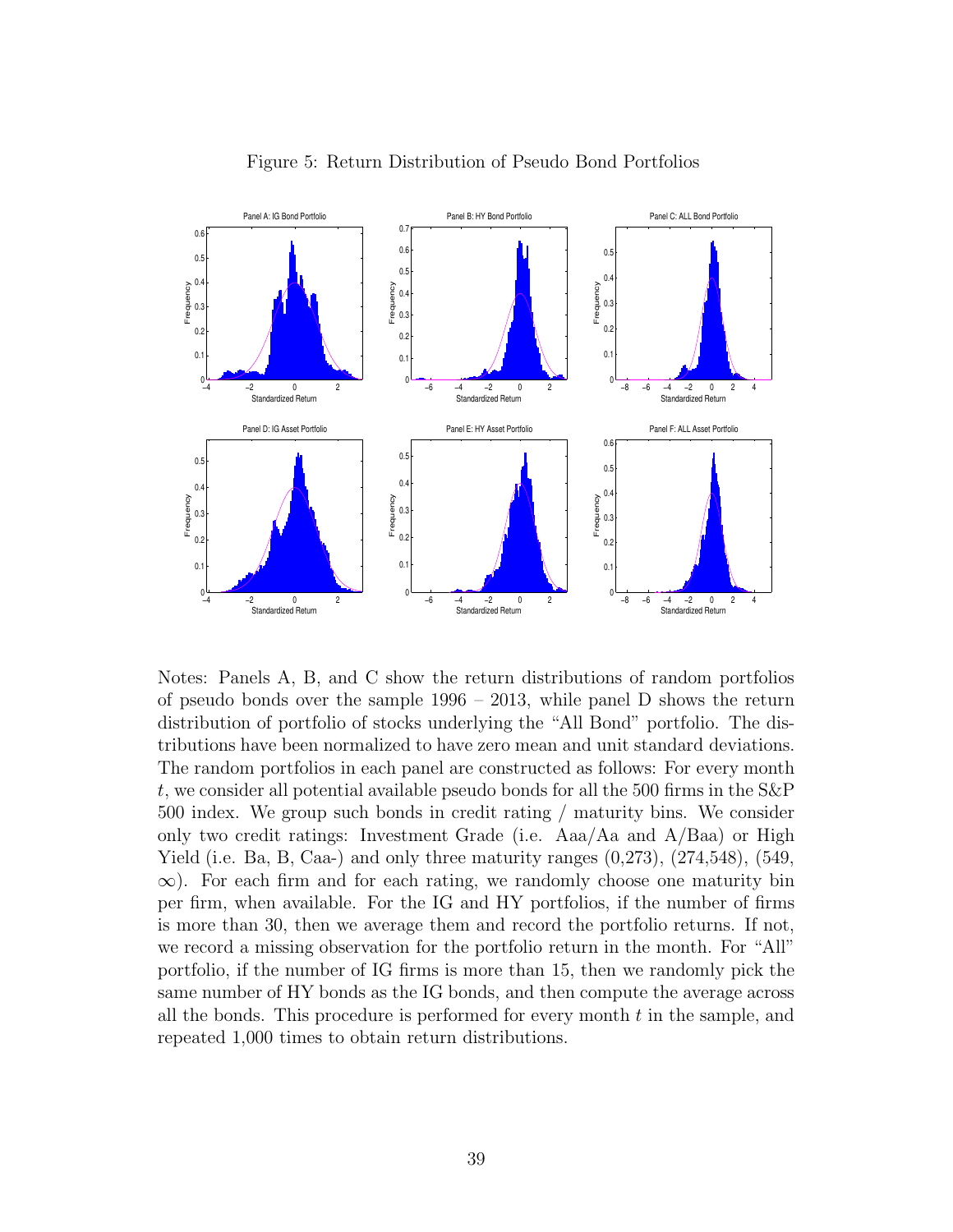

Figure 5: Return Distribution of Pseudo Bond Portfolios

Notes: Panels A, B, and C show the return distributions of random portfolios of pseudo bonds over the sample  $1996 - 2013$ , while panel D shows the return distribution of portfolio of stocks underlying the "All Bond" portfolio. The distributions have been normalized to have zero mean and unit standard deviations. The random portfolios in each panel are constructed as follows: For every month t, we consider all potential available pseudo bonds for all the 500 firms in the S&P 500 index. We group such bonds in credit rating / maturity bins. We consider only two credit ratings: Investment Grade (i.e. Aaa/Aa and A/Baa) or High Yield (i.e. Ba, B, Caa-) and only three maturity ranges  $(0.273)$ ,  $(274,548)$ ,  $(549,$  $\infty$ ). For each firm and for each rating, we randomly choose one maturity bin per firm, when available. For the IG and HY portfolios, if the number of firms is more than 30, then we average them and record the portfolio returns. If not, we record a missing observation for the portfolio return in the month. For "All" portfolio, if the number of IG firms is more than 15, then we randomly pick the same number of HY bonds as the IG bonds, and then compute the average across all the bonds. This procedure is performed for every month  $t$  in the sample, and repeated 1,000 times to obtain return distributions.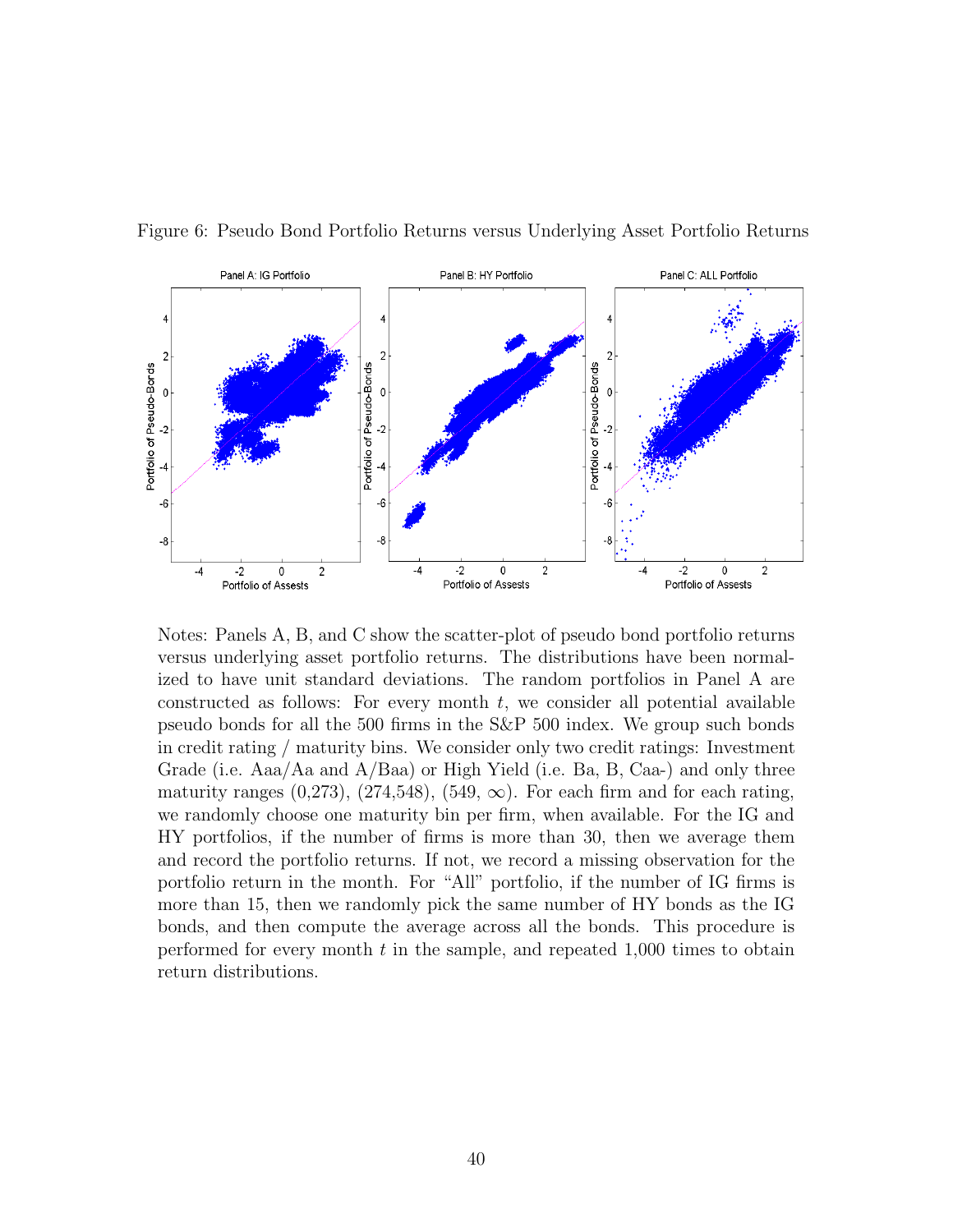

Figure 6: Pseudo Bond Portfolio Returns versus Underlying Asset Portfolio Returns

Notes: Panels A, B, and C show the scatter-plot of pseudo bond portfolio returns versus underlying asset portfolio returns. The distributions have been normalized to have unit standard deviations. The random portfolios in Panel A are constructed as follows: For every month  $t$ , we consider all potential available pseudo bonds for all the 500 firms in the S&P 500 index. We group such bonds in credit rating / maturity bins. We consider only two credit ratings: Investment Grade (i.e. Aaa/Aa and A/Baa) or High Yield (i.e. Ba, B, Caa-) and only three maturity ranges  $(0.273)$ ,  $(274,548)$ ,  $(549, \infty)$ . For each firm and for each rating, we randomly choose one maturity bin per firm, when available. For the IG and HY portfolios, if the number of firms is more than 30, then we average them and record the portfolio returns. If not, we record a missing observation for the portfolio return in the month. For "All" portfolio, if the number of IG firms is more than 15, then we randomly pick the same number of HY bonds as the IG bonds, and then compute the average across all the bonds. This procedure is performed for every month  $t$  in the sample, and repeated 1,000 times to obtain return distributions.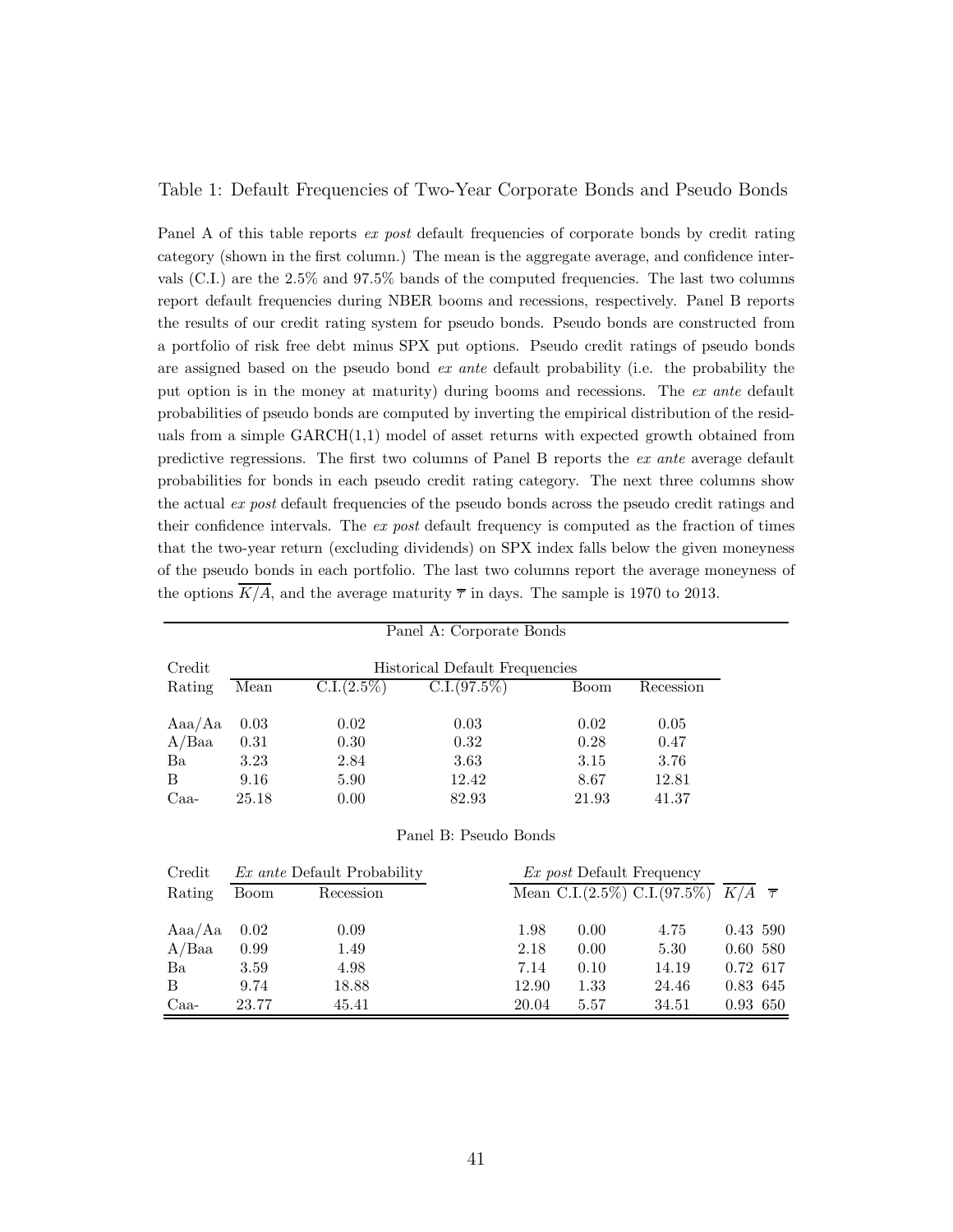### Table 1: Default Frequencies of Two-Year Corporate Bonds and Pseudo Bonds

Panel A of this table reports ex post default frequencies of corporate bonds by credit rating category (shown in the first column.) The mean is the aggregate average, and confidence intervals (C.I.) are the 2.5% and 97.5% bands of the computed frequencies. The last two columns report default frequencies during NBER booms and recessions, respectively. Panel B reports the results of our credit rating system for pseudo bonds. Pseudo bonds are constructed from a portfolio of risk free debt minus SPX put options. Pseudo credit ratings of pseudo bonds are assigned based on the pseudo bond ex ante default probability (i.e. the probability the put option is in the money at maturity) during booms and recessions. The ex ante default probabilities of pseudo bonds are computed by inverting the empirical distribution of the residuals from a simple  $GARCH(1,1)$  model of asset returns with expected growth obtained from predictive regressions. The first two columns of Panel B reports the ex ante average default probabilities for bonds in each pseudo credit rating category. The next three columns show the actual ex post default frequencies of the pseudo bonds across the pseudo credit ratings and their confidence intervals. The ex post default frequency is computed as the fraction of times that the two-year return (excluding dividends) on SPX index falls below the given moneyness of the pseudo bonds in each portfolio. The last two columns report the average moneyness of the options  $\overline{K/A}$ , and the average maturity  $\overline{\tau}$  in days. The sample is 1970 to 2013.

| Panel A: Corporate Bonds |                                       |                                    |                       |       |                                  |                                     |                         |  |
|--------------------------|---------------------------------------|------------------------------------|-----------------------|-------|----------------------------------|-------------------------------------|-------------------------|--|
|                          |                                       |                                    |                       |       |                                  |                                     |                         |  |
| Credit                   | <b>Historical Default Frequencies</b> |                                    |                       |       |                                  |                                     |                         |  |
| Rating                   | Mean                                  | C.I.(2.5%)                         | C.I. (97.5%)          |       | Boom                             | Recession                           |                         |  |
| Aaa/Aa                   | 0.03                                  | 0.02                               | 0.03                  |       | 0.02                             | 0.05                                |                         |  |
| $A/B$ aa                 | 0.31                                  |                                    | 0.32                  |       | 0.28                             | 0.47                                |                         |  |
|                          |                                       | 0.30                               |                       |       |                                  |                                     |                         |  |
| Ba                       | 3.23                                  | 2.84                               | 3.63                  |       | 3.15                             | 3.76                                |                         |  |
| B                        | 9.16                                  | 5.90                               | 12.42                 |       | 8.67                             | 12.81                               |                         |  |
| $Caa-$                   | 25.18                                 | 0.00                               | 82.93                 |       | 21.93                            | 41.37                               |                         |  |
|                          |                                       |                                    | Panel B: Pseudo Bonds |       |                                  |                                     |                         |  |
| Credit                   |                                       | <i>Ex ante</i> Default Probability |                       |       | <i>Ex post</i> Default Frequency |                                     |                         |  |
| Rating                   | Boom                                  | Recession                          |                       |       |                                  | Mean C.I. $(2.5\%)$ C.I. $(97.5\%)$ | $K/A$ $\overline{\tau}$ |  |
| Aaa/Aa                   | 0.02                                  | 0.09                               |                       | 1.98  | 0.00                             | 4.75                                | 0.43 590                |  |
| A/Baa                    | 0.99                                  | 1.49                               |                       | 2.18  | 0.00                             | 5.30                                | 0.60 580                |  |
| Ba                       | 3.59                                  | 4.98                               |                       | 7.14  | 0.10                             | 14.19                               | 0.72 617                |  |
| B                        | 9.74                                  | 18.88                              |                       | 12.90 | 1.33                             | 24.46                               | 0.83 645                |  |
| $Caa-$                   | 23.77                                 | 45.41                              |                       | 20.04 | 5.57                             | 34.51                               | 0.93 650                |  |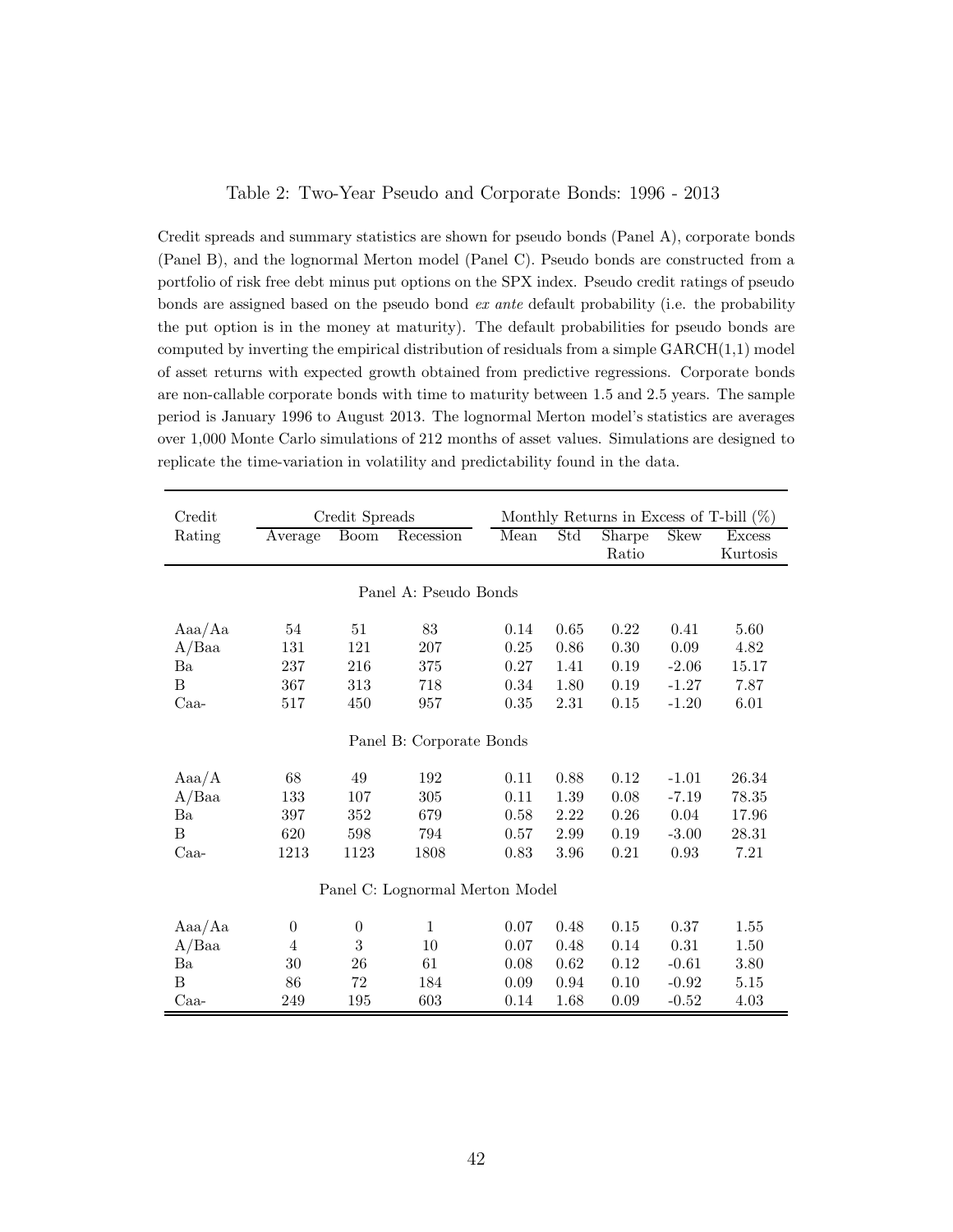#### Table 2: Two-Year Pseudo and Corporate Bonds: 1996 - 2013

Credit spreads and summary statistics are shown for pseudo bonds (Panel A), corporate bonds (Panel B), and the lognormal Merton model (Panel C). Pseudo bonds are constructed from a portfolio of risk free debt minus put options on the SPX index. Pseudo credit ratings of pseudo bonds are assigned based on the pseudo bond ex ante default probability (i.e. the probability the put option is in the money at maturity). The default probabilities for pseudo bonds are computed by inverting the empirical distribution of residuals from a simple  $GARCH(1,1)$  model of asset returns with expected growth obtained from predictive regressions. Corporate bonds are non-callable corporate bonds with time to maturity between 1.5 and 2.5 years. The sample period is January 1996 to August 2013. The lognormal Merton model's statistics are averages over 1,000 Monte Carlo simulations of 212 months of asset values. Simulations are designed to replicate the time-variation in volatility and predictability found in the data.

| Credit   |                  | Credit Spreads   |                                 |      |      | Monthly Returns in Excess of T-bill $(\%)$ |             |               |
|----------|------------------|------------------|---------------------------------|------|------|--------------------------------------------|-------------|---------------|
| Rating   | Average          | <b>Boom</b>      | Recession                       | Mean | Std  | Sharpe                                     | <b>Skew</b> | <b>Excess</b> |
|          |                  |                  |                                 |      |      | Ratio                                      |             | Kurtosis      |
|          |                  |                  |                                 |      |      |                                            |             |               |
|          |                  |                  | Panel A: Pseudo Bonds           |      |      |                                            |             |               |
| Aaa/Aa   | 54               | 51               | 83                              | 0.14 | 0.65 | 0.22                                       | 0.41        | 5.60          |
| $A/B$ aa | 131              | 121              | 207                             | 0.25 | 0.86 | 0.30                                       | 0.09        | 4.82          |
| Ba       | 237              | 216              | 375                             | 0.27 | 1.41 | 0.19                                       | $-2.06$     | 15.17         |
| B        | 367              | 313              | 718                             | 0.34 | 1.80 | 0.19                                       | $-1.27$     | 7.87          |
| $Caa-$   | 517              | 450              | 957                             | 0.35 | 2.31 | 0.15                                       | $-1.20$     | 6.01          |
|          |                  |                  |                                 |      |      |                                            |             |               |
|          |                  |                  | Panel B: Corporate Bonds        |      |      |                                            |             |               |
| Aaa/A    | 68               | 49               | 192                             | 0.11 | 0.88 | 0.12                                       | $-1.01$     | 26.34         |
| A/Baa    | 133              | 107              | 305                             | 0.11 | 1.39 | 0.08                                       | $-7.19$     | 78.35         |
| Ba       | 397              | 352              | 679                             | 0.58 | 2.22 | 0.26                                       | $0.04\,$    | 17.96         |
| B        | 620              | 598              | 794                             | 0.57 | 2.99 | 0.19                                       | $-3.00$     | 28.31         |
| $Caa-$   | 1213             | 1123             | 1808                            | 0.83 | 3.96 | 0.21                                       | 0.93        | 7.21          |
|          |                  |                  | Panel C: Lognormal Merton Model |      |      |                                            |             |               |
| Aaa/Aa   | $\boldsymbol{0}$ | $\boldsymbol{0}$ | $\mathbf{1}$                    | 0.07 | 0.48 | 0.15                                       | 0.37        | 1.55          |
| $A/B$ aa | 4                | 3                | 10                              | 0.07 | 0.48 | 0.14                                       | 0.31        | 1.50          |
| Ba       | 30               | 26               | 61                              | 0.08 | 0.62 | 0.12                                       | $-0.61$     | 3.80          |
| B        | 86               | 72               | 184                             | 0.09 | 0.94 | 0.10                                       | $-0.92$     | 5.15          |
| $Caa-$   | 249              | 195              | 603                             | 0.14 | 1.68 | 0.09                                       | $-0.52$     | 4.03          |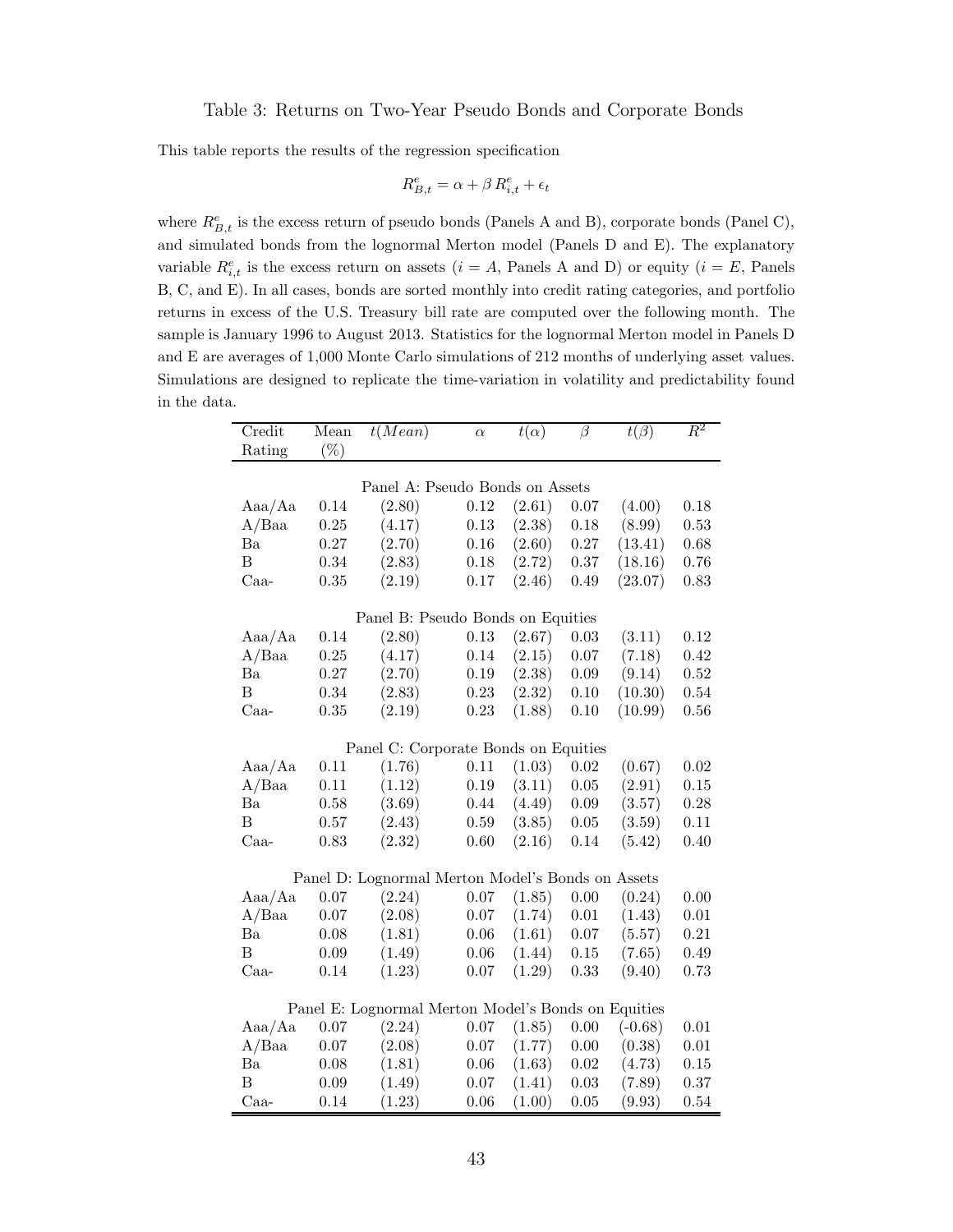This table reports the results of the regression specification

$$
R_{B,t}^e = \alpha + \beta \, R_{i,t}^e + \epsilon_t
$$

where  $R_{B,t}^e$  is the excess return of pseudo bonds (Panels A and B), corporate bonds (Panel C), and simulated bonds from the lognormal Merton model (Panels D and E). The explanatory variable  $R_{i,t}^e$  is the excess return on assets  $(i = A,$  Panels A and D) or equity  $(i = E,$  Panels B, C, and E). In all cases, bonds are sorted monthly into credit rating categories, and portfolio returns in excess of the U.S. Treasury bill rate are computed over the following month. The sample is January 1996 to August 2013. Statistics for the lognormal Merton model in Panels D and E are averages of 1,000 Monte Carlo simulations of 212 months of underlying asset values. Simulations are designed to replicate the time-variation in volatility and predictability found in the data.

| Credit         | Mean       | t(Mean)                                             | $\alpha$ | $t(\alpha)$ | $\overline{\beta}$ | $t(\beta)$ | $\,R^2$  |
|----------------|------------|-----------------------------------------------------|----------|-------------|--------------------|------------|----------|
| Rating         | $(\%)$     |                                                     |          |             |                    |            |          |
|                |            |                                                     |          |             |                    |            |          |
|                |            | Panel A: Pseudo Bonds on Assets                     |          |             |                    |            |          |
| Aaa/Aa         | 0.14       | (2.80)                                              | $0.12\,$ | (2.61)      | $0.07\,$           | (4.00)     | 0.18     |
| A/Baa          | $\rm 0.25$ | (4.17)                                              | $0.13\,$ | (2.38)      | 0.18               | (8.99)     | 0.53     |
| Ba             | $0.27\,$   | (2.70)                                              | $0.16\,$ | (2.60)      | $0.27\,$           | (13.41)    | 0.68     |
| $\overline{B}$ | $0.34\,$   | (2.83)                                              | $0.18\,$ | (2.72)      | $0.37\,$           | (18.16)    | $0.76\,$ |
| Caa-           | $\rm 0.35$ | (2.19)                                              | $0.17\,$ | (2.46)      | 0.49               | (23.07)    | 0.83     |
|                |            |                                                     |          |             |                    |            |          |
|                |            | Panel B: Pseudo Bonds on Equities                   |          |             |                    |            |          |
| Aaa/Aa         | 0.14       | (2.80)                                              | $0.13\,$ | (2.67)      | $0.03\,$           | (3.11)     | 0.12     |
| A/Baa          | 0.25       | (4.17)                                              | 0.14     | (2.15)      | $0.07\,$           | (7.18)     | 0.42     |
| Ba             | $0.27\,$   | (2.70)                                              | $0.19\,$ | (2.38)      | $0.09\,$           | (9.14)     | 0.52     |
| B              | $0.34\,$   | (2.83)                                              | $0.23\,$ | (2.32)      | $0.10\,$           | (10.30)    | $0.54\,$ |
| $Caa-$         | 0.35       | (2.19)                                              | $0.23\,$ | (1.88)      | 0.10               | (10.99)    | 0.56     |
|                |            | Panel C: Corporate Bonds on Equities                |          |             |                    |            |          |
| Aaa/Aa         | 0.11       | (1.76)                                              | 0.11     | (1.03)      | 0.02               | (0.67)     | 0.02     |
| A/Baa          | 0.11       | (1.12)                                              | $0.19\,$ | (3.11)      | $0.05\,$           | (2.91)     | $0.15\,$ |
| Ba             | $0.58\,$   | (3.69)                                              | 0.44     | (4.49)      | $0.09\,$           | (3.57)     | 0.28     |
| B              | 0.57       | (2.43)                                              | $0.59\,$ | (3.85)      | $0.05\,$           | (3.59)     | 0.11     |
| Caa-           | 0.83       | (2.32)                                              | $0.60\,$ | (2.16)      | 0.14               | (5.42)     | 0.40     |
|                |            |                                                     |          |             |                    |            |          |
|                |            | Panel D: Lognormal Merton Model's Bonds on Assets   |          |             |                    |            |          |
| Aaa/Aa         | $0.07\,$   | (2.24)                                              | $0.07\,$ | (1.85)      | $0.00\,$           | (0.24)     | 0.00     |
| A/Baa          | $0.07\,$   | (2.08)                                              | $0.07\,$ | (1.74)      | $0.01\,$           | (1.43)     | $0.01\,$ |
| Ba             | 0.08       | (1.81)                                              | $0.06\,$ | (1.61)      | 0.07               | (5.57)     | 0.21     |
| $\overline{B}$ | 0.09       | (1.49)                                              | $0.06\,$ | (1.44)      | $0.15\,$           | (7.65)     | 0.49     |
| $Caa-$         | 0.14       | (1.23)                                              | $0.07\,$ | (1.29)      | $0.33\,$           | (9.40)     | 0.73     |
|                |            |                                                     |          |             |                    |            |          |
|                |            | Panel E: Lognormal Merton Model's Bonds on Equities |          |             |                    |            |          |
| Aaa/Aa         | 0.07       | (2.24)                                              | $0.07\,$ | (1.85)      | $0.00\,$           | $(-0.68)$  | $0.01\,$ |
| A/Baa          | $0.07\,$   | (2.08)                                              | $0.07\,$ | (1.77)      | $0.00\,$           | (0.38)     | $0.01\,$ |
| Ba             | 0.08       | (1.81)                                              | 0.06     | (1.63)      | $0.02\,$           | (4.73)     | $0.15\,$ |
| B              | 0.09       | (1.49)                                              | 0.07     | (1.41)      | 0.03               | (7.89)     | 0.37     |
| $Caa-$         | 0.14       | (1.23)                                              | $0.06\,$ | (1.00)      | $0.05\,$           | (9.93)     | 0.54     |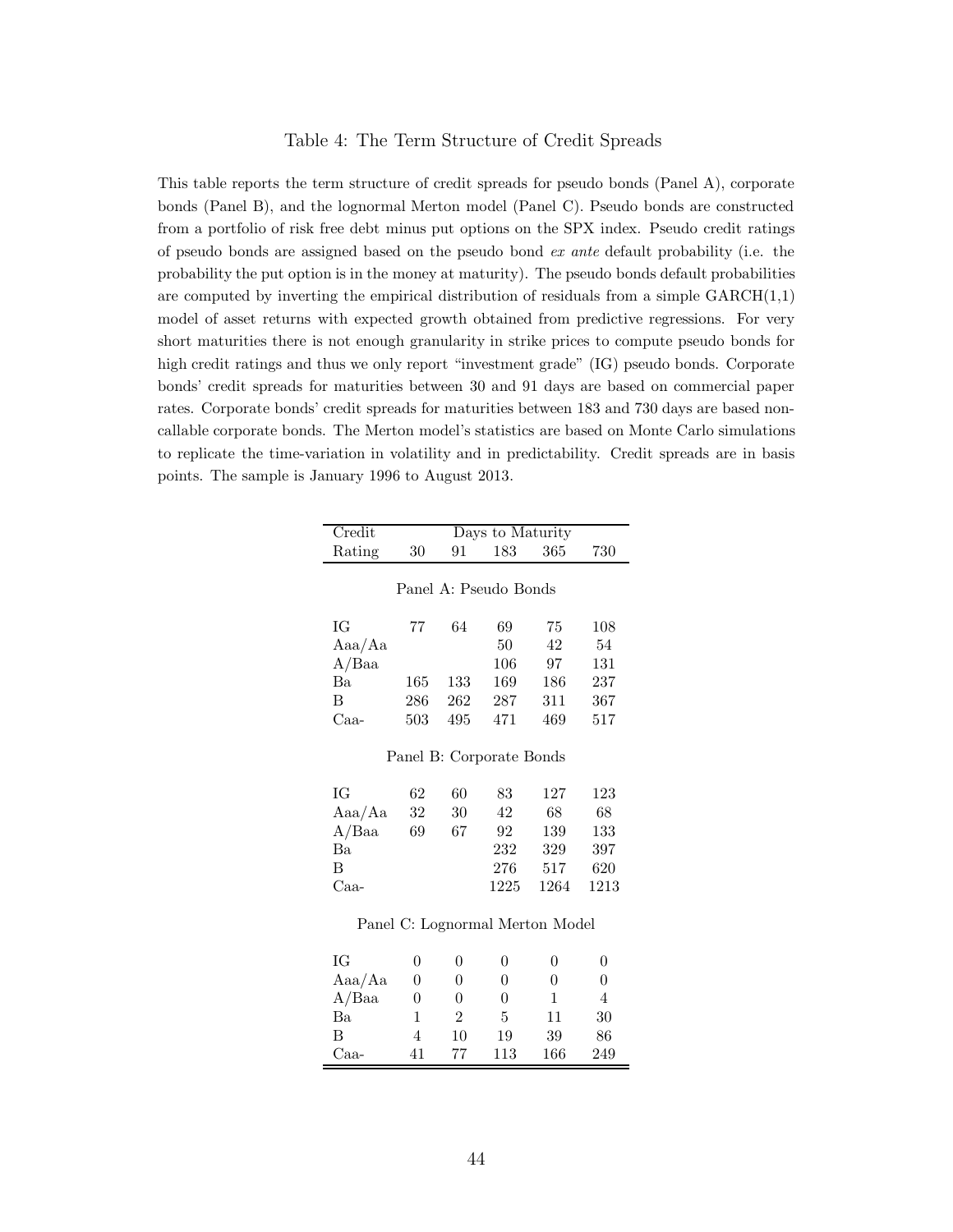### Table 4: The Term Structure of Credit Spreads

This table reports the term structure of credit spreads for pseudo bonds (Panel A), corporate bonds (Panel B), and the lognormal Merton model (Panel C). Pseudo bonds are constructed from a portfolio of risk free debt minus put options on the SPX index. Pseudo credit ratings of pseudo bonds are assigned based on the pseudo bond ex ante default probability (i.e. the probability the put option is in the money at maturity). The pseudo bonds default probabilities are computed by inverting the empirical distribution of residuals from a simple  $GARCH(1,1)$ model of asset returns with expected growth obtained from predictive regressions. For very short maturities there is not enough granularity in strike prices to compute pseudo bonds for high credit ratings and thus we only report "investment grade" (IG) pseudo bonds. Corporate bonds' credit spreads for maturities between 30 and 91 days are based on commercial paper rates. Corporate bonds' credit spreads for maturities between 183 and 730 days are based noncallable corporate bonds. The Merton model's statistics are based on Monte Carlo simulations to replicate the time-variation in volatility and in predictability. Credit spreads are in basis points. The sample is January 1996 to August 2013.

| Credit   |                       |                | Days to Maturity         |                                 |                |  |  |  |
|----------|-----------------------|----------------|--------------------------|---------------------------------|----------------|--|--|--|
| Rating   | 30                    | 91             | 183                      | 365                             | 730            |  |  |  |
|          |                       |                |                          |                                 |                |  |  |  |
|          | Panel A: Pseudo Bonds |                |                          |                                 |                |  |  |  |
|          |                       |                |                          |                                 |                |  |  |  |
| ΙG       | 77                    | 64             | 69                       | 75                              | 108            |  |  |  |
| Aaa/Aa   |                       |                | 50                       | 42                              | 54             |  |  |  |
| $A/B$ aa |                       |                | 106                      | 97                              | 131            |  |  |  |
| Ba       | 165                   | 133            | 169                      | 186                             | 237            |  |  |  |
| B        | 286                   | 262            | 287                      | 311                             | 367            |  |  |  |
| $Caa-$   | 503                   | 495            | 471                      | 469                             | 517            |  |  |  |
|          |                       |                |                          |                                 |                |  |  |  |
|          |                       |                | Panel B: Corporate Bonds |                                 |                |  |  |  |
| ΙG       | 62                    | 60             | 83                       | 127                             | 123            |  |  |  |
| Aaa/Aa   | 32                    | 30             | 42                       | 68                              | 68             |  |  |  |
| A/Baa    | 69                    | 67             | 92                       | 139                             | 133            |  |  |  |
| Ba       |                       |                | 232                      | 329                             | 397            |  |  |  |
| B        |                       |                | 276                      | 517                             | 620            |  |  |  |
| $Caa-$   |                       |                | 1225                     | 1264                            | 1213           |  |  |  |
|          |                       |                |                          |                                 |                |  |  |  |
|          |                       |                |                          | Panel C: Lognormal Merton Model |                |  |  |  |
| ĪG       | $\overline{0}$        | $\theta$       | $\theta$                 | 0                               | 0              |  |  |  |
| Aaa/Aa   | $\boldsymbol{0}$      | $\overline{0}$ | $\theta$                 | $\theta$                        | $\overline{0}$ |  |  |  |
| A/Baa    | $\boldsymbol{0}$      | $\overline{0}$ | 0                        | 1                               | $\overline{4}$ |  |  |  |
| Ba       | $\mathbf 1$           | $\overline{2}$ | 5                        | 11                              | 30             |  |  |  |
| B        | $\overline{4}$        | 10             |                          | 39                              |                |  |  |  |
|          |                       |                | 19                       |                                 | 86             |  |  |  |
| Caa-     | 41                    | 77             | 113                      | 166                             | 249            |  |  |  |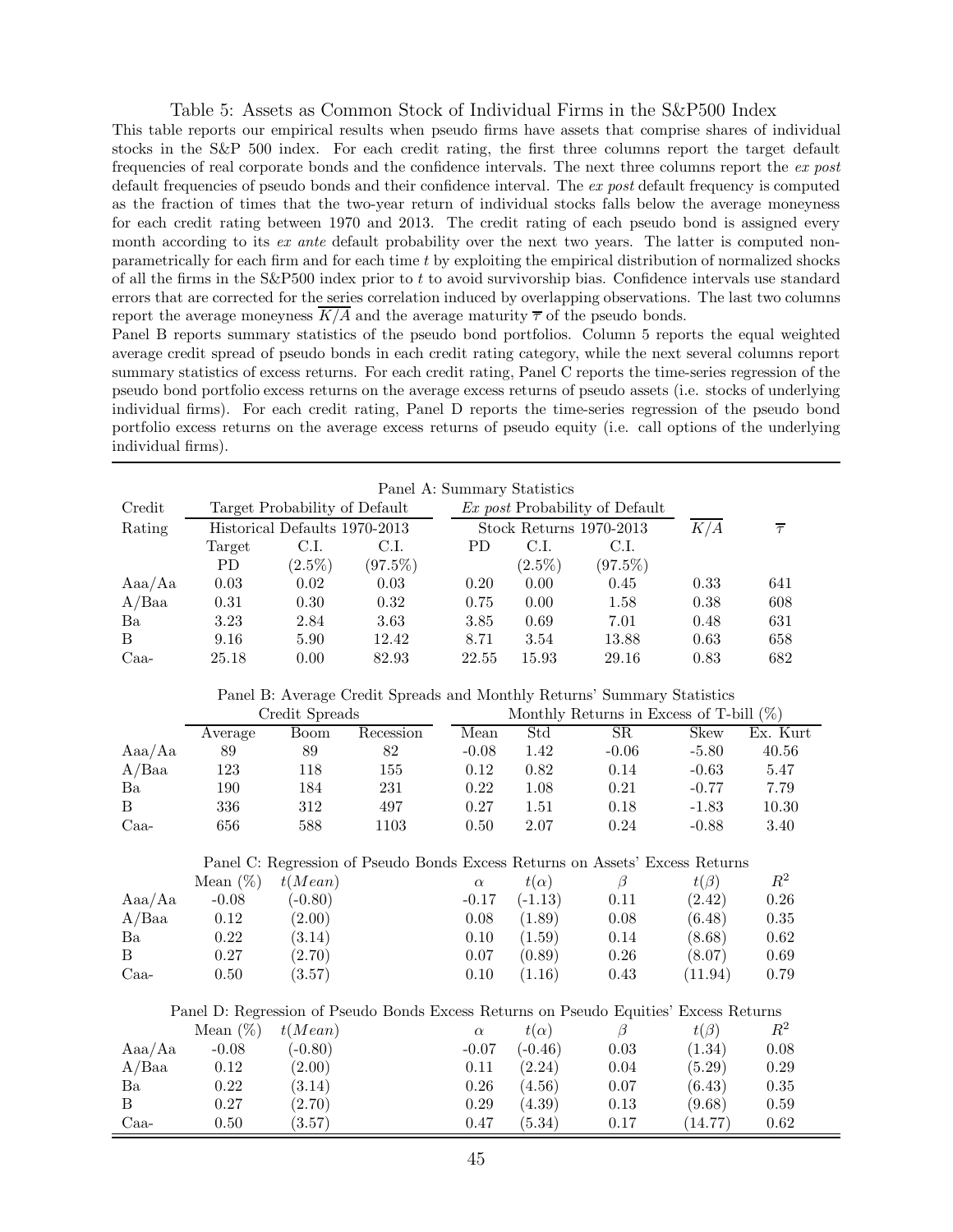#### Table 5: Assets as Common Stock of Individual Firms in the S&P500 Index

This table reports our empirical results when pseudo firms have assets that comprise shares of individual stocks in the S&P 500 index. For each credit rating, the first three columns report the target default frequencies of real corporate bonds and the confidence intervals. The next three columns report the ex post default frequencies of pseudo bonds and their confidence interval. The ex post default frequency is computed as the fraction of times that the two-year return of individual stocks falls below the average moneyness for each credit rating between 1970 and 2013. The credit rating of each pseudo bond is assigned every month according to its ex ante default probability over the next two years. The latter is computed nonparametrically for each firm and for each time t by exploiting the empirical distribution of normalized shocks of all the firms in the  $S\&P500$  index prior to t to avoid survivorship bias. Confidence intervals use standard errors that are corrected for the series correlation induced by overlapping observations. The last two columns report the average moneyness  $K/A$  and the average maturity  $\overline{\tau}$  of the pseudo bonds.

Panel B reports summary statistics of the pseudo bond portfolios. Column 5 reports the equal weighted average credit spread of pseudo bonds in each credit rating category, while the next several columns report summary statistics of excess returns. For each credit rating, Panel C reports the time-series regression of the pseudo bond portfolio excess returns on the average excess returns of pseudo assets (i.e. stocks of underlying individual firms). For each credit rating, Panel D reports the time-series regression of the pseudo bond portfolio excess returns on the average excess returns of pseudo equity (i.e. call options of the underlying individual firms).

|                  | Panel A: Summary Statistics |                               |            |            |             |                                                                                       |            |                   |
|------------------|-----------------------------|-------------------------------|------------|------------|-------------|---------------------------------------------------------------------------------------|------------|-------------------|
| Credit           |                             | Target Probability of Default |            |            |             | Ex post Probability of Default                                                        |            |                   |
| Rating           |                             | Historical Defaults 1970-2013 |            |            |             | Stock Returns 1970-2013                                                               | K/A        | $\overline{\tau}$ |
|                  | Target                      | C.I.                          | C.I.       | ${\rm PD}$ | C.I.        | C.I.                                                                                  |            |                   |
|                  | ${\rm PD}$                  | $(2.5\%)$                     | $(97.5\%)$ |            | $(2.5\%)$   | $(97.5\%)$                                                                            |            |                   |
| Aaa/Aa           | 0.03                        | 0.02                          | 0.03       | 0.20       | 0.00        | 0.45                                                                                  | 0.33       | 641               |
| $A/B$ aa         | $0.31\,$                    | 0.30                          | 0.32       | 0.75       | 0.00        | 1.58                                                                                  | 0.38       | 608               |
| Ba               | 3.23                        | $2.84\,$                      | $3.63\,$   | $3.85\,$   | 0.69        | 7.01                                                                                  | 0.48       | 631               |
| $\, {\bf B}$     | 9.16                        | $5.90\,$                      | 12.42      | 8.71       | 3.54        | 13.88                                                                                 | 0.63       | 658               |
| Caa-             | 25.18                       | 0.00                          | 82.93      | 22.55      | 15.93       | 29.16                                                                                 | 0.83       | 682               |
|                  |                             |                               |            |            |             | Panel B: Average Credit Spreads and Monthly Returns' Summary Statistics               |            |                   |
|                  |                             | Credit Spreads                |            |            |             | Monthly Returns in Excess of T-bill $(\%)$                                            |            |                   |
|                  | Average                     | <b>Boom</b>                   | Recession  | Mean       | Std         | SR                                                                                    | Skew       | Ex. Kurt          |
| Aaa/Aa           | 89                          | 89                            | 82         | $-0.08$    | 1.42        | $-0.06$                                                                               | $-5.80$    | 40.56             |
| A/Baa            | 123                         | 118                           | 155        | 0.12       | 0.82        | $0.14\,$                                                                              | $-0.63$    | $5.47\,$          |
| Ba               | 190                         | 184                           | 231        | $0.22\,$   | 1.08        | $\rm 0.21$                                                                            | $-0.77$    | 7.79              |
| $\boldsymbol{B}$ | 336                         | $312\,$                       | 497        | $0.27\,$   | 1.51        | 0.18                                                                                  | $-1.83$    | 10.30             |
| Caa-             | 656                         | 588                           | 1103       | 0.50       | $2.07\,$    | 0.24                                                                                  | $-0.88$    | 3.40              |
|                  |                             |                               |            |            |             |                                                                                       |            |                   |
|                  |                             |                               |            |            |             | Panel C: Regression of Pseudo Bonds Excess Returns on Assets' Excess Returns          |            |                   |
|                  | Mean $(\%)$                 | t(Mean)                       |            | $\alpha$   | $t(\alpha)$ | $\beta$                                                                               | $t(\beta)$ | $R^2$             |
| Aaa/Aa           | $-0.08$                     | $(-0.80)$                     |            | $-0.17$    | $(-1.13)$   | 0.11                                                                                  | (2.42)     | 0.26              |
| A/Baa            | 0.12                        | (2.00)                        |            | 0.08       | (1.89)      | 0.08                                                                                  | (6.48)     | 0.35              |
| Ba               | 0.22                        | (3.14)                        |            | 0.10       | (1.59)      | 0.14                                                                                  | (8.68)     | 0.62              |
| $\mathbf{B}$     | 0.27                        | (2.70)                        |            | 0.07       | (0.89)      | $0.26\,$                                                                              | (8.07)     | 0.69              |
| Caa-             | 0.50                        | (3.57)                        |            | 0.10       | (1.16)      | 0.43                                                                                  | (11.94)    | 0.79              |
|                  |                             |                               |            |            |             | Panel D: Regression of Pseudo Bonds Excess Returns on Pseudo Equities' Excess Returns |            |                   |
|                  | Mean $(\%)$                 | t(Mean)                       |            | $\alpha$   | $t(\alpha)$ | $\beta$                                                                               | $t(\beta)$ | $R^2$             |
| Aaa/Aa           | $-0.08$                     | $(-0.80)$                     |            | $-0.07$    | $(-0.46)$   | 0.03                                                                                  | (1.34)     | 0.08              |
| A/Baa            | $0.12\,$                    | (2.00)                        |            | $0.11\,$   | (2.24)      | $0.04\,$                                                                              | (5.29)     | 0.29              |
| Ba               | 0.22                        | (3.14)                        |            | 0.26       | (4.56)      | 0.07                                                                                  | (6.43)     | $0.35\,$          |
| $\, {\bf B}$     | 0.27                        | (2.70)                        |            | 0.29       | (4.39)      | 0.13                                                                                  | (9.68)     | $0.59\,$          |
| $Caa-$           | 0.50                        | (3.57)                        |            | 0.47       | (5.34)      | 0.17                                                                                  | (14.77)    | 0.62              |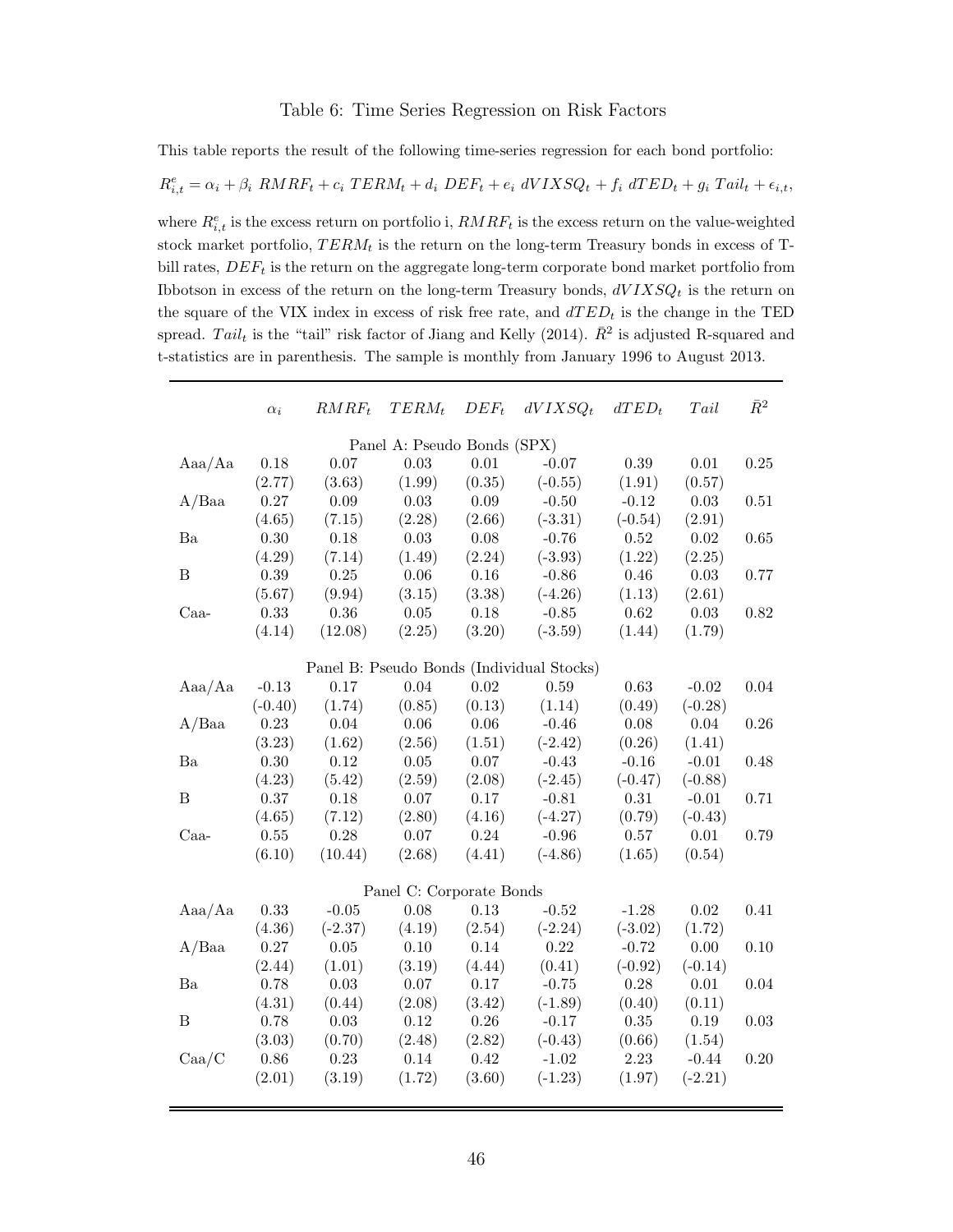### Table 6: Time Series Regression on Risk Factors

This table reports the result of the following time-series regression for each bond portfolio:

$$
R_{i,t}^e = \alpha_i + \beta_i \text{ RMRF}_t + c_i \text{ TERM}_t + d_i \text{ DEF}_t + e_i \text{ dVIXSQ}_t + f_i \text{ dTED}_t + g_i \text{ Tail}_t + \epsilon_{i,t},
$$

where  $R_{i,t}^e$  is the excess return on portfolio i,  $RMRF_t$  is the excess return on the value-weighted stock market portfolio,  $TERM_t$  is the return on the long-term Treasury bonds in excess of Tbill rates,  $DEF<sub>t</sub>$  is the return on the aggregate long-term corporate bond market portfolio from Ibbotson in excess of the return on the long-term Treasury bonds,  $dVIXSQ_t$  is the return on the square of the VIX index in excess of risk free rate, and  $dTED_t$  is the change in the TED spread. Tail<sub>t</sub> is the "tail" risk factor of Jiang and Kelly (2014).  $\bar{R}^2$  is adjusted R-squared and t-statistics are in parenthesis. The sample is monthly from January 1996 to August 2013.

| $\alpha_i$ | $RMRF_t$                       | $TERM_t$ | $DEF_{t}$      | $dVIXSQ_t$ | $dTED_t$                                                                                                               | Tail           | $\bar{R}^2$          |
|------------|--------------------------------|----------|----------------|------------|------------------------------------------------------------------------------------------------------------------------|----------------|----------------------|
|            |                                |          |                |            |                                                                                                                        |                |                      |
| $0.18\,$   | 0.07                           | 0.03     | 0.01           | $-0.07$    | 0.39                                                                                                                   | $0.01\,$       | 0.25                 |
|            | (3.63)                         | (1.99)   | (0.35)         | $(-0.55)$  | (1.91)                                                                                                                 | (0.57)         |                      |
| 0.27       | 0.09                           | 0.03     | 0.09           | $-0.50$    | $-0.12$                                                                                                                | 0.03           | 0.51                 |
| (4.65)     | (7.15)                         | (2.28)   | (2.66)         | $(-3.31)$  | $(-0.54)$                                                                                                              | (2.91)         |                      |
| $0.30\,$   | 0.18                           | 0.03     | 0.08           | $-0.76$    | $\rm 0.52$                                                                                                             | $0.02\,$       | 0.65                 |
| (4.29)     | (7.14)                         | (1.49)   | (2.24)         | $(-3.93)$  | (1.22)                                                                                                                 | (2.25)         |                      |
| 0.39       | 0.25                           | 0.06     | 0.16           | $-0.86$    | 0.46                                                                                                                   | $0.03\,$       | 0.77                 |
| (5.67)     | (9.94)                         | (3.15)   | (3.38)         | $(-4.26)$  | (1.13)                                                                                                                 | (2.61)         |                      |
| 0.33       | 0.36                           | $0.05\,$ | 0.18           | $-0.85$    | $\,0.62\,$                                                                                                             | $0.03\,$       | 0.82                 |
| (4.14)     | (12.08)                        | (2.25)   | (3.20)         | $(-3.59)$  | (1.44)                                                                                                                 | (1.79)         |                      |
|            |                                |          |                |            |                                                                                                                        |                |                      |
|            | 0.17                           |          | 0.02           |            |                                                                                                                        |                | 0.04                 |
|            |                                |          |                |            |                                                                                                                        |                |                      |
| 0.23       | 0.04                           | 0.06     | 0.06           | $-0.46$    | 0.08                                                                                                                   | 0.04           | 0.26                 |
| (3.23)     | (1.62)                         | (2.56)   | (1.51)         | $(-2.42)$  | (0.26)                                                                                                                 | (1.41)         |                      |
| $0.30\,$   | 0.12                           | $0.05\,$ | 0.07           | $-0.43$    | $-0.16$                                                                                                                | $-0.01$        | 0.48                 |
| (4.23)     | (5.42)                         | (2.59)   | (2.08)         | $(-2.45)$  | $(-0.47)$                                                                                                              | $(-0.88)$      |                      |
| 0.37       | 0.18                           | 0.07     | 0.17           | $-0.81$    | 0.31                                                                                                                   | $-0.01$        | 0.71                 |
| (4.65)     | (7.12)                         | (2.80)   | (4.16)         | $(-4.27)$  | (0.79)                                                                                                                 | $(-0.43)$      |                      |
| $0.55\,$   | 0.28                           | $0.07\,$ | 0.24           | $-0.96$    | $0.57\,$                                                                                                               | $0.01\,$       | 0.79                 |
| (6.10)     | (10.44)                        | (2.68)   | (4.41)         | $(-4.86)$  | (1.65)                                                                                                                 | (0.54)         |                      |
|            |                                |          |                |            |                                                                                                                        |                |                      |
| 0.33       | $-0.05$                        | 0.08     | $0.13\,$       | $-0.52$    | $-1.28$                                                                                                                | $0.02\,$       | 0.41                 |
| (4.36)     | $(-2.37)$                      | (4.19)   | (2.54)         | $(-2.24)$  | $(-3.02)$                                                                                                              | (1.72)         |                      |
| 0.27       | 0.05                           | 0.10     | 0.14           | 0.22       | $-0.72$                                                                                                                | 0.00           | 0.10                 |
| (2.44)     | (1.01)                         | (3.19)   | (4.44)         | (0.41)     | $(-0.92)$                                                                                                              | $(-0.14)$      |                      |
| 0.78       | 0.03                           | 0.07     | 0.17           | $-0.75$    | 0.28                                                                                                                   | 0.01           | 0.04                 |
| (4.31)     | (0.44)                         | (2.08)   | (3.42)         | $(-1.89)$  | (0.40)                                                                                                                 | (0.11)         |                      |
| 0.78       | 0.03                           | 0.12     | 0.26           | $-0.17$    | $0.35\,$                                                                                                               | 0.19           | 0.03                 |
| (3.03)     | (0.70)                         | (2.48)   | (2.82)         | $(-0.43)$  | (0.66)                                                                                                                 | (1.54)         |                      |
| 0.86       | 0.23                           | 0.14     | 0.42           | $-1.02$    | 2.23                                                                                                                   | $-0.44$        | 0.20                 |
| (2.01)     | (3.19)                         | (1.72)   | (3.60)         | $(-1.23)$  | (1.97)                                                                                                                 | $(-2.21)$      |                      |
|            | (2.77)<br>$-0.13$<br>$(-0.40)$ | (1.74)   | 0.04<br>(0.85) | (0.13)     | Panel A: Pseudo Bonds (SPX)<br>Panel B: Pseudo Bonds (Individual Stocks)<br>0.59<br>(1.14)<br>Panel C: Corporate Bonds | 0.63<br>(0.49) | $-0.02$<br>$(-0.28)$ |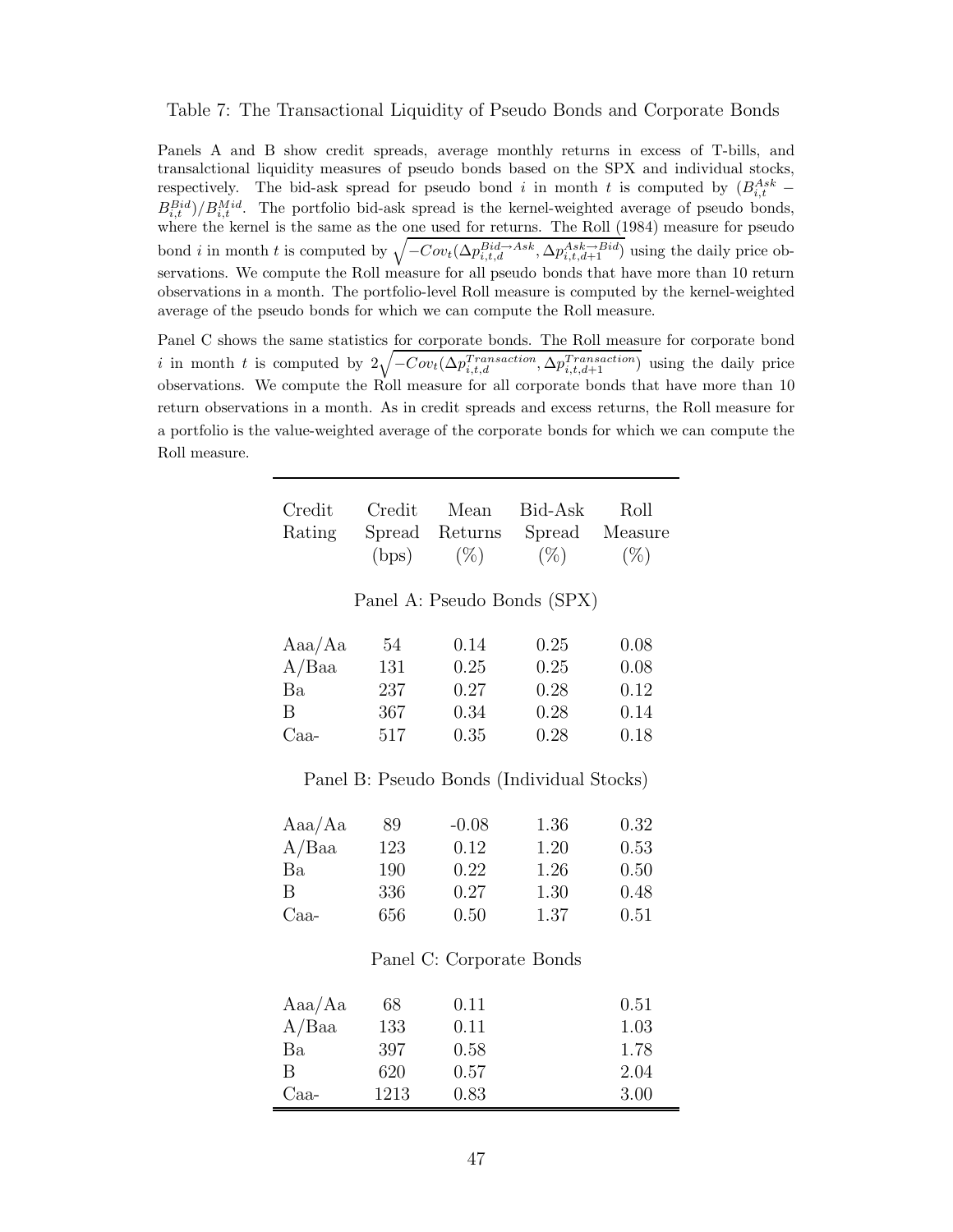#### Table 7: The Transactional Liquidity of Pseudo Bonds and Corporate Bonds

Panels A and B show credit spreads, average monthly returns in excess of T-bills, and transalctional liquidity measures of pseudo bonds based on the SPX and individual stocks, respectively. The bid-ask spread for pseudo bond i in month t is computed by  $(B_{i,t}^{Ask} B_{i,t}^{Bid}$ )/ $B_{i,t}^{Mid}$ . The portfolio bid-ask spread is the kernel-weighted average of pseudo bonds, where the kernel is the same as the one used for returns. The Roll (1984) measure for pseudo bond *i* in month *t* is computed by  $\sqrt{-Cov_t(\Delta p_{i,t,d}^{Bid} \rightarrow As^k, \Delta p_{i,t,d+1}^{Ask} \rightarrow Bi})$  using the daily price observations. We compute the Roll measure for all pseudo bonds that have more than 10 return observations in a month. The portfolio-level Roll measure is computed by the kernel-weighted average of the pseudo bonds for which we can compute the Roll measure.

Panel C shows the same statistics for corporate bonds. The Roll measure for corporate bond i in month t is computed by  $2\sqrt{-Cov_t(\Delta p_{i,t,d}^{Transaction}, \Delta p_{i,t,d+1}^{Transaction})}$  using the daily price observations. We compute the Roll measure for all corporate bonds that have more than 10 return observations in a month. As in credit spreads and excess returns, the Roll measure for a portfolio is the value-weighted average of the corporate bonds for which we can compute the Roll measure.

| Credit |                | Credit Mean Bid-Ask Roll             |        |
|--------|----------------|--------------------------------------|--------|
|        |                | Rating Spread Returns Spread Measure |        |
|        | $(bps)$ $(\%)$ | $(\%)$                               | $(\%)$ |

|  | Panel A: Pseudo Bonds (SPX) |  |  |
|--|-----------------------------|--|--|
|--|-----------------------------|--|--|

| Aaa/Aa | 54  | 0.14 | 0.25 | 0.08 |
|--------|-----|------|------|------|
| A/Baa  | 131 | 0.25 | 0.25 | 0.08 |
| Ba     | 237 | 0.27 | 0.28 | 0.12 |
| R      | 367 | 0.34 | 0.28 | 0.14 |
| $Caa-$ | 517 | 0.35 | 0.28 | 0.18 |

Panel B: Pseudo Bonds (Individual Stocks)

| Aaa/Aa | 89  | $-0.08$ | 1.36 | 0.32 |
|--------|-----|---------|------|------|
| A/Baa  | 123 | 0.12    | 1.20 | 0.53 |
| Ba     | 190 | 0.22    | 1.26 | 0.50 |
| В      | 336 | 0.27    | 1.30 | 0.48 |
| Caa-   | 656 | 0.50    | 1.37 | 0.51 |

### Panel C: Corporate Bonds

| Aaa/Aa   | 68   | 0.11 | 0.51 |
|----------|------|------|------|
| $A/B$ aa | 133  | 0.11 | 1.03 |
| Ba       | 397  | 0.58 | 1.78 |
| В        | 620  | 0.57 | 2.04 |
| Caa-     | 1213 | 0.83 | 3.00 |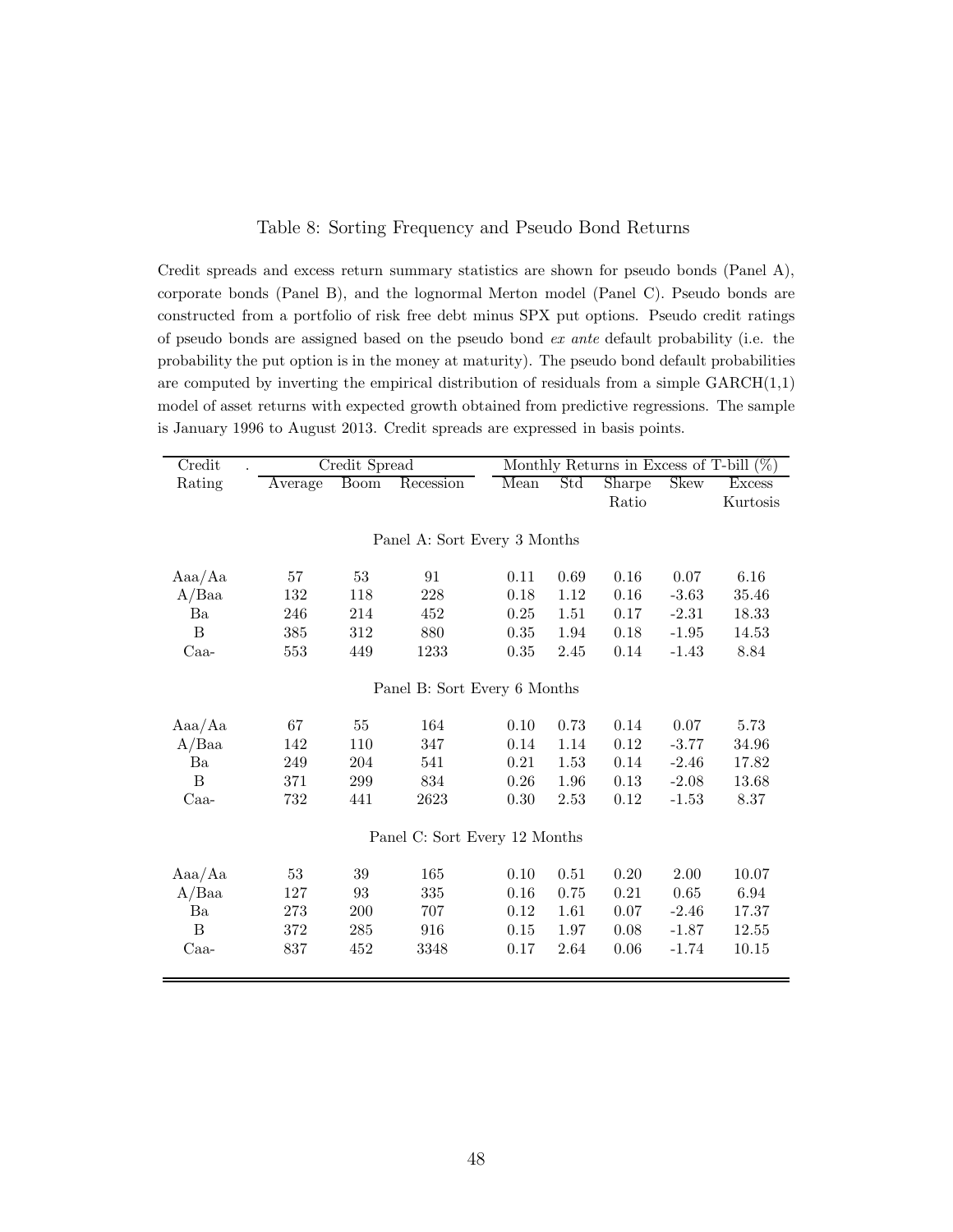### Table 8: Sorting Frequency and Pseudo Bond Returns

Credit spreads and excess return summary statistics are shown for pseudo bonds (Panel A), corporate bonds (Panel B), and the lognormal Merton model (Panel C). Pseudo bonds are constructed from a portfolio of risk free debt minus SPX put options. Pseudo credit ratings of pseudo bonds are assigned based on the pseudo bond ex ante default probability (i.e. the probability the put option is in the money at maturity). The pseudo bond default probabilities are computed by inverting the empirical distribution of residuals from a simple  $GARCH(1,1)$ model of asset returns with expected growth obtained from predictive regressions. The sample is January 1996 to August 2013. Credit spreads are expressed in basis points.

| Credit        |                              | Credit Spread |                               |      | Monthly Returns in Excess of T-bill $(\%)$ |               |             |               |
|---------------|------------------------------|---------------|-------------------------------|------|--------------------------------------------|---------------|-------------|---------------|
| Rating        | Average                      | <b>Boom</b>   | Recession                     | Mean | Std                                        | <b>Sharpe</b> | <b>Skew</b> | <b>Excess</b> |
|               |                              |               |                               |      |                                            | Ratio         |             | Kurtosis      |
|               |                              |               |                               |      |                                            |               |             |               |
|               | Panel A: Sort Every 3 Months |               |                               |      |                                            |               |             |               |
| Aaa/Aa        | 57                           | $53\,$        | 91                            | 0.11 | 0.69                                       | 0.16          | 0.07        | 6.16          |
| A/Baa         | 132                          | 118           | 228                           | 0.18 | 1.12                                       | 0.16          | $-3.63$     | 35.46         |
| Ba            | 246                          | 214           | 452                           | 0.25 | 1.51                                       | 0.17          | $-2.31$     | 18.33         |
| $\, {\bf B}$  | 385                          | 312           | 880                           | 0.35 | 1.94                                       | 0.18          | $-1.95$     | 14.53         |
| $_{\rm Caa-}$ | 553                          | 449           | 1233                          | 0.35 | 2.45                                       | 0.14          | $-1.43$     | 8.84          |
|               |                              |               | Panel B: Sort Every 6 Months  |      |                                            |               |             |               |
| Aaa/Aa        | 67                           | 55            | 164                           | 0.10 | 0.73                                       | 0.14          | 0.07        | 5.73          |
| A/Baa         | 142                          | 110           | 347                           | 0.14 | 1.14                                       | 0.12          | $-3.77$     | 34.96         |
| Ba            | 249                          | 204           | 541                           | 0.21 | 1.53                                       | 0.14          | $-2.46$     | 17.82         |
| B             | 371                          | 299           | 834                           | 0.26 | 1.96                                       | 0.13          | $-2.08$     | 13.68         |
| Caa-          | 732                          | 441           | 2623                          | 0.30 | 2.53                                       | 0.12          | $-1.53$     | 8.37          |
|               |                              |               | Panel C: Sort Every 12 Months |      |                                            |               |             |               |
| Aaa/Aa        | 53                           | 39            | 165                           | 0.10 | 0.51                                       | 0.20          | 2.00        | 10.07         |
| A/Baa         | 127                          | 93            | 335                           | 0.16 | 0.75                                       | 0.21          | 0.65        | 6.94          |
| Ba            | 273                          | 200           | 707                           | 0.12 | 1.61                                       | 0.07          | $-2.46$     | 17.37         |
| B             | 372                          | 285           | 916                           | 0.15 | 1.97                                       | 0.08          | $-1.87$     | 12.55         |
| $Caa-$        | 837                          | 452           | 3348                          | 0.17 | 2.64                                       | 0.06          | $-1.74$     | 10.15         |
|               |                              |               |                               |      |                                            |               |             |               |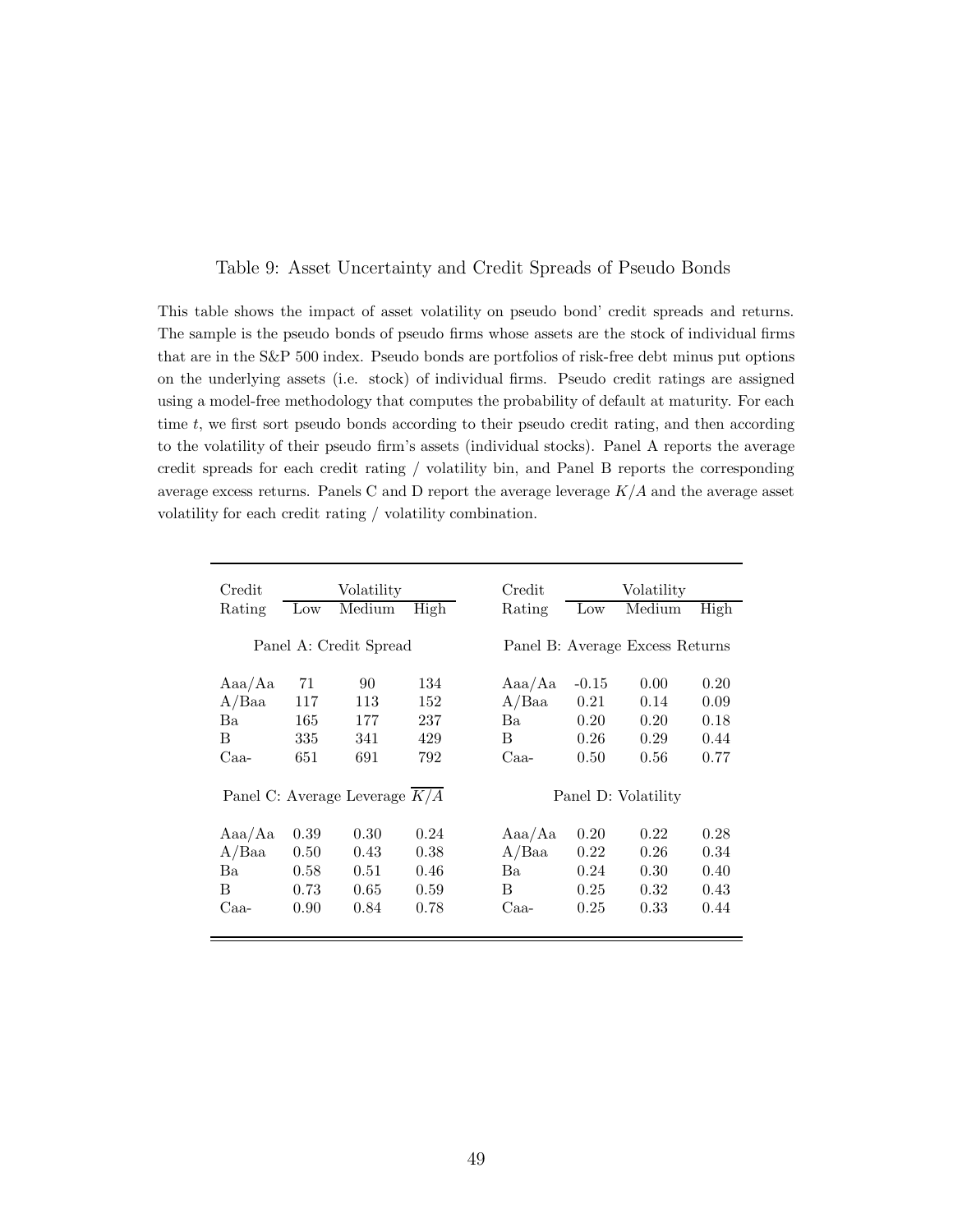### Table 9: Asset Uncertainty and Credit Spreads of Pseudo Bonds

This table shows the impact of asset volatility on pseudo bond' credit spreads and returns. The sample is the pseudo bonds of pseudo firms whose assets are the stock of individual firms that are in the S&P 500 index. Pseudo bonds are portfolios of risk-free debt minus put options on the underlying assets (i.e. stock) of individual firms. Pseudo credit ratings are assigned using a model-free methodology that computes the probability of default at maturity. For each time  $t$ , we first sort pseudo bonds according to their pseudo credit rating, and then according to the volatility of their pseudo firm's assets (individual stocks). Panel A reports the average credit spreads for each credit rating / volatility bin, and Panel B reports the corresponding average excess returns. Panels C and D report the average leverage  $K/A$  and the average asset volatility for each credit rating / volatility combination.

| Credit |                 | Volatility                      |      | Credit |                 | Volatility                      |      |
|--------|-----------------|---------------------------------|------|--------|-----------------|---------------------------------|------|
| Rating | $_{\text{Low}}$ | Medium                          | High | Rating | $_{\text{Low}}$ | Medium                          | High |
|        |                 |                                 |      |        |                 |                                 |      |
|        |                 | Panel A: Credit Spread          |      |        |                 | Panel B: Average Excess Returns |      |
|        |                 |                                 |      |        |                 |                                 |      |
| Aaa/Aa | 71              | 90                              | 134  | Aaa/Aa | $-0.15$         | 0.00                            | 0.20 |
| A/Baa  | 117             | 113                             | 152  | A/Baa  | 0.21            | 0.14                            | 0.09 |
| Ba.    | 165             | 177                             | 237  | Ba.    | 0.20            | 0.20                            | 0.18 |
| B      | 335             | 341                             | 429  | B      | 0.26            | 0.29                            | 0.44 |
| Caa-   | 651             | 691                             | 792  | Caa-   | 0.50            | 0.56                            | 0.77 |
|        |                 | Panel C: Average Leverage $K/A$ |      |        |                 | Panel D: Volatility             |      |
|        |                 |                                 |      |        |                 |                                 |      |
| Aaa/Aa | 0.39            | 0.30                            | 0.24 | Aaa/Aa | 0.20            | 0.22                            | 0.28 |
| A/Baa  | 0.50            | 0.43                            | 0.38 | A/Baa  | 0.22            | 0.26                            | 0.34 |
| Ba     | 0.58            | 0.51                            | 0.46 | Ba     | 0.24            | 0.30                            | 0.40 |
| В      | 0.73            | 0.65                            | 0.59 | В      | 0.25            | 0.32                            | 0.43 |
| Caa-   | 0.90            | 0.84                            | 0.78 | Caa-   | 0.25            | 0.33                            | 0.44 |
|        |                 |                                 |      |        |                 |                                 |      |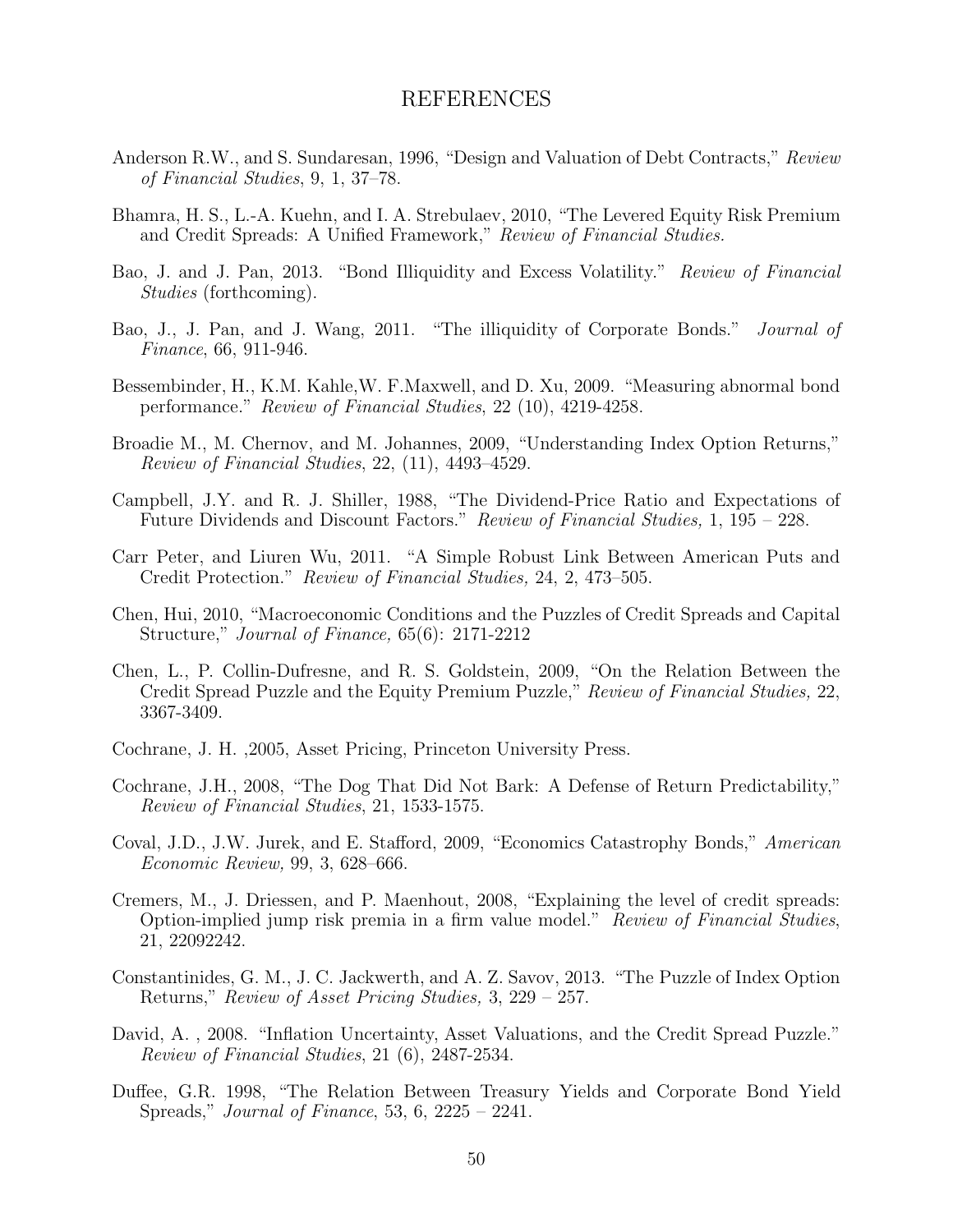### REFERENCES

- Anderson R.W., and S. Sundaresan, 1996, "Design and Valuation of Debt Contracts," Review of Financial Studies, 9, 1, 37–78.
- Bhamra, H. S., L.-A. Kuehn, and I. A. Strebulaev, 2010, "The Levered Equity Risk Premium and Credit Spreads: A Unified Framework," Review of Financial Studies.
- Bao, J. and J. Pan, 2013. "Bond Illiquidity and Excess Volatility." Review of Financial Studies (forthcoming).
- Bao, J., J. Pan, and J. Wang, 2011. "The illiquidity of Corporate Bonds." Journal of Finance, 66, 911-946.
- Bessembinder, H., K.M. Kahle,W. F.Maxwell, and D. Xu, 2009. "Measuring abnormal bond performance." Review of Financial Studies, 22 (10), 4219-4258.
- Broadie M., M. Chernov, and M. Johannes, 2009, "Understanding Index Option Returns," Review of Financial Studies, 22, (11), 4493–4529.
- Campbell, J.Y. and R. J. Shiller, 1988, "The Dividend-Price Ratio and Expectations of Future Dividends and Discount Factors." Review of Financial Studies, 1, 195 – 228.
- Carr Peter, and Liuren Wu, 2011. "A Simple Robust Link Between American Puts and Credit Protection." Review of Financial Studies, 24, 2, 473–505.
- Chen, Hui, 2010, "Macroeconomic Conditions and the Puzzles of Credit Spreads and Capital Structure," Journal of Finance, 65(6): 2171-2212
- Chen, L., P. Collin-Dufresne, and R. S. Goldstein, 2009, "On the Relation Between the Credit Spread Puzzle and the Equity Premium Puzzle," Review of Financial Studies, 22, 3367-3409.
- Cochrane, J. H. ,2005, Asset Pricing, Princeton University Press.
- Cochrane, J.H., 2008, "The Dog That Did Not Bark: A Defense of Return Predictability," Review of Financial Studies, 21, 1533-1575.
- Coval, J.D., J.W. Jurek, and E. Stafford, 2009, "Economics Catastrophy Bonds," American Economic Review, 99, 3, 628–666.
- Cremers, M., J. Driessen, and P. Maenhout, 2008, "Explaining the level of credit spreads: Option-implied jump risk premia in a firm value model." Review of Financial Studies, 21, 22092242.
- Constantinides, G. M., J. C. Jackwerth, and A. Z. Savov, 2013. "The Puzzle of Index Option Returns," Review of Asset Pricing Studies, 3, 229 – 257.
- David, A. , 2008. "Inflation Uncertainty, Asset Valuations, and the Credit Spread Puzzle." Review of Financial Studies, 21 (6), 2487-2534.
- Duffee, G.R. 1998, "The Relation Between Treasury Yields and Corporate Bond Yield Spreads," Journal of Finance, 53, 6, 2225 – 2241.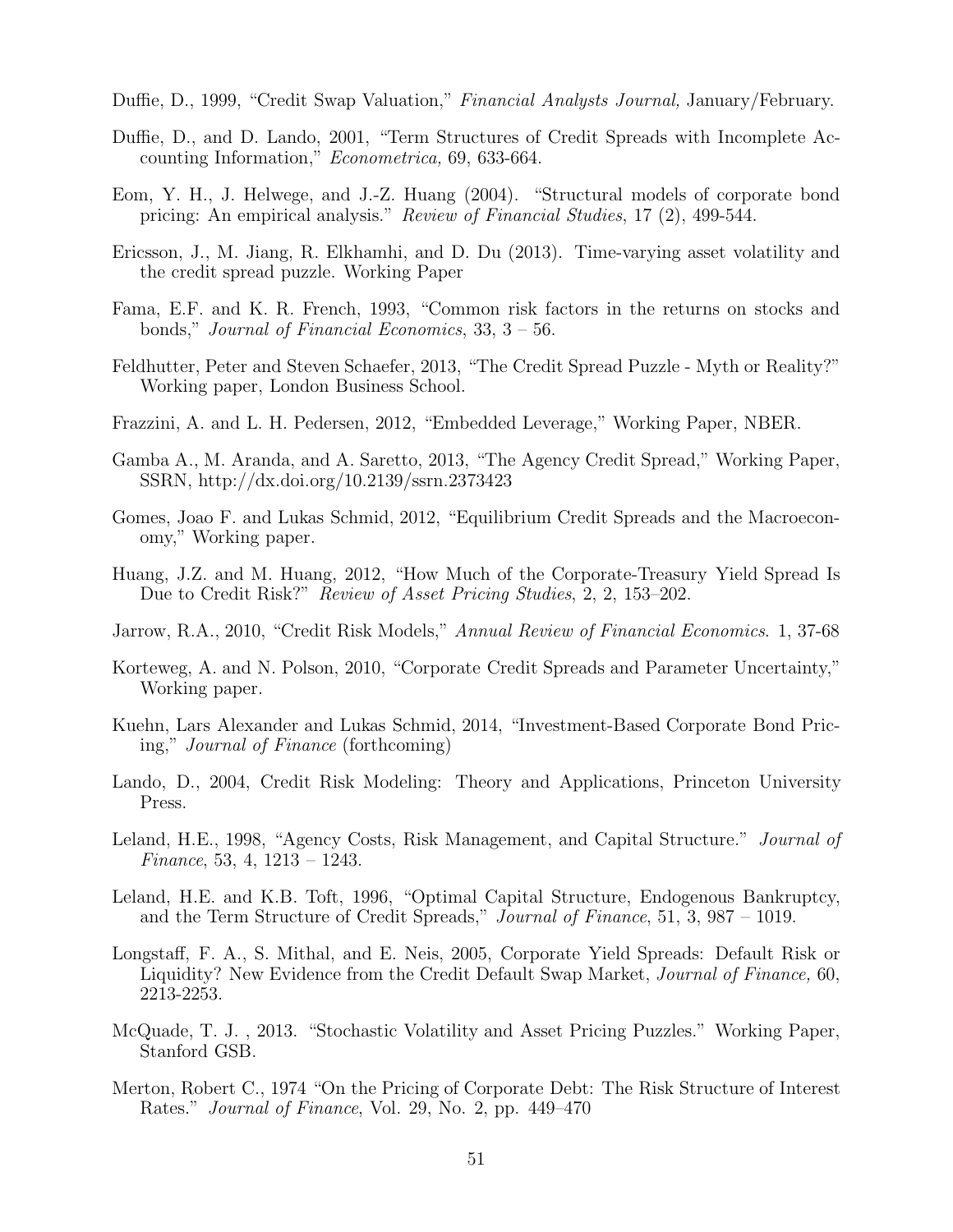Duffie, D., 1999, "Credit Swap Valuation," Financial Analysts Journal, January/February.

- Duffie, D., and D. Lando, 2001, "Term Structures of Credit Spreads with Incomplete Accounting Information," Econometrica, 69, 633-664.
- Eom, Y. H., J. Helwege, and J.-Z. Huang (2004). "Structural models of corporate bond pricing: An empirical analysis." Review of Financial Studies, 17 (2), 499-544.
- Ericsson, J., M. Jiang, R. Elkhamhi, and D. Du (2013). Time-varying asset volatility and the credit spread puzzle. Working Paper
- Fama, E.F. and K. R. French, 1993, "Common risk factors in the returns on stocks and bonds," Journal of Financial Economics, 33, 3 – 56.
- Feldhutter, Peter and Steven Schaefer, 2013, "The Credit Spread Puzzle Myth or Reality?" Working paper, London Business School.
- Frazzini, A. and L. H. Pedersen, 2012, "Embedded Leverage," Working Paper, NBER.
- Gamba A., M. Aranda, and A. Saretto, 2013, "The Agency Credit Spread," Working Paper, SSRN, http://dx.doi.org/10.2139/ssrn.2373423
- Gomes, Joao F. and Lukas Schmid, 2012, "Equilibrium Credit Spreads and the Macroeconomy," Working paper.
- Huang, J.Z. and M. Huang, 2012, "How Much of the Corporate-Treasury Yield Spread Is Due to Credit Risk?" *Review of Asset Pricing Studies*, 2, 2, 153–202.
- Jarrow, R.A., 2010, "Credit Risk Models," Annual Review of Financial Economics. 1, 37-68
- Korteweg, A. and N. Polson, 2010, "Corporate Credit Spreads and Parameter Uncertainty," Working paper.
- Kuehn, Lars Alexander and Lukas Schmid, 2014, "Investment-Based Corporate Bond Pricing," Journal of Finance (forthcoming)
- Lando, D., 2004, Credit Risk Modeling: Theory and Applications, Princeton University Press.
- Leland, H.E., 1998, "Agency Costs, Risk Management, and Capital Structure." *Journal of* Finance, 53, 4, 1213 – 1243.
- Leland, H.E. and K.B. Toft, 1996, "Optimal Capital Structure, Endogenous Bankruptcy, and the Term Structure of Credit Spreads," Journal of Finance, 51, 3, 987 – 1019.
- Longstaff, F. A., S. Mithal, and E. Neis, 2005, Corporate Yield Spreads: Default Risk or Liquidity? New Evidence from the Credit Default Swap Market, Journal of Finance, 60, 2213-2253.
- McQuade, T. J. , 2013. "Stochastic Volatility and Asset Pricing Puzzles." Working Paper, Stanford GSB.
- Merton, Robert C., 1974 "On the Pricing of Corporate Debt: The Risk Structure of Interest Rates." Journal of Finance, Vol. 29, No. 2, pp. 449–470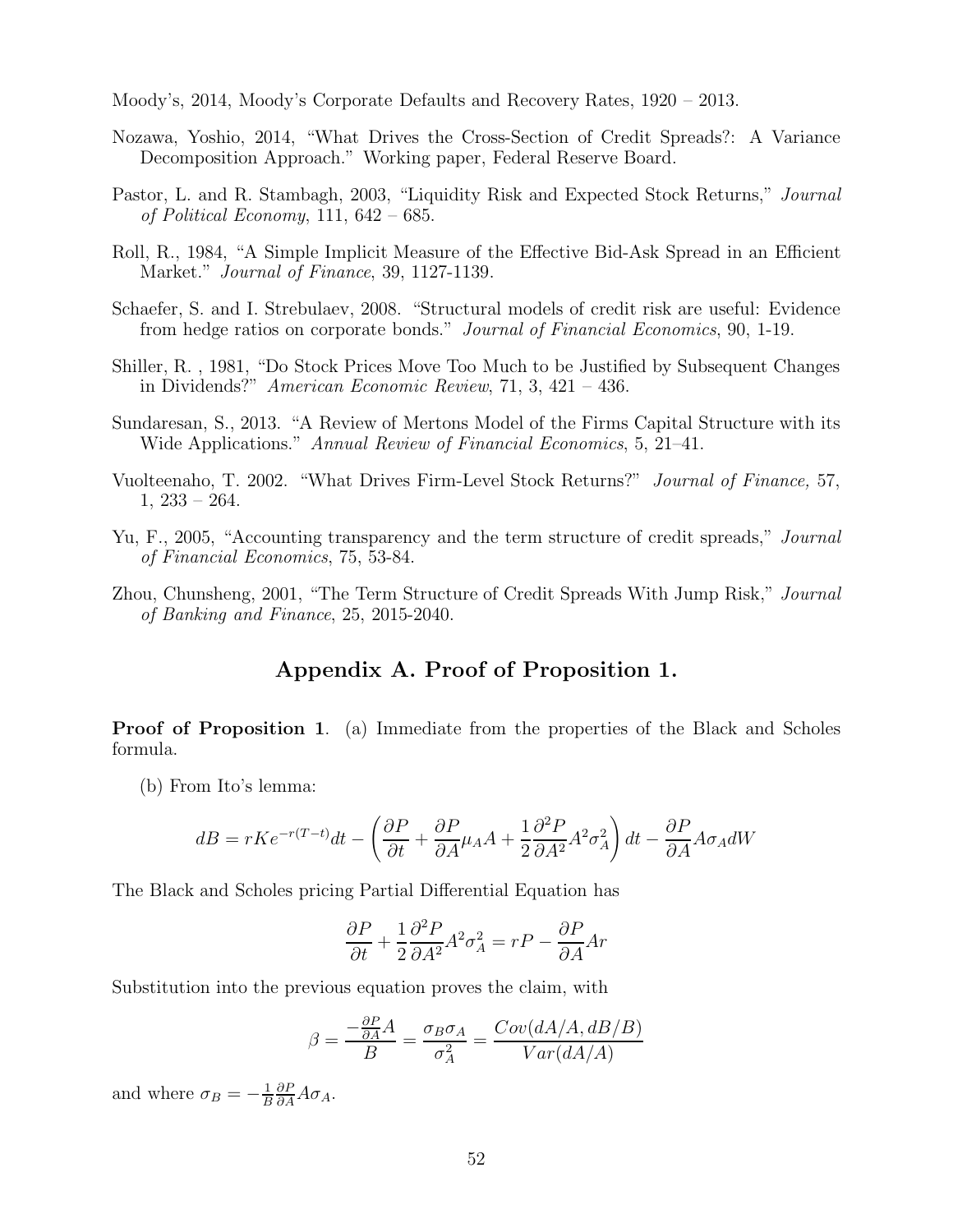Moody's, 2014, Moody's Corporate Defaults and Recovery Rates, 1920 – 2013.

- Nozawa, Yoshio, 2014, "What Drives the Cross-Section of Credit Spreads?: A Variance Decomposition Approach." Working paper, Federal Reserve Board.
- Pastor, L. and R. Stambagh, 2003, "Liquidity Risk and Expected Stock Returns," Journal of Political Economy, 111,  $642 - 685$ .
- Roll, R., 1984, "A Simple Implicit Measure of the Effective Bid-Ask Spread in an Efficient Market." Journal of Finance, 39, 1127-1139.
- Schaefer, S. and I. Strebulaev, 2008. "Structural models of credit risk are useful: Evidence from hedge ratios on corporate bonds." Journal of Financial Economics, 90, 1-19.
- Shiller, R. , 1981, "Do Stock Prices Move Too Much to be Justified by Subsequent Changes in Dividends?" American Economic Review, 71, 3, 421 – 436.
- Sundaresan, S., 2013. "A Review of Mertons Model of the Firms Capital Structure with its Wide Applications." Annual Review of Financial Economics, 5, 21–41.
- Vuolteenaho, T. 2002. "What Drives Firm-Level Stock Returns?" Journal of Finance, 57,  $1, 233 - 264.$
- Yu, F., 2005, "Accounting transparency and the term structure of credit spreads," *Journal* of Financial Economics, 75, 53-84.
- Zhou, Chunsheng, 2001, "The Term Structure of Credit Spreads With Jump Risk," Journal of Banking and Finance, 25, 2015-2040.

## Appendix A. Proof of Proposition 1.

Proof of Proposition 1. (a) Immediate from the properties of the Black and Scholes formula.

(b) From Ito's lemma:

$$
dB = rKe^{-r(T-t)}dt - \left(\frac{\partial P}{\partial t} + \frac{\partial P}{\partial A}\mu_A A + \frac{1}{2}\frac{\partial^2 P}{\partial A^2}A^2\sigma_A^2\right)dt - \frac{\partial P}{\partial A}A\sigma_A dW
$$

The Black and Scholes pricing Partial Differential Equation has

$$
\frac{\partial P}{\partial t} + \frac{1}{2} \frac{\partial^2 P}{\partial A^2} A^2 \sigma_A^2 = rP - \frac{\partial P}{\partial A} Ar
$$

Substitution into the previous equation proves the claim, with

$$
\beta = \frac{-\frac{\partial P}{\partial A}A}{B} = \frac{\sigma_B \sigma_A}{\sigma_A^2} = \frac{Cov(dA/A, dB/B)}{Var(dA/A)}
$$

and where  $\sigma_B = -\frac{1}{B}$  $\frac{\partial P}{\partial A}A\sigma_A$ .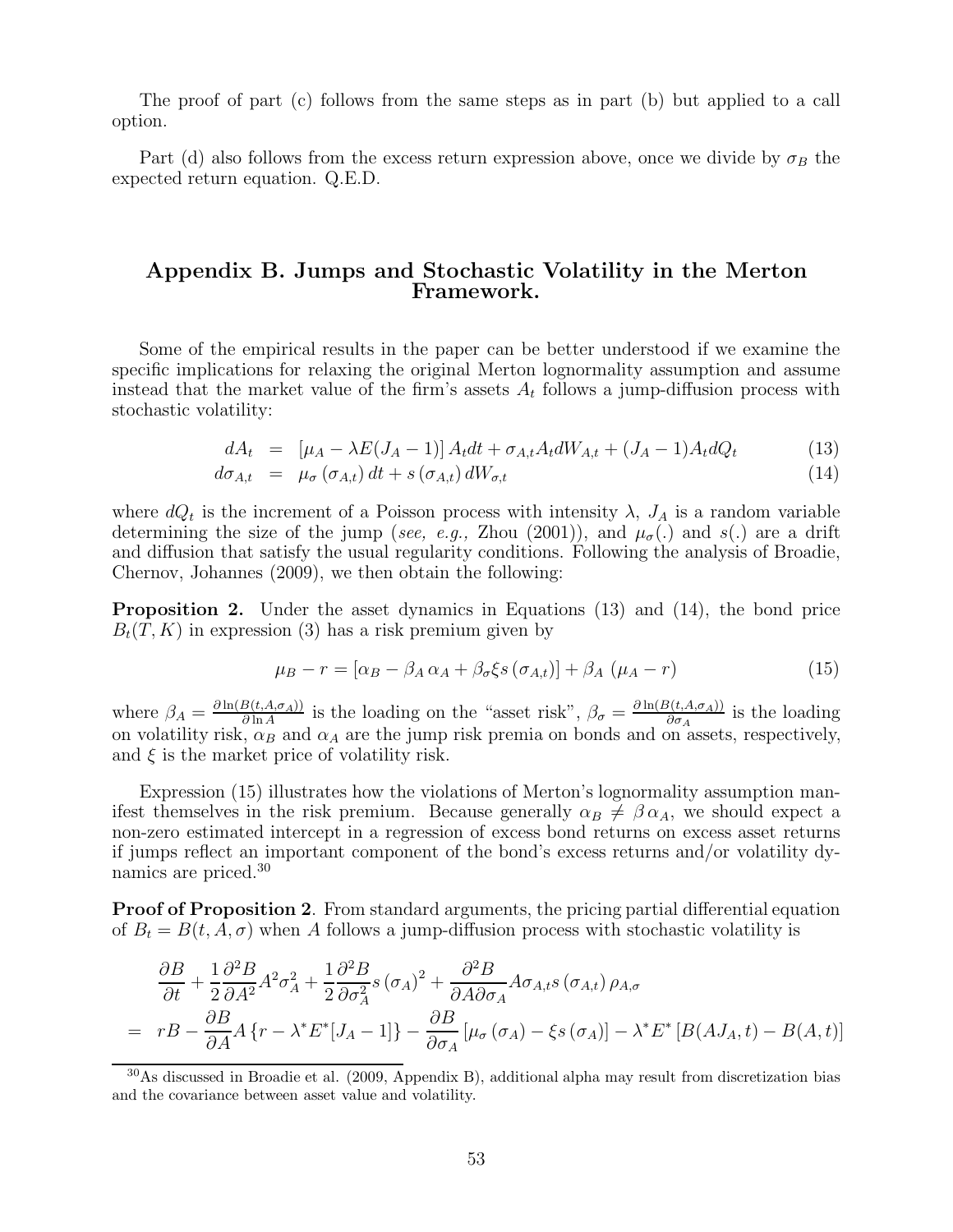The proof of part (c) follows from the same steps as in part (b) but applied to a call option.

Part (d) also follows from the excess return expression above, once we divide by  $\sigma_B$  the expected return equation. Q.E.D.

## Appendix B. Jumps and Stochastic Volatility in the Merton Framework.

Some of the empirical results in the paper can be better understood if we examine the specific implications for relaxing the original Merton lognormality assumption and assume instead that the market value of the firm's assets  $A_t$  follows a jump-diffusion process with stochastic volatility:

$$
dA_t = [\mu_A - \lambda E(J_A - 1)] A_t dt + \sigma_{A,t} A_t dW_{A,t} + (J_A - 1) A_t dQ_t
$$
 (13)

$$
d\sigma_{A,t} = \mu_{\sigma}(\sigma_{A,t}) dt + s(\sigma_{A,t}) dW_{\sigma,t}
$$
\n(14)

where  $dQ_t$  is the increment of a Poisson process with intensity  $\lambda$ ,  $J_A$  is a random variable determining the size of the jump (see, e.g., Zhou (2001)), and  $\mu_{\sigma}$ (.) and s(.) are a drift and diffusion that satisfy the usual regularity conditions. Following the analysis of Broadie, Chernov, Johannes (2009), we then obtain the following:

Proposition 2. Under the asset dynamics in Equations (13) and (14), the bond price  $B_t(T, K)$  in expression (3) has a risk premium given by

$$
\mu_B - r = [\alpha_B - \beta_A \alpha_A + \beta_\sigma \xi s (\sigma_{A,t})] + \beta_A (\mu_A - r) \tag{15}
$$

where  $\beta_A = \frac{\partial \ln(B(t, A, \sigma_A))}{\partial \ln A}$  $\frac{B(t, A, \sigma_A)}{\partial \ln A}$  is the loading on the "asset risk",  $\beta_{\sigma} = \frac{\partial \ln(B(t, A, \sigma_A))}{\partial \sigma_A}$  $\frac{\partial (t, A, \sigma_A)}{\partial \sigma_A}$  is the loading on volatility risk,  $\alpha_B$  and  $\alpha_A$  are the jump risk premia on bonds and on assets, respectively, and  $\xi$  is the market price of volatility risk.

Expression (15) illustrates how the violations of Merton's lognormality assumption manifest themselves in the risk premium. Because generally  $\alpha_B \neq \beta \alpha_A$ , we should expect a non-zero estimated intercept in a regression of excess bond returns on excess asset returns if jumps reflect an important component of the bond's excess returns and/or volatility dynamics are priced.<sup>30</sup>

**Proof of Proposition 2.** From standard arguments, the pricing partial differential equation of  $B_t = B(t, A, \sigma)$  when A follows a jump-diffusion process with stochastic volatility is

$$
\frac{\partial B}{\partial t} + \frac{1}{2} \frac{\partial^2 B}{\partial A^2} A^2 \sigma_A^2 + \frac{1}{2} \frac{\partial^2 B}{\partial \sigma_A^2} s (\sigma_A)^2 + \frac{\partial^2 B}{\partial A \partial \sigma_A} A \sigma_{A,t} s (\sigma_{A,t}) \rho_{A,\sigma}
$$
\n
$$
= rB - \frac{\partial B}{\partial A} A \{r - \lambda^* E^* [J_A - 1] \} - \frac{\partial B}{\partial \sigma_A} [\mu_\sigma (\sigma_A) - \xi s (\sigma_A)] - \lambda^* E^* [B (A J_A, t) - B (A, t)]
$$

<sup>30</sup>As discussed in Broadie et al. (2009, Appendix B), additional alpha may result from discretization bias and the covariance between asset value and volatility.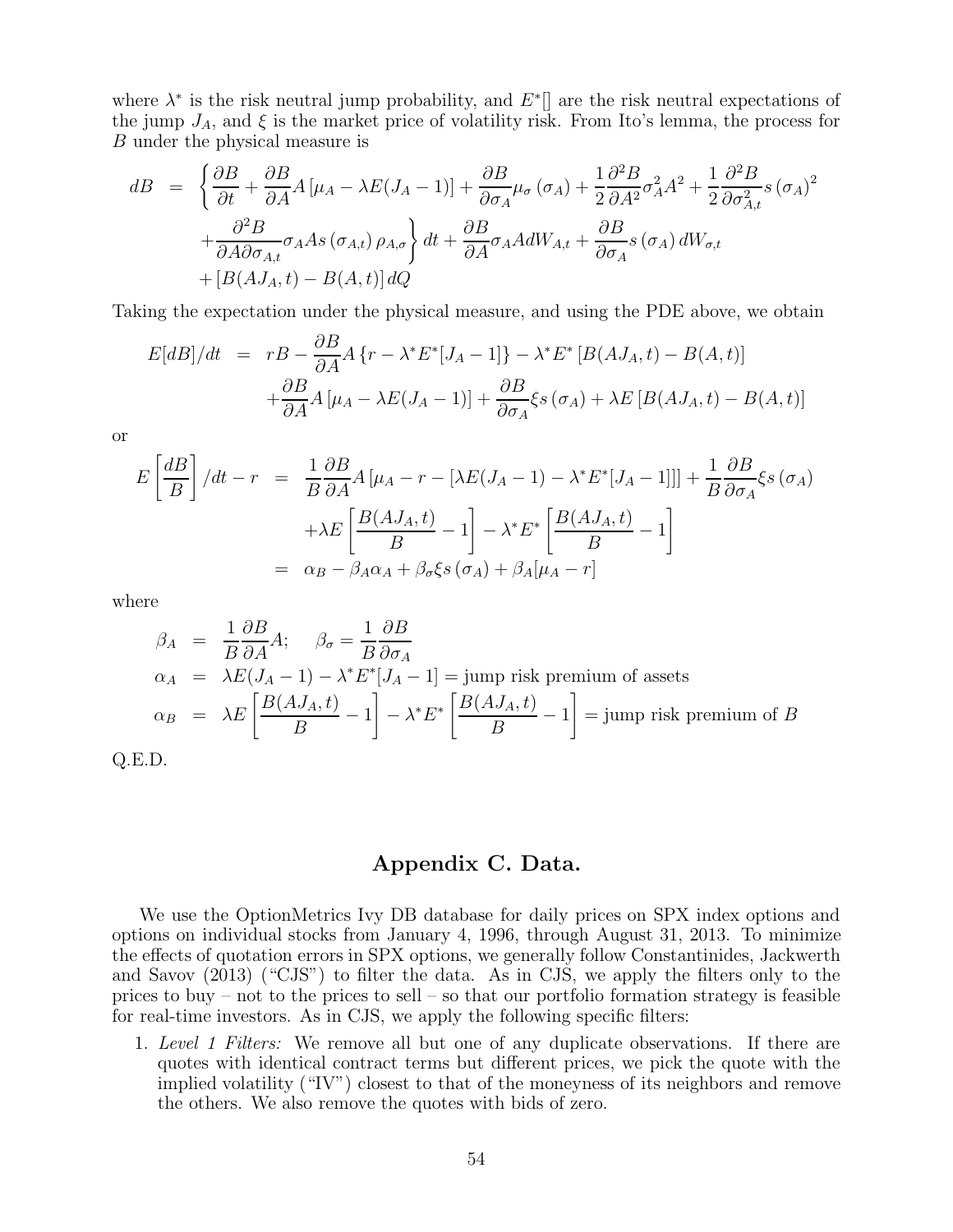where  $\lambda^*$  is the risk neutral jump probability, and  $E^*$ ] are the risk neutral expectations of the jump  $J_A$ , and  $\xi$  is the market price of volatility risk. From Ito's lemma, the process for B under the physical measure is

$$
dB = \left\{ \frac{\partial B}{\partial t} + \frac{\partial B}{\partial A} A \left[ \mu_A - \lambda E (J_A - 1) \right] + \frac{\partial B}{\partial \sigma_A} \mu_\sigma (\sigma_A) + \frac{1}{2} \frac{\partial^2 B}{\partial A^2} \sigma_A^2 A^2 + \frac{1}{2} \frac{\partial^2 B}{\partial \sigma_{A,t}^2} s (\sigma_A)^2 + \frac{\partial^2 B}{\partial A \partial \sigma_{A,t}} \sigma_A A s (\sigma_{A,t}) \rho_{A,\sigma} \right\} dt + \frac{\partial B}{\partial A} \sigma_A A dW_{A,t} + \frac{\partial B}{\partial \sigma_A} s (\sigma_A) dW_{\sigma,t} + \left[ B (A J_A, t) - B (A, t) \right] dQ
$$

Taking the expectation under the physical measure, and using the PDE above, we obtain

$$
E[dB]/dt = rB - \frac{\partial B}{\partial A}A\{r - \lambda^* E^*[J_A - 1]\} - \lambda^* E^*[B(AJ_A, t) - B(A, t)]
$$

$$
+ \frac{\partial B}{\partial A}A[\mu_A - \lambda E(J_A - 1)] + \frac{\partial B}{\partial \sigma_A}\xi_S(\sigma_A) + \lambda E[B(AJ_A, t) - B(A, t)]
$$

or

$$
E\left[\frac{dB}{B}\right]/dt - r = \frac{1}{B}\frac{\partial B}{\partial A}A\left[\mu_A - r - \left[\lambda E(J_A - 1) - \lambda^* E^*[J_A - 1]\right]\right] + \frac{1}{B}\frac{\partial B}{\partial \sigma_A}\xi_S(\sigma_A) + \lambda E\left[\frac{B(A J_A, t)}{B} - 1\right] - \lambda^* E^* \left[\frac{B(A J_A, t)}{B} - 1\right] = \alpha_B - \beta_A \alpha_A + \beta_\sigma \xi_S(\sigma_A) + \beta_A[\mu_A - r]
$$

where

$$
\beta_A = \frac{1}{B} \frac{\partial B}{\partial A} A; \quad \beta_\sigma = \frac{1}{B} \frac{\partial B}{\partial \sigma_A}
$$
  
\n
$$
\alpha_A = \lambda E(J_A - 1) - \lambda^* E^*[J_A - 1] = \text{jump risk premium of assets}
$$
  
\n
$$
\alpha_B = \lambda E \left[ \frac{B(A J_A, t)}{B} - 1 \right] - \lambda^* E^* \left[ \frac{B(A J_A, t)}{B} - 1 \right] = \text{jump risk premium of } B
$$

Q.E.D.

### Appendix C. Data.

We use the OptionMetrics Ivy DB database for daily prices on SPX index options and options on individual stocks from January 4, 1996, through August 31, 2013. To minimize the effects of quotation errors in SPX options, we generally follow Constantinides, Jackwerth and Savov (2013) ("CJS") to filter the data. As in CJS, we apply the filters only to the prices to buy – not to the prices to sell – so that our portfolio formation strategy is feasible for real-time investors. As in CJS, we apply the following specific filters:

1. Level 1 Filters: We remove all but one of any duplicate observations. If there are quotes with identical contract terms but different prices, we pick the quote with the implied volatility ("IV") closest to that of the moneyness of its neighbors and remove the others. We also remove the quotes with bids of zero.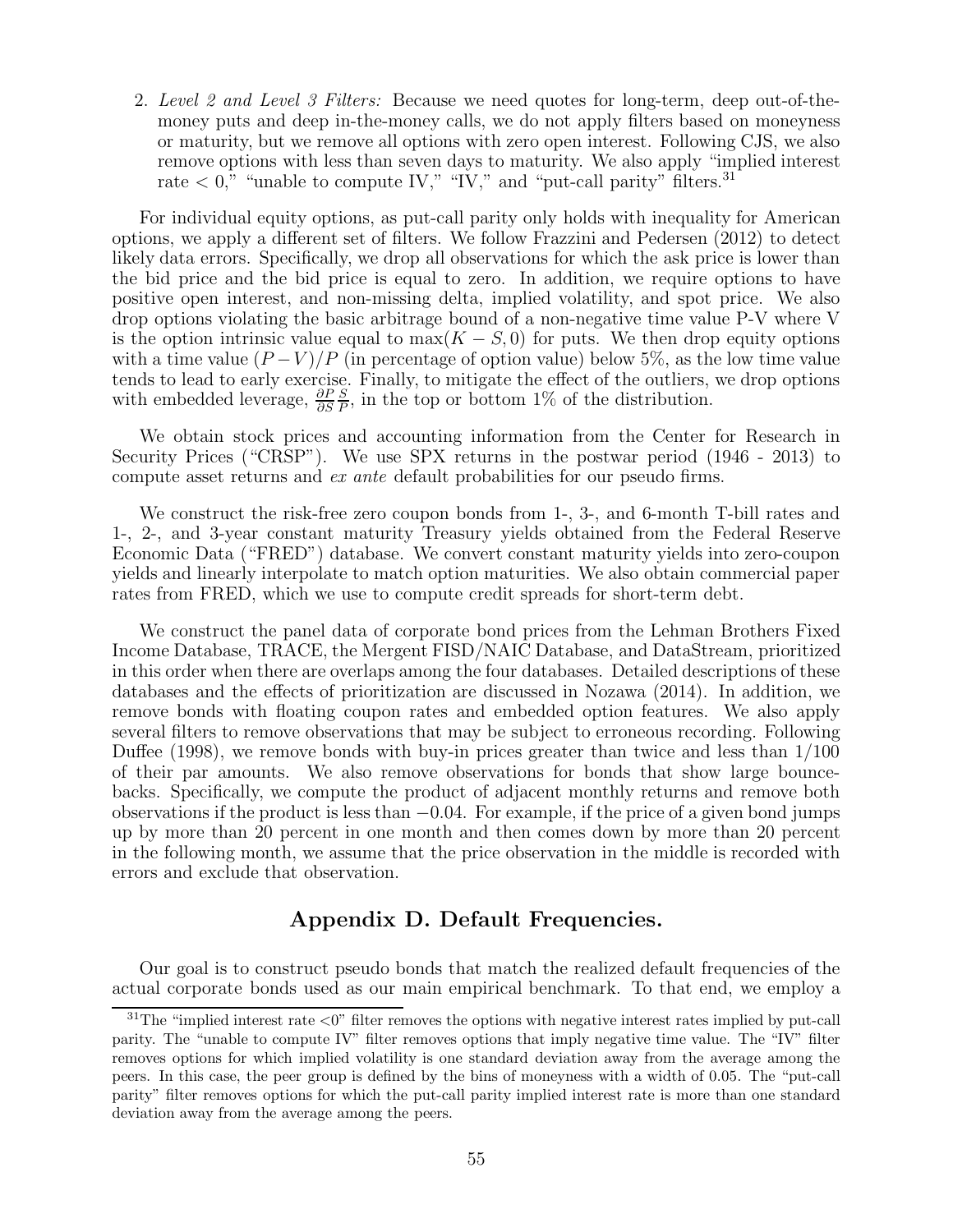2. Level 2 and Level 3 Filters: Because we need quotes for long-term, deep out-of-themoney puts and deep in-the-money calls, we do not apply filters based on moneyness or maturity, but we remove all options with zero open interest. Following CJS, we also remove options with less than seven days to maturity. We also apply "implied interest rate  $\langle 0, \cdot \rangle$  "unable to compute IV," "IV," and "put-call parity" filters.<sup>31</sup>

For individual equity options, as put-call parity only holds with inequality for American options, we apply a different set of filters. We follow Frazzini and Pedersen (2012) to detect likely data errors. Specifically, we drop all observations for which the ask price is lower than the bid price and the bid price is equal to zero. In addition, we require options to have positive open interest, and non-missing delta, implied volatility, and spot price. We also drop options violating the basic arbitrage bound of a non-negative time value P-V where V is the option intrinsic value equal to  $\max(K - S, 0)$  for puts. We then drop equity options with a time value  $(P-V)/P$  (in percentage of option value) below 5%, as the low time value tends to lead to early exercise. Finally, to mitigate the effect of the outliers, we drop options with embedded leverage,  $\frac{\partial P}{\partial S}$ S  $\frac{S}{P}$ , in the top or bottom 1% of the distribution.

We obtain stock prices and accounting information from the Center for Research in Security Prices ("CRSP"). We use SPX returns in the postwar period (1946 - 2013) to compute asset returns and ex ante default probabilities for our pseudo firms.

We construct the risk-free zero coupon bonds from 1-, 3-, and 6-month T-bill rates and 1-, 2-, and 3-year constant maturity Treasury yields obtained from the Federal Reserve Economic Data ("FRED") database. We convert constant maturity yields into zero-coupon yields and linearly interpolate to match option maturities. We also obtain commercial paper rates from FRED, which we use to compute credit spreads for short-term debt.

We construct the panel data of corporate bond prices from the Lehman Brothers Fixed Income Database, TRACE, the Mergent FISD/NAIC Database, and DataStream, prioritized in this order when there are overlaps among the four databases. Detailed descriptions of these databases and the effects of prioritization are discussed in Nozawa (2014). In addition, we remove bonds with floating coupon rates and embedded option features. We also apply several filters to remove observations that may be subject to erroneous recording. Following Duffee (1998), we remove bonds with buy-in prices greater than twice and less than 1/100 of their par amounts. We also remove observations for bonds that show large bouncebacks. Specifically, we compute the product of adjacent monthly returns and remove both observations if the product is less than −0.04. For example, if the price of a given bond jumps up by more than 20 percent in one month and then comes down by more than 20 percent in the following month, we assume that the price observation in the middle is recorded with errors and exclude that observation.

## Appendix D. Default Frequencies.

Our goal is to construct pseudo bonds that match the realized default frequencies of the actual corporate bonds used as our main empirical benchmark. To that end, we employ a

 $31$ The "implied interest rate  $\langle 0 \rangle$ " filter removes the options with negative interest rates implied by put-call parity. The "unable to compute IV" filter removes options that imply negative time value. The "IV" filter removes options for which implied volatility is one standard deviation away from the average among the peers. In this case, the peer group is defined by the bins of moneyness with a width of 0.05. The "put-call parity" filter removes options for which the put-call parity implied interest rate is more than one standard deviation away from the average among the peers.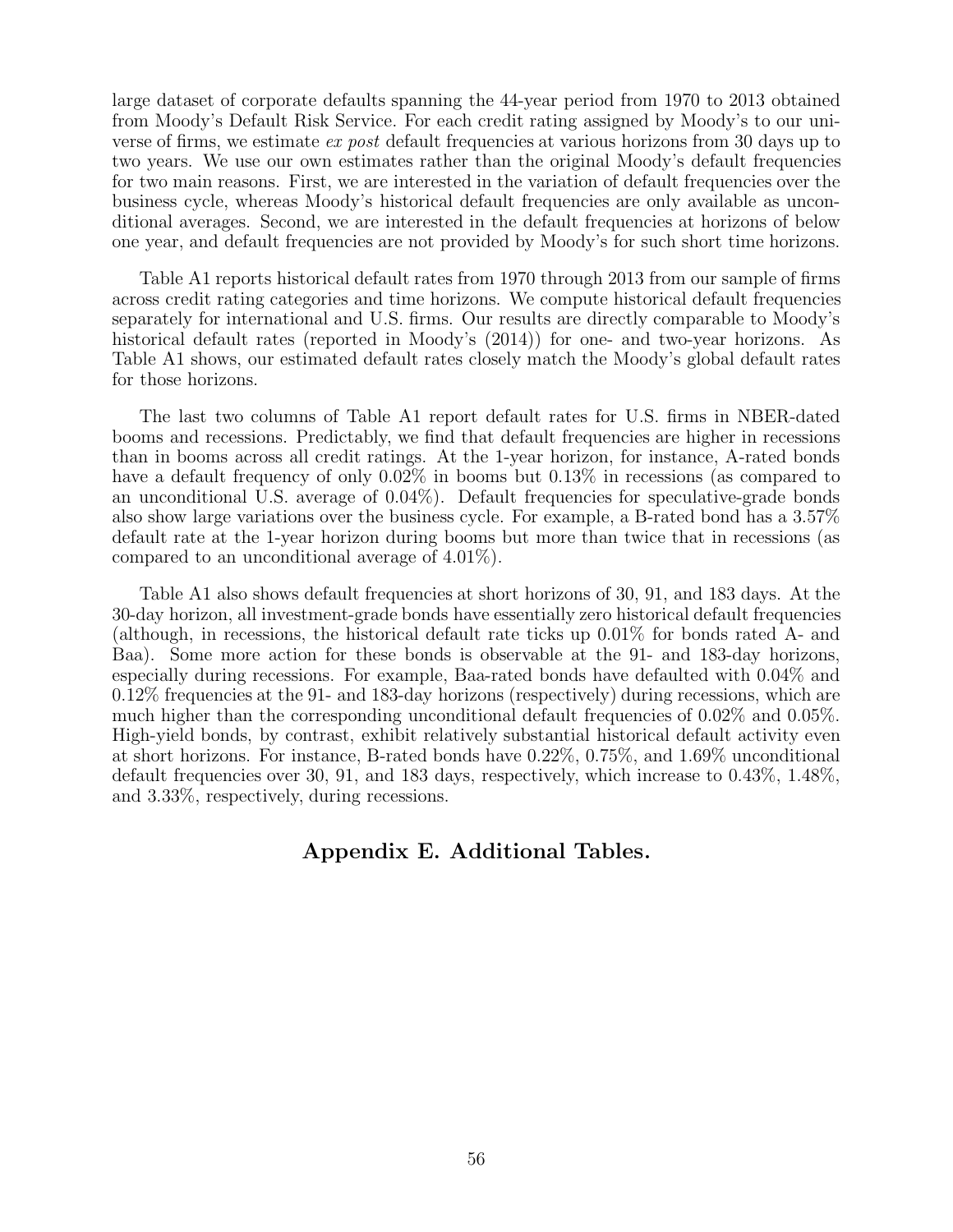large dataset of corporate defaults spanning the 44-year period from 1970 to 2013 obtained from Moody's Default Risk Service. For each credit rating assigned by Moody's to our universe of firms, we estimate ex post default frequencies at various horizons from 30 days up to two years. We use our own estimates rather than the original Moody's default frequencies for two main reasons. First, we are interested in the variation of default frequencies over the business cycle, whereas Moody's historical default frequencies are only available as unconditional averages. Second, we are interested in the default frequencies at horizons of below one year, and default frequencies are not provided by Moody's for such short time horizons.

Table A1 reports historical default rates from 1970 through 2013 from our sample of firms across credit rating categories and time horizons. We compute historical default frequencies separately for international and U.S. firms. Our results are directly comparable to Moody's historical default rates (reported in Moody's (2014)) for one- and two-year horizons. As Table A1 shows, our estimated default rates closely match the Moody's global default rates for those horizons.

The last two columns of Table A1 report default rates for U.S. firms in NBER-dated booms and recessions. Predictably, we find that default frequencies are higher in recessions than in booms across all credit ratings. At the 1-year horizon, for instance, A-rated bonds have a default frequency of only  $0.02\%$  in booms but  $0.13\%$  in recessions (as compared to an unconditional U.S. average of 0.04%). Default frequencies for speculative-grade bonds also show large variations over the business cycle. For example, a B-rated bond has a 3.57% default rate at the 1-year horizon during booms but more than twice that in recessions (as compared to an unconditional average of 4.01%).

Table A1 also shows default frequencies at short horizons of 30, 91, and 183 days. At the 30-day horizon, all investment-grade bonds have essentially zero historical default frequencies (although, in recessions, the historical default rate ticks up 0.01% for bonds rated A- and Baa). Some more action for these bonds is observable at the 91- and 183-day horizons, especially during recessions. For example, Baa-rated bonds have defaulted with 0.04% and 0.12% frequencies at the 91- and 183-day horizons (respectively) during recessions, which are much higher than the corresponding unconditional default frequencies of 0.02% and 0.05%. High-yield bonds, by contrast, exhibit relatively substantial historical default activity even at short horizons. For instance, B-rated bonds have 0.22%, 0.75%, and 1.69% unconditional default frequencies over 30, 91, and 183 days, respectively, which increase to 0.43%, 1.48%, and 3.33%, respectively, during recessions.

## Appendix E. Additional Tables.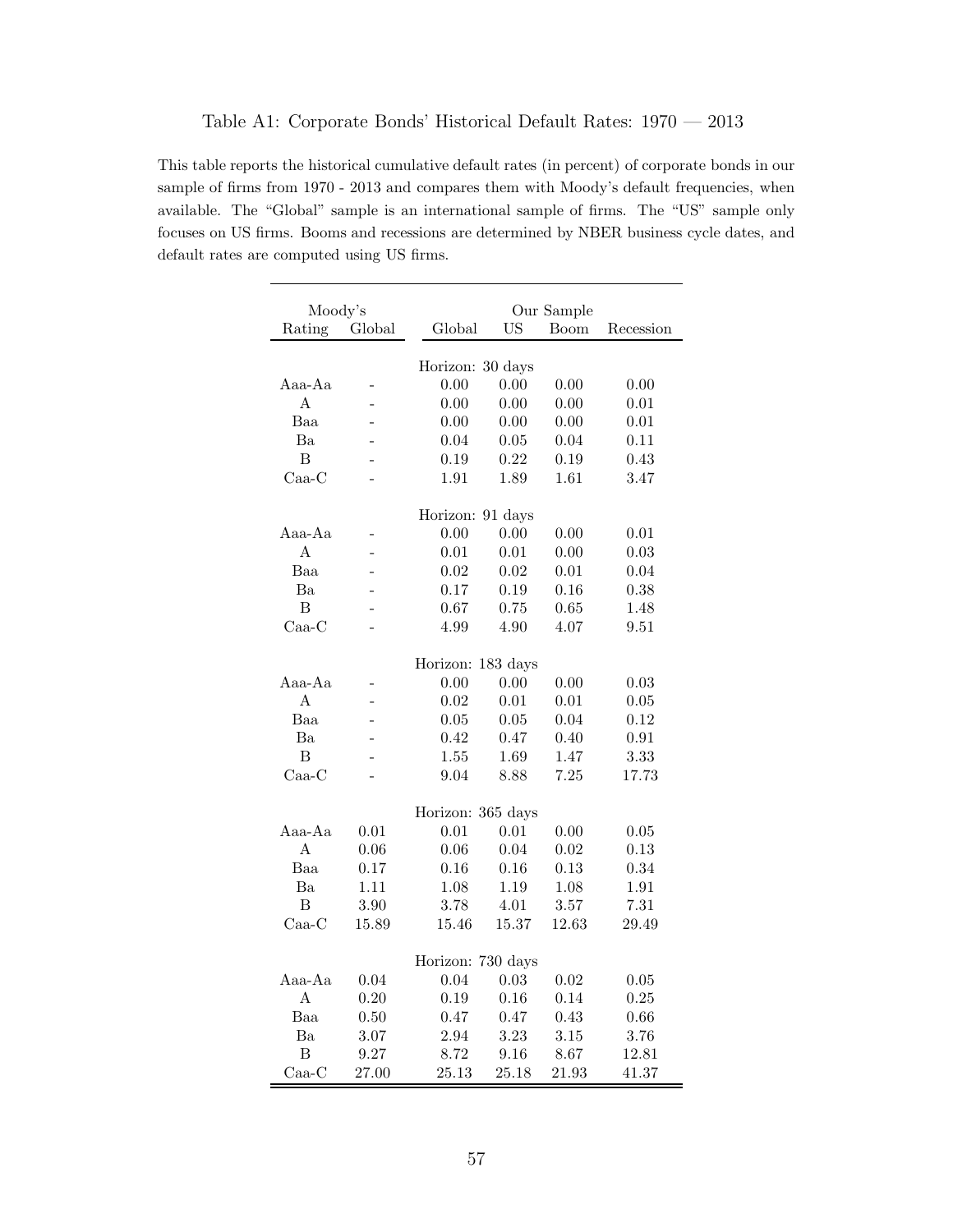This table reports the historical cumulative default rates (in percent) of corporate bonds in our sample of firms from 1970 - 2013 and compares them with Moody's default frequencies, when available. The "Global" sample is an international sample of firms. The "US" sample only focuses on US firms. Booms and recessions are determined by NBER business cycle dates, and default rates are computed using US firms.

| Moody's            |              |                           |                    | Our Sample   |              |
|--------------------|--------------|---------------------------|--------------------|--------------|--------------|
| Rating             | Global       | Global                    | <b>US</b>          | <b>Boom</b>  | Recession    |
|                    |              |                           |                    |              |              |
|                    |              | Horizon: 30 days          |                    |              |              |
| Aaa-Aa             |              | 0.00                      | 0.00               | 0.00         | 0.00         |
| A                  |              | 0.00                      | 0.00               | 0.00         | 0.01         |
| Baa                |              | 0.00                      | 0.00               | 0.00         | 0.01         |
| Ba                 |              | 0.04                      | 0.05               | 0.04         | 0.11         |
| $\overline{B}$     |              | 0.19                      | 0.22               | 0.19         | 0.43         |
| $\rm Caa\text{-}C$ |              | 1.91                      | 1.89               | 1.61         | 3.47         |
|                    |              | Horizon: 91 days          |                    |              |              |
| Aaa-Aa             |              | 0.00                      | 0.00               | 0.00         | 0.01         |
| A                  |              | 0.01                      | 0.01               | 0.00         | 0.03         |
| Baa                |              | 0.02                      | 0.02               | 0.01         | 0.04         |
| Ba                 |              | 0.17                      | 0.19               | 0.16         | 0.38         |
| B                  |              | 0.67                      | 0.75               | 0.65         | 1.48         |
| $Caa-C$            |              | 4.99                      | 4.90               | 4.07         | 9.51         |
|                    |              |                           |                    |              |              |
|                    |              | Horizon:                  | $183 \text{ days}$ |              |              |
| Aaa-Aa             |              | 0.00                      | 0.00               | 0.00         | 0.03         |
| A                  |              | 0.02                      | 0.01               | 0.01         | 0.05         |
| Baa                |              | 0.05                      | 0.05               | 0.04         | 0.12         |
| Ba                 |              | 0.42                      | 0.47               | 0.40         | 0.91         |
| B                  |              | 1.55                      | 1.69               | 1.47         | 3.33         |
| $\rm Caa\text{-}C$ |              | 9.04                      | 8.88               | 7.25         | 17.73        |
|                    |              |                           |                    |              |              |
|                    | 0.01         | Horizon: 365 days<br>0.01 |                    | 0.00         |              |
| Aaa-Aa<br>A        |              | 0.06                      | 0.01<br>0.04       |              | 0.05<br>0.13 |
| Baa                | 0.06<br>0.17 | 0.16                      | 0.16               | 0.02<br>0.13 | 0.34         |
| Ba                 | 1.11         |                           | 1.19               |              |              |
| B                  | 3.90         | 1.08<br>3.78              | 4.01               | 1.08<br>3.57 | 1.91<br>7.31 |
| $\rm Caa\text{-}C$ | 15.89        | 15.46                     | 15.37              | 12.63        | 29.49        |
|                    |              |                           |                    |              |              |
|                    |              | Horizon: 730 days         |                    |              |              |
| Aaa-Aa             | 0.04         | 0.04                      | 0.03               | 0.02         | 0.05         |
| A                  | 0.20         | 0.19                      | 0.16               | 0.14         | 0.25         |
| Baa                | 0.50         | 0.47                      | 0.47               | 0.43         | 0.66         |
| Ba                 | 3.07         | 2.94                      | 3.23               | 3.15         | 3.76         |
| B                  | 9.27         | 8.72                      | 9.16               | 8.67         | 12.81        |
| $\rm Caa\text{-}C$ | $27.00\,$    | 25.13                     | 25.18              | 21.93        | 41.37        |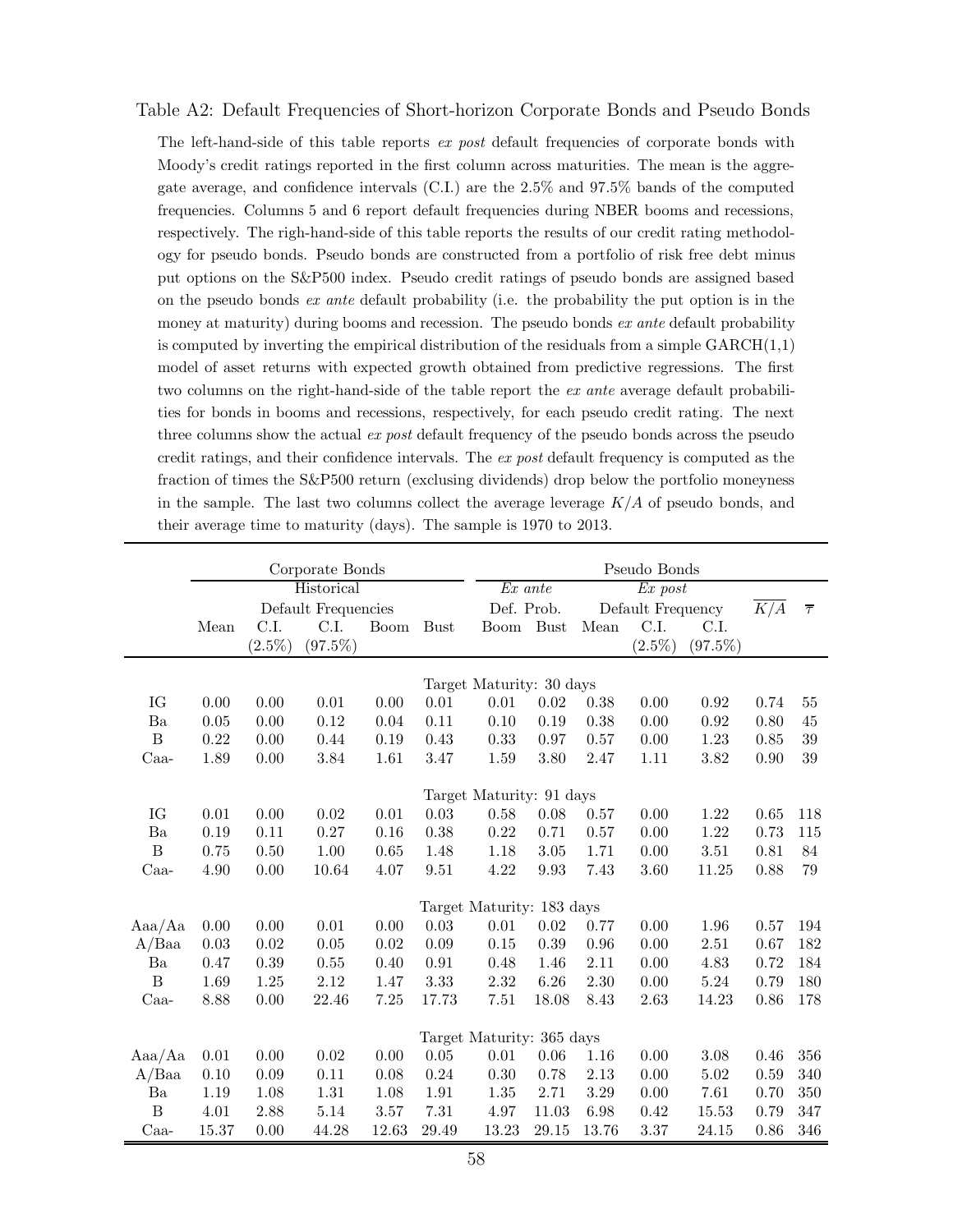#### Table A2: Default Frequencies of Short-horizon Corporate Bonds and Pseudo Bonds

The left-hand-side of this table reports ex post default frequencies of corporate bonds with Moody's credit ratings reported in the first column across maturities. The mean is the aggregate average, and confidence intervals (C.I.) are the 2.5% and 97.5% bands of the computed frequencies. Columns 5 and 6 report default frequencies during NBER booms and recessions, respectively. The righ-hand-side of this table reports the results of our credit rating methodology for pseudo bonds. Pseudo bonds are constructed from a portfolio of risk free debt minus put options on the S&P500 index. Pseudo credit ratings of pseudo bonds are assigned based on the pseudo bonds  $ex$  ante default probability (i.e. the probability the put option is in the money at maturity) during booms and recession. The pseudo bonds ex ante default probability is computed by inverting the empirical distribution of the residuals from a simple  $GARCH(1,1)$ model of asset returns with expected growth obtained from predictive regressions. The first two columns on the right-hand-side of the table report the ex ante average default probabilities for bonds in booms and recessions, respectively, for each pseudo credit rating. The next three columns show the actual ex post default frequency of the pseudo bonds across the pseudo credit ratings, and their confidence intervals. The ex post default frequency is computed as the fraction of times the S&P500 return (exclusing dividends) drop below the portfolio moneyness in the sample. The last two columns collect the average leverage  $K/A$  of pseudo bonds, and their average time to maturity (days). The sample is 1970 to 2013.

|              | Corporate Bonds |           |                                      |             |             | Pseudo Bonds                       |             |       |                   |            |      |                   |
|--------------|-----------------|-----------|--------------------------------------|-------------|-------------|------------------------------------|-------------|-------|-------------------|------------|------|-------------------|
|              | Historical      |           |                                      |             |             | $\overline{Ex}$ ante<br>$Ex\ post$ |             |       |                   |            |      |                   |
|              |                 |           | $\operatorname{Default}$ Frequencies |             |             | Def. Prob.                         |             |       | Default Frequency |            | K/A  | $\overline{\tau}$ |
|              | Mean            | C.I.      | C.I.                                 | <b>Boom</b> | <b>Bust</b> | <b>Boom</b>                        | <b>Bust</b> | Mean  | C.I.              | C.I.       |      |                   |
|              |                 | $(2.5\%)$ | $(97.5\%)$                           |             |             |                                    |             |       | $(2.5\%)$         | $(97.5\%)$ |      |                   |
|              |                 |           |                                      |             |             |                                    |             |       |                   |            |      |                   |
|              |                 |           |                                      |             |             | Target Maturity: 30 days           |             |       |                   |            |      |                   |
| IG           | 0.00            | 0.00      | 0.01                                 | 0.00        | 0.01        | 0.01                               | 0.02        | 0.38  | 0.00              | 0.92       | 0.74 | 55                |
| Ba           | 0.05            | 0.00      | 0.12                                 | 0.04        | 0.11        | 0.10                               | 0.19        | 0.38  | 0.00              | $\rm 0.92$ | 0.80 | 45                |
| $\, {\bf B}$ | 0.22            | 0.00      | 0.44                                 | 0.19        | 0.43        | 0.33                               | 0.97        | 0.57  | 0.00              | 1.23       | 0.85 | $39\,$            |
| $Caa-$       | 1.89            | 0.00      | 3.84                                 | 1.61        | 3.47        | 1.59                               | 3.80        | 2.47  | 1.11              | 3.82       | 0.90 | 39                |
|              |                 |           |                                      |             |             |                                    |             |       |                   |            |      |                   |
|              |                 |           |                                      |             |             | Target Maturity: 91 days           |             |       |                   |            |      |                   |
| IG           | 0.01            | 0.00      | $0.02\,$                             | 0.01        | 0.03        | 0.58                               | 0.08        | 0.57  | 0.00              | 1.22       | 0.65 | 118               |
| Ba           | 0.19            | 0.11      | 0.27                                 | 0.16        | 0.38        | 0.22                               | 0.71        | 0.57  | 0.00              | 1.22       | 0.73 | 115               |
| B            | 0.75            | 0.50      | 1.00                                 | 0.65        | 1.48        | 1.18                               | 3.05        | 1.71  | 0.00              | 3.51       | 0.81 | 84                |
| $Caa-$       | 4.90            | 0.00      | 10.64                                | 4.07        | 9.51        | 4.22                               | 9.93        | 7.43  | 3.60              | 11.25      | 0.88 | 79                |
|              |                 |           |                                      |             |             |                                    |             |       |                   |            |      |                   |
|              |                 |           |                                      |             |             | Target Maturity: 183 days          |             |       |                   |            |      |                   |
| Aaa/Aa       | 0.00            | 0.00      | 0.01                                 | 0.00        | 0.03        | 0.01                               | $0.02\,$    | 0.77  | 0.00              | 1.96       | 0.57 | 194               |
| A/Baa        | 0.03            | 0.02      | $0.05\,$                             | $\,0.02$    | 0.09        | $0.15\,$                           | 0.39        | 0.96  | 0.00              | 2.51       | 0.67 | 182               |
| Ba           | 0.47            | 0.39      | $0.55\,$                             | 0.40        | 0.91        | 0.48                               | 1.46        | 2.11  | 0.00              | 4.83       | 0.72 | 184               |
| $\, {\bf B}$ | 1.69            | 1.25      | 2.12                                 | 1.47        | 3.33        | 2.32                               | 6.26        | 2.30  | 0.00              | 5.24       | 0.79 | 180               |
| $Caa-$       | 8.88            | 0.00      | 22.46                                | 7.25        | 17.73       | 7.51                               | 18.08       | 8.43  | 2.63              | 14.23      | 0.86 | 178               |
|              |                 |           |                                      |             |             |                                    |             |       |                   |            |      |                   |
|              |                 |           |                                      |             |             | Target Maturity: 365 days          |             |       |                   |            |      |                   |
| Aaa/Aa       | 0.01            | 0.00      | 0.02                                 | 0.00        | $0.05\,$    | 0.01                               | 0.06        | 1.16  | 0.00              | 3.08       | 0.46 | 356               |
| $A/B$ aa     | 0.10            | 0.09      | 0.11                                 | 0.08        | 0.24        | 0.30                               | 0.78        | 2.13  | 0.00              | 5.02       | 0.59 | 340               |
| Ba           | 1.19            | 1.08      | 1.31                                 | 1.08        | 1.91        | 1.35                               | 2.71        | 3.29  | 0.00              | 7.61       | 0.70 | 350               |
| $\, {\bf B}$ | 4.01            | 2.88      | 5.14                                 | $3.57\,$    | 7.31        | 4.97                               | 11.03       | 6.98  | 0.42              | 15.53      | 0.79 | 347               |
| Caa-         | 15.37           | 0.00      | 44.28                                | 12.63       | 29.49       | 13.23                              | 29.15       | 13.76 | 3.37              | 24.15      | 0.86 | 346               |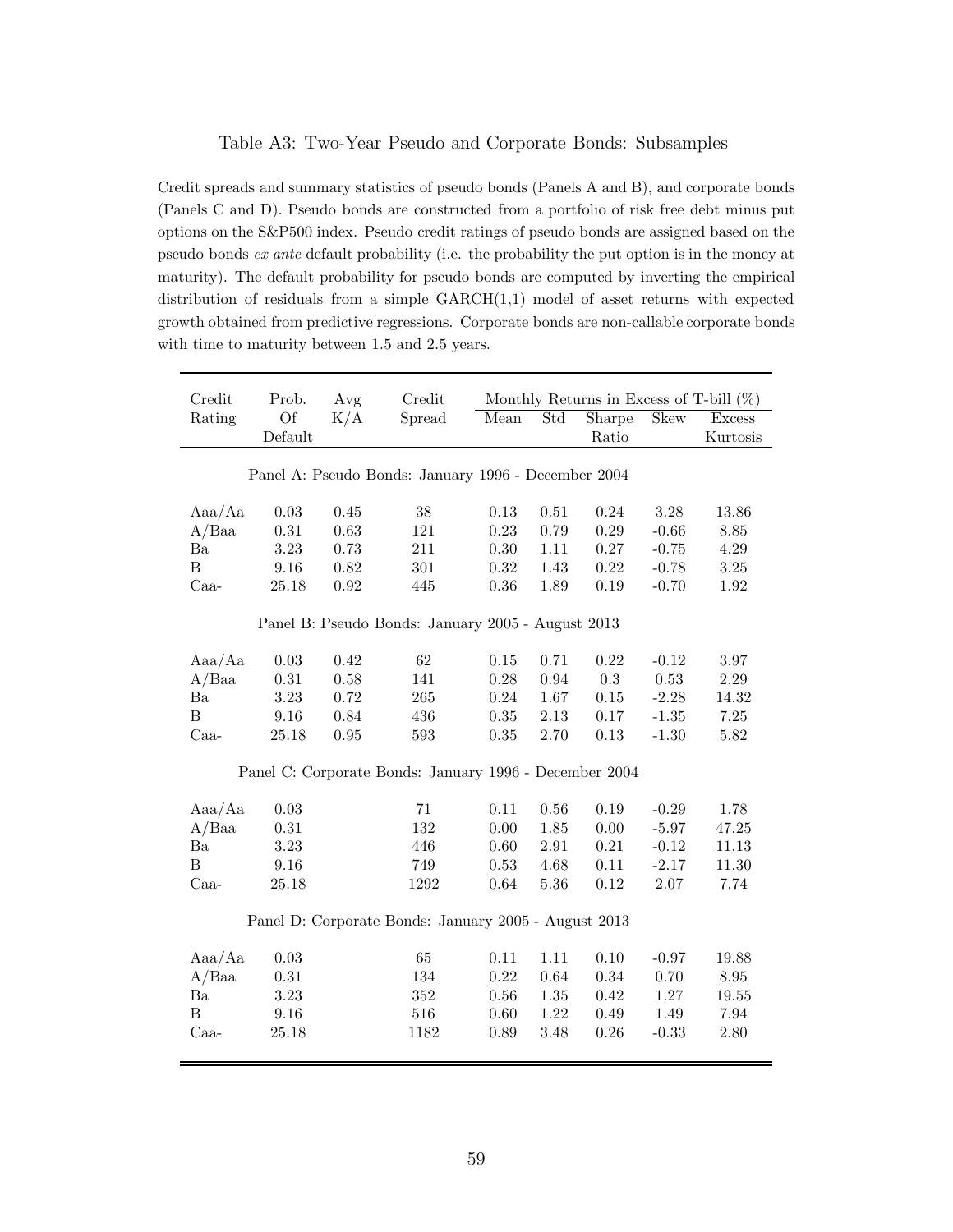### Table A3: Two-Year Pseudo and Corporate Bonds: Subsamples

Credit spreads and summary statistics of pseudo bonds (Panels A and B), and corporate bonds (Panels C and D). Pseudo bonds are constructed from a portfolio of risk free debt minus put options on the S&P500 index. Pseudo credit ratings of pseudo bonds are assigned based on the pseudo bonds ex ante default probability (i.e. the probability the put option is in the money at maturity). The default probability for pseudo bonds are computed by inverting the empirical distribution of residuals from a simple GARCH(1,1) model of asset returns with expected growth obtained from predictive regressions. Corporate bonds are non-callable corporate bonds with time to maturity between 1.5 and 2.5 years.

| Credit           | Prob.     | Avg  | Credit                                                 |      |          | Monthly Returns in Excess of T-bill $(\%)$ |             |               |
|------------------|-----------|------|--------------------------------------------------------|------|----------|--------------------------------------------|-------------|---------------|
| Rating           | <b>Of</b> | K/A  | Spread                                                 | Mean | Std      | Sharpe                                     | <b>Skew</b> | <b>Excess</b> |
|                  | Default   |      |                                                        |      |          | Ratio                                      |             | Kurtosis      |
|                  |           |      |                                                        |      |          |                                            |             |               |
|                  |           |      | Panel A: Pseudo Bonds: January 1996 - December 2004    |      |          |                                            |             |               |
|                  |           |      |                                                        |      |          |                                            |             |               |
| Aaa/Aa           | 0.03      | 0.45 | 38                                                     | 0.13 | 0.51     | 0.24                                       | 3.28        | 13.86         |
| A/Baa            | 0.31      | 0.63 | 121                                                    | 0.23 | 0.79     | 0.29                                       | $-0.66$     | 8.85          |
| Ba               | 3.23      | 0.73 | 211                                                    | 0.30 | 1.11     | 0.27                                       | $-0.75$     | 4.29          |
| $\boldsymbol{B}$ | 9.16      | 0.82 | 301                                                    | 0.32 | 1.43     | 0.22                                       | $-0.78$     | 3.25          |
| Caa-             | 25.18     | 0.92 | 445                                                    | 0.36 | 1.89     | 0.19                                       | $-0.70$     | 1.92          |
|                  |           |      |                                                        |      |          |                                            |             |               |
|                  |           |      | Panel B: Pseudo Bonds: January 2005 - August 2013      |      |          |                                            |             |               |
|                  |           |      |                                                        |      |          |                                            |             |               |
| Aaa/Aa           | 0.03      | 0.42 | 62                                                     | 0.15 | 0.71     | 0.22                                       | $-0.12$     | 3.97          |
| A/Baa            | 0.31      | 0.58 | 141                                                    | 0.28 | 0.94     | 0.3                                        | 0.53        | 2.29          |
| $\rm Ba$         | 3.23      | 0.72 | 265                                                    | 0.24 | 1.67     | 0.15                                       | $-2.28$     | 14.32         |
| $\boldsymbol{B}$ | 9.16      | 0.84 | 436                                                    | 0.35 | 2.13     | 0.17                                       | $-1.35$     | $7.25\,$      |
| Caa-             | 25.18     | 0.95 | 593                                                    | 0.35 | 2.70     | 0.13                                       | $-1.30$     | 5.82          |
|                  |           |      |                                                        |      |          |                                            |             |               |
|                  |           |      | Panel C: Corporate Bonds: January 1996 - December 2004 |      |          |                                            |             |               |
| Aaa/Aa           | 0.03      |      | 71                                                     | 0.11 | 0.56     | 0.19                                       | $-0.29$     | 1.78          |
| A/Baa            | 0.31      |      | 132                                                    | 0.00 | 1.85     | 0.00                                       | $-5.97$     | 47.25         |
| Ba               | 3.23      |      | 446                                                    | 0.60 | $2.91\,$ | 0.21                                       | $-0.12$     | 11.13         |
| $\overline{B}$   | 9.16      |      | 749                                                    | 0.53 | 4.68     | 0.11                                       | $-2.17$     | 11.30         |
| Caa-             | 25.18     |      | 1292                                                   | 0.64 | 5.36     | 0.12                                       | $2.07\,$    | 7.74          |
|                  |           |      |                                                        |      |          |                                            |             |               |
|                  |           |      | Panel D: Corporate Bonds: January 2005 - August 2013   |      |          |                                            |             |               |
|                  |           |      |                                                        |      |          |                                            |             |               |
| Aaa/Aa           | 0.03      |      | 65                                                     | 0.11 | 1.11     | 0.10                                       | $-0.97$     | 19.88         |
| A/Baa            | 0.31      |      | 134                                                    | 0.22 | 0.64     | 0.34                                       | 0.70        | $8.95\,$      |
| Ba               | 3.23      |      | 352                                                    | 0.56 | 1.35     | 0.42                                       | 1.27        | 19.55         |
| $\boldsymbol{B}$ | 9.16      |      | 516                                                    | 0.60 | 1.22     | 0.49                                       | 1.49        | 7.94          |
| Caa-             | 25.18     |      | 1182                                                   | 0.89 | 3.48     | 0.26                                       | $-0.33$     | 2.80          |
|                  |           |      |                                                        |      |          |                                            |             |               |
|                  |           |      |                                                        |      |          |                                            |             |               |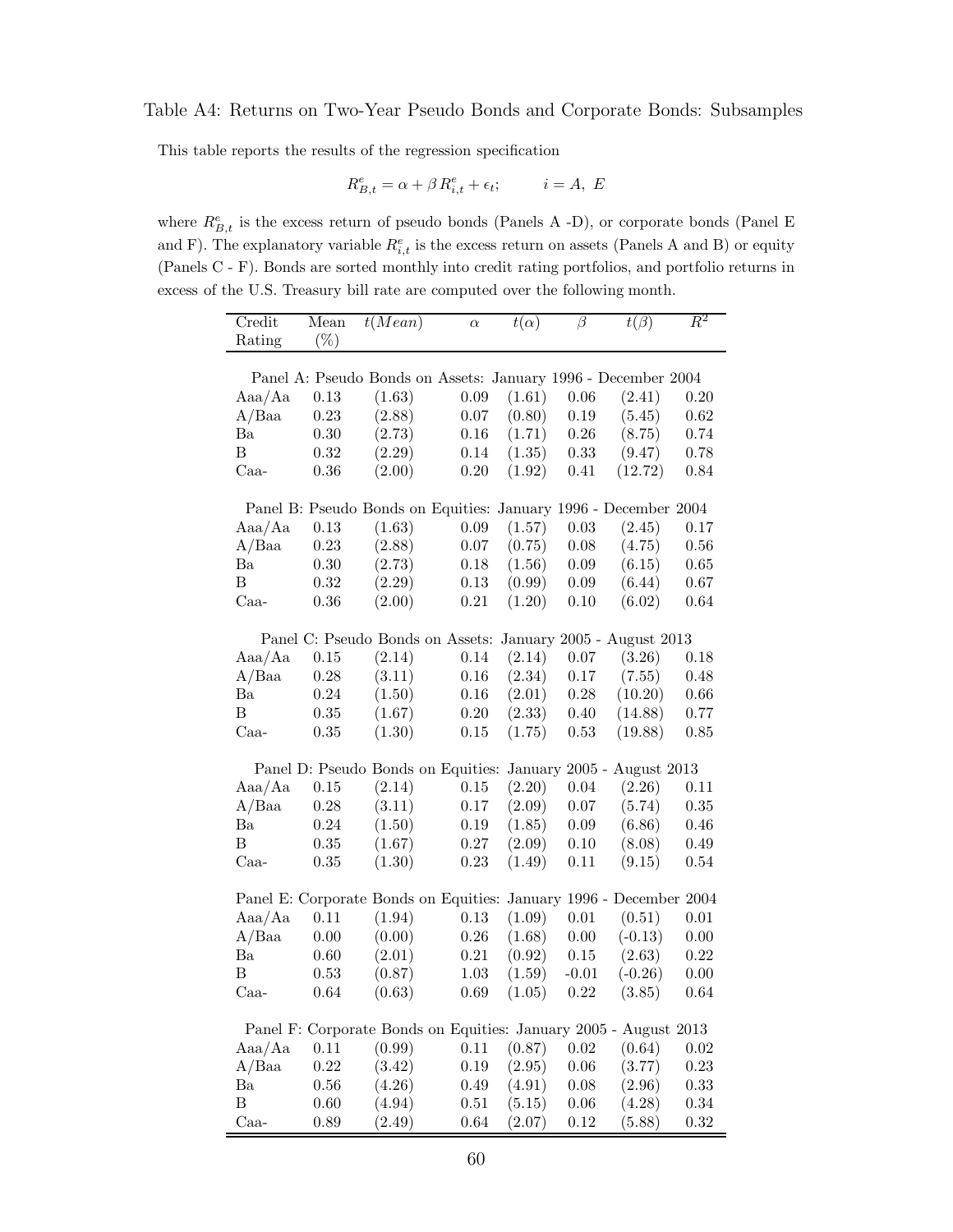### Table A4: Returns on Two-Year Pseudo Bonds and Corporate Bonds: Subsamples

This table reports the results of the regression specification

$$
R_{B,t}^e=\alpha+\beta\, R_{i,t}^e+\epsilon_t;\hspace{1cm} i=A,\; E
$$

where  $R_{B,t}^e$  is the excess return of pseudo bonds (Panels A -D), or corporate bonds (Panel E and F). The explanatory variable  $R_{i,t}^e$  is the excess return on assets (Panels A and B) or equity (Panels C - F). Bonds are sorted monthly into credit rating portfolios, and portfolio returns in excess of the U.S. Treasury bill rate are computed over the following month.

| Credit        | Mean   | t(Mean)                                                            | $\alpha$   | $t(\alpha)$ | $\beta$  | $t(\beta)$                 | $\,R^2$  |
|---------------|--------|--------------------------------------------------------------------|------------|-------------|----------|----------------------------|----------|
| Rating        | $(\%)$ |                                                                    |            |             |          |                            |          |
|               |        |                                                                    |            |             |          |                            |          |
|               |        | Panel A: Pseudo Bonds on Assets: January 1996 - December 2004      |            |             |          |                            |          |
| Aaa/Aa        | 0.13   | (1.63)                                                             | $0.09\,$   | (1.61)      | $0.06\,$ | (2.41)                     | 0.20     |
| A/Baa         | 0.23   | (2.88)                                                             | 0.07       | (0.80)      | $0.19\,$ | (5.45)                     | 0.62     |
| Ba            | 0.30   | (2.73)                                                             | $0.16\,$   | (1.71)      | 0.26     | (8.75)                     | 0.74     |
| Β             | 0.32   | (2.29)                                                             | 0.14       | (1.35)      | 0.33     | (9.47)                     | 0.78     |
| $Caa-$        | 0.36   | (2.00)                                                             | 0.20       | (1.92)      | 0.41     | (12.72)                    | 0.84     |
|               |        |                                                                    |            |             |          |                            |          |
|               |        | Panel B: Pseudo Bonds on Equities: January 1996 - December 2004    |            |             |          |                            |          |
| Aaa/Aa        | 0.13   | (1.63)                                                             | $0.09\,$   | (1.57)      | 0.03     | (2.45)                     | 0.17     |
| $A/B$ aa      | 0.23   | (2.88)                                                             | 0.07       | (0.75)      | 0.08     | (4.75)                     | 0.56     |
| Ba            | 0.30   | (2.73)                                                             | 0.18       | (1.56)      | $0.09\,$ | (6.15)                     | $0.65\,$ |
| B             | 0.32   | (2.29)                                                             | 0.13       | (0.99)      | $0.09\,$ | (6.44)                     | 0.67     |
| $Caa-$        | 0.36   | (2.00)                                                             | $\rm 0.21$ | (1.20)      | 0.10     | (6.02)                     | 0.64     |
|               |        |                                                                    |            |             |          |                            |          |
|               |        | Panel C: Pseudo Bonds on Assets:                                   |            |             |          | January 2005 - August 2013 |          |
| Aaa/Aa        | 0.15   | (2.14)                                                             | $0.14\,$   | (2.14)      | 0.07     | (3.26)                     | 0.18     |
| A/Baa         | 0.28   | (3.11)                                                             | 0.16       | (2.34)      | 0.17     | (7.55)                     | 0.48     |
| Ba            | 0.24   | (1.50)                                                             | $0.16\,$   | (2.01)      | $0.28\,$ | (10.20)                    | 0.66     |
| B             | 0.35   | (1.67)                                                             | 0.20       | (2.33)      | 0.40     | (14.88)                    | 0.77     |
| $Caa-$        | 0.35   | (1.30)                                                             | $0.15\,$   | (1.75)      | 0.53     | (19.88)                    | 0.85     |
|               |        |                                                                    |            |             |          |                            |          |
|               |        | Panel D: Pseudo Bonds on Equities:                                 |            |             |          | January 2005 - August 2013 |          |
| Aaa/Aa        | 0.15   | (2.14)                                                             | 0.15       | (2.20)      | 0.04     | (2.26)                     | 0.11     |
| A/Baa         | 0.28   | (3.11)                                                             | 0.17       | (2.09)      | $0.07\,$ | (5.74)                     | 0.35     |
| Ba            | 0.24   | (1.50)                                                             | 0.19       | (1.85)      | $0.09\,$ | (6.86)                     | 0.46     |
| B             | 0.35   | (1.67)                                                             | $0.27\,$   | (2.09)      | $0.10\,$ | (8.08)                     | 0.49     |
| $Caa-$        | 0.35   | (1.30)                                                             | 0.23       | (1.49)      | 0.11     | (9.15)                     | 0.54     |
|               |        |                                                                    |            |             |          |                            |          |
|               |        | Panel E: Corporate Bonds on Equities: January 1996 - December 2004 |            |             |          |                            |          |
| Aaa/Aa        | 0.11   | (1.94)                                                             | 0.13       | (1.09)      | 0.01     | (0.51)                     | $0.01\,$ |
| A/Baa         | 0.00   | (0.00)                                                             | 0.26       | (1.68)      | $0.00\,$ | $(-0.13)$                  | 0.00     |
| Ba            | 0.60   |                                                                    | $\rm 0.21$ |             |          | (2.63)                     | 0.22     |
| Β             |        | (2.01)                                                             |            | (0.92)      | 0.15     | $(-0.26)$                  |          |
|               | 0.53   | (0.87)                                                             | 1.03       | (1.59)      | $-0.01$  |                            | 0.00     |
| $Caa-$        | 0.64   | (0.63)                                                             | 0.69       | (1.05)      | 0.22     | (3.85)                     | 0.64     |
|               |        | Panel F: Corporate Bonds on Equities: January 2005 - August 2013   |            |             |          |                            |          |
| Aaa/Aa        | 0.11   | (0.99)                                                             | 0.11       | (0.87)      | $0.02\,$ | (0.64)                     | 0.02     |
| A/Baa         | 0.22   | (3.42)                                                             | 0.19       | (2.95)      | 0.06     | (3.77)                     | 0.23     |
| Ba            | 0.56   | (4.26)                                                             | 0.49       | (4.91)      | 0.08     | (2.96)                     | 0.33     |
| Β             | 0.60   | (4.94)                                                             | 0.51       | (5.15)      | 0.06     | (4.28)                     | $0.34\,$ |
| $_{\rm Caa-}$ | 0.89   | (2.49)                                                             | 0.64       | (2.07)      | 0.12     | (5.88)                     | 0.32     |
|               |        |                                                                    |            |             |          |                            |          |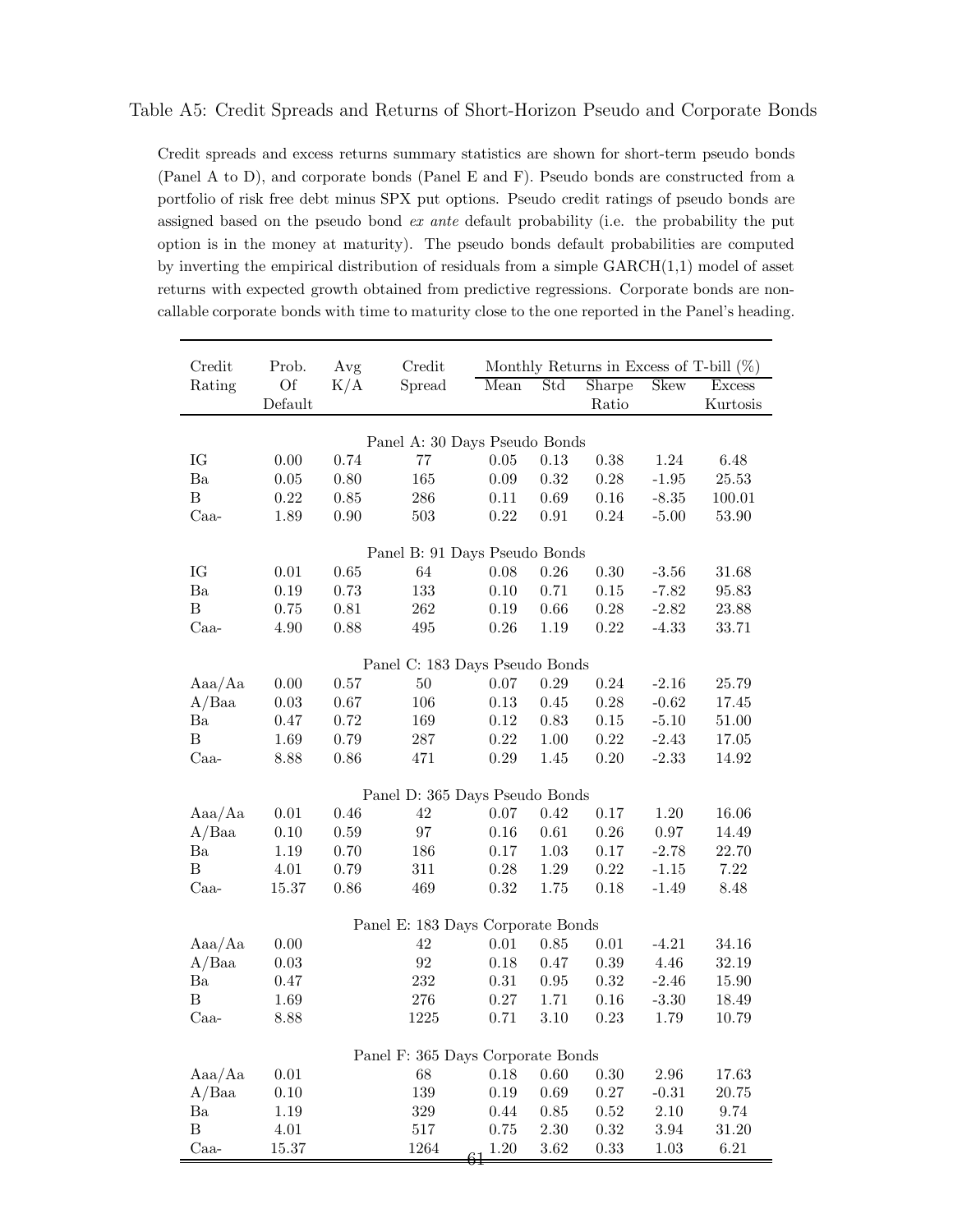### Table A5: Credit Spreads and Returns of Short-Horizon Pseudo and Corporate Bonds

Credit spreads and excess returns summary statistics are shown for short-term pseudo bonds (Panel A to D), and corporate bonds (Panel E and F). Pseudo bonds are constructed from a portfolio of risk free debt minus SPX put options. Pseudo credit ratings of pseudo bonds are assigned based on the pseudo bond ex ante default probability (i.e. the probability the put option is in the money at maturity). The pseudo bonds default probabilities are computed by inverting the empirical distribution of residuals from a simple GARCH(1,1) model of asset returns with expected growth obtained from predictive regressions. Corporate bonds are noncallable corporate bonds with time to maturity close to the one reported in the Panel's heading.

| Credit           | Prob.     | Avg  | Credit                            |                |          |          |             | Monthly Returns in Excess of T-bill $(\%)$ |
|------------------|-----------|------|-----------------------------------|----------------|----------|----------|-------------|--------------------------------------------|
| Rating           | <b>Of</b> | K/A  | Spread                            | Mean           | Std      | Sharpe   | <b>Skew</b> | Excess                                     |
|                  | Default   |      |                                   |                |          | Ratio    |             | Kurtosis                                   |
|                  |           |      | Panel A: 30 Days Pseudo Bonds     |                |          |          |             |                                            |
| IG               | 0.00      | 0.74 | 77                                | 0.05           | 0.13     | 0.38     | 1.24        | 6.48                                       |
| Ba               | 0.05      | 0.80 | 165                               | 0.09           | 0.32     | 0.28     | $-1.95$     | 25.53                                      |
| B                | 0.22      | 0.85 | 286                               | 0.11           | 0.69     | 0.16     | $-8.35$     | 100.01                                     |
| $Caa-$           | 1.89      | 0.90 | 503                               | 0.22           | 0.91     | 0.24     | $-5.00$     | 53.90                                      |
|                  |           |      |                                   |                |          |          |             |                                            |
|                  |           |      | Panel B: 91 Days Pseudo Bonds     |                |          |          |             |                                            |
| IG               | 0.01      | 0.65 | 64                                | 0.08           | 0.26     | 0.30     | $-3.56$     | 31.68                                      |
| Ba               | 0.19      | 0.73 | 133                               | 0.10           | 0.71     | 0.15     | $-7.82$     | 95.83                                      |
| $\, {\bf B}$     | 0.75      | 0.81 | 262                               | 0.19           | 0.66     | 0.28     | $-2.82$     | 23.88                                      |
| $Caa-$           | 4.90      | 0.88 | 495                               | 0.26           | 1.19     | 0.22     | $-4.33$     | 33.71                                      |
|                  |           |      | Panel C: 183 Days Pseudo Bonds    |                |          |          |             |                                            |
| Aaa/Aa           | 0.00      | 0.57 | 50                                | 0.07           | 0.29     | 0.24     | $-2.16$     | 25.79                                      |
| A/Baa            | 0.03      | 0.67 | 106                               | 0.13           | 0.45     | 0.28     | $-0.62$     | 17.45                                      |
| Ba               | 0.47      | 0.72 | 169                               | 0.12           | 0.83     | 0.15     | $-5.10$     | 51.00                                      |
| $\boldsymbol{B}$ | 1.69      | 0.79 | $287\,$                           | 0.22           | 1.00     | 0.22     | $-2.43$     | 17.05                                      |
| $Caa-$           | 8.88      | 0.86 | 471                               | 0.29           | 1.45     | 0.20     | $-2.33$     | 14.92                                      |
|                  |           |      |                                   |                |          |          |             |                                            |
|                  |           |      | Panel D: 365 Days Pseudo Bonds    |                |          |          |             |                                            |
| Aaa/Aa           | 0.01      | 0.46 | 42                                | 0.07           | 0.42     | 0.17     | 1.20        | 16.06                                      |
| A/Baa            | 0.10      | 0.59 | 97                                | 0.16           | 0.61     | 0.26     | 0.97        | 14.49                                      |
| Ba               | 1.19      | 0.70 | 186                               | 0.17           | 1.03     | 0.17     | $-2.78$     | 22.70                                      |
| B                | 4.01      | 0.79 | 311                               | 0.28           | 1.29     | 0.22     | $-1.15$     | 7.22                                       |
| $Caa-$           | 15.37     | 0.86 | 469                               | 0.32           | 1.75     | 0.18     | $-1.49$     | 8.48                                       |
|                  |           |      | Panel E: 183 Days Corporate Bonds |                |          |          |             |                                            |
| Aaa/Aa           | 0.00      |      | 42                                | 0.01           | 0.85     | 0.01     | $-4.21$     | 34.16                                      |
| A/Baa            | 0.03      |      | $\boldsymbol{92}$                 | 0.18           | 0.47     | 0.39     | 4.46        | 32.19                                      |
| Ba               | 0.47      |      | 232                               | 0.31           | 0.95     | 0.32     | $-2.46$     | 15.90                                      |
| B                | 1.69      |      | 276                               | 0.27           | 1.71     | 0.16     | $-3.30$     | 18.49                                      |
| Caa-             | 8.88      |      | 1225                              | 0.71           | 3.10     | 0.23     | 1.79        | 10.79                                      |
|                  |           |      |                                   |                |          |          |             |                                            |
|                  |           |      | Panel F: 365 Days Corporate Bonds |                |          |          |             |                                            |
| Aaa/Aa           | $0.01\,$  |      | 68                                | $0.18\,$       | $0.60\,$ | $0.30\,$ | 2.96        | 17.63                                      |
| A/Baa            | $0.10\,$  |      | 139                               | $0.19\,$       | 0.69     | $0.27\,$ | $-0.31$     | 20.75                                      |
| Ba               | 1.19      |      | $329\,$                           | 0.44           | 0.85     | 0.52     | $2.10\,$    | 9.74                                       |
| $\, {\bf B}$     | $4.01\,$  |      | 517                               | 0.75           | $2.30\,$ | $0.32\,$ | 3.94        | 31.20                                      |
| Caa-             | 15.37     |      | 1264                              | $1.20\,$<br>61 | 3.62     | 0.33     | 1.03        | $6.21\,$                                   |